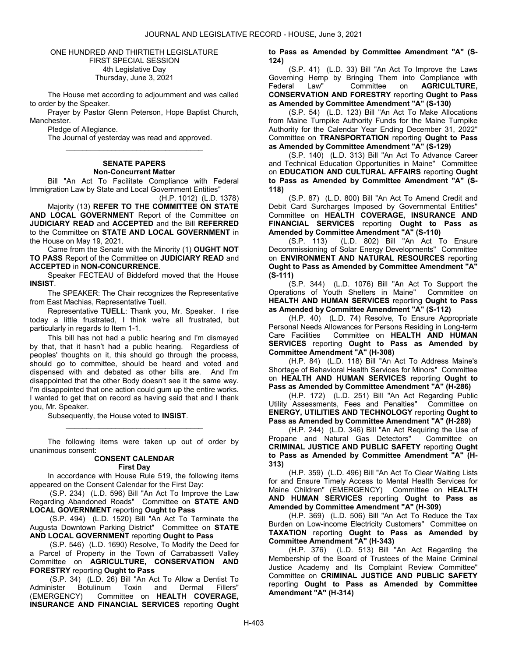### ONE HUNDRED AND THIRTIETH LEGISLATURE FIRST SPECIAL SESSION 4th Legislative Day Thursday, June 3, 2021

 The House met according to adjournment and was called to order by the Speaker.

 Prayer by Pastor Glenn Peterson, Hope Baptist Church, Manchester.

Pledge of Allegiance.

 The Journal of yesterday was read and approved. \_\_\_\_\_\_\_\_\_\_\_\_\_\_\_\_\_\_\_\_\_\_\_\_\_\_\_\_\_\_\_\_\_

# SENATE PAPERS Non-Concurrent Matter

 Bill "An Act To Facilitate Compliance with Federal Immigration Law by State and Local Government Entities"

(H.P. 1012) (L.D. 1378) Majority (13) REFER TO THE COMMITTEE ON STATE AND LOCAL GOVERNMENT Report of the Committee on JUDICIARY READ and ACCEPTED and the Bill REFERRED to the Committee on STATE AND LOCAL GOVERNMENT in the House on May 19, 2021.

 Came from the Senate with the Minority (1) OUGHT NOT TO PASS Report of the Committee on JUDICIARY READ and ACCEPTED in NON-CONCURRENCE.

 Speaker FECTEAU of Biddeford moved that the House INSIST.

 The SPEAKER: The Chair recognizes the Representative from East Machias, Representative Tuell.

 Representative TUELL: Thank you, Mr. Speaker. I rise today a little frustrated, I think we're all frustrated, but particularly in regards to Item 1-1.

 This bill has not had a public hearing and I'm dismayed by that, that it hasn't had a public hearing. Regardless of peoples' thoughts on it, this should go through the process, should go to committee, should be heard and voted and dispensed with and debated as other bills are. And I'm disappointed that the other Body doesn't see it the same way. I'm disappointed that one action could gum up the entire works. I wanted to get that on record as having said that and I thank you, Mr. Speaker.

Subsequently, the House voted to INSIST.

 The following items were taken up out of order by unanimous consent:

\_\_\_\_\_\_\_\_\_\_\_\_\_\_\_\_\_\_\_\_\_\_\_\_\_\_\_\_\_\_\_\_\_

## CONSENT CALENDAR

First Day

 In accordance with House Rule 519, the following items appeared on the Consent Calendar for the First Day:

 (S.P. 234) (L.D. 596) Bill "An Act To Improve the Law Regarding Abandoned Roads" Committee on STATE AND LOCAL GOVERNMENT reporting Ought to Pass

 (S.P. 494) (L.D. 1520) Bill "An Act To Terminate the Augusta Downtown Parking District" Committee on STATE AND LOCAL GOVERNMENT reporting Ought to Pass

 (S.P. 546) (L.D. 1690) Resolve, To Modify the Deed for a Parcel of Property in the Town of Carrabassett Valley Committee on AGRICULTURE, CONSERVATION AND FORESTRY reporting Ought to Pass

 (S.P. 34) (L.D. 26) Bill "An Act To Allow a Dentist To Administer Botulinum Toxin and Dermal Fillers"<br>(EMERGENCY) Committee on HEALTH COVERAGE. Committee on HEALTH COVERAGE. INSURANCE AND FINANCIAL SERVICES reporting Ought to Pass as Amended by Committee Amendment "A" (S-124)

 (S.P. 41) (L.D. 33) Bill "An Act To Improve the Laws Governing Hemp by Bringing Them into Compliance with<br>Federal Law" Committee on **AGRICULTURE**. Federal Law" Committee on **AGRICULTURE**, CONSERVATION AND FORESTRY reporting Ought to Pass as Amended by Committee Amendment "A" (S-130)

 (S.P. 54) (L.D. 123) Bill "An Act To Make Allocations from Maine Turnpike Authority Funds for the Maine Turnpike Authority for the Calendar Year Ending December 31, 2022" Committee on TRANSPORTATION reporting Ought to Pass as Amended by Committee Amendment "A" (S-129)

 (S.P. 140) (L.D. 313) Bill "An Act To Advance Career and Technical Education Opportunities in Maine" Committee on EDUCATION AND CULTURAL AFFAIRS reporting Ought to Pass as Amended by Committee Amendment "A" (S-118)

 (S.P. 87) (L.D. 800) Bill "An Act To Amend Credit and Debit Card Surcharges Imposed by Governmental Entities" Committee on HEALTH COVERAGE, INSURANCE AND FINANCIAL SERVICES reporting Ought to Pass as Amended by Committee Amendment "A" (S-110)

 (S.P. 113) (L.D. 802) Bill "An Act To Ensure Decommissioning of Solar Energy Developments" Committee on ENVIRONMENT AND NATURAL RESOURCES reporting Ought to Pass as Amended by Committee Amendment "A" (S-111)

 (S.P. 344) (L.D. 1076) Bill "An Act To Support the Operations of Youth Shelters in Maine" Committee on HEALTH AND HUMAN SERVICES reporting Ought to Pass as Amended by Committee Amendment "A" (S-112)

 (H.P. 40) (L.D. 74) Resolve, To Ensure Appropriate Personal Needs Allowances for Persons Residing in Long-term Care Facilities Committee on HEALTH AND HUMAN SERVICES reporting Ought to Pass as Amended by Committee Amendment "A" (H-308)

 (H.P. 84) (L.D. 118) Bill "An Act To Address Maine's Shortage of Behavioral Health Services for Minors" Committee on HEALTH AND HUMAN SERVICES reporting Ought to Pass as Amended by Committee Amendment "A" (H-286)

 (H.P. 172) (L.D. 251) Bill "An Act Regarding Public Utility Assessments, Fees and Penalties" ENERGY, UTILITIES AND TECHNOLOGY reporting Ought to Pass as Amended by Committee Amendment "A" (H-289)

 (H.P. 244) (L.D. 346) Bill "An Act Requiring the Use of Propane and Natural Gas Detectors" Committee on CRIMINAL JUSTICE AND PUBLIC SAFETY reporting Ought to Pass as Amended by Committee Amendment "A" (H-313)

 (H.P. 359) (L.D. 496) Bill "An Act To Clear Waiting Lists for and Ensure Timely Access to Mental Health Services for Maine Children" (EMERGENCY) Committee on HEALTH AND HUMAN SERVICES reporting Ought to Pass as Amended by Committee Amendment "A" (H-309)

 (H.P. 369) (L.D. 506) Bill "An Act To Reduce the Tax Burden on Low-income Electricity Customers" Committee on TAXATION reporting Ought to Pass as Amended by Committee Amendment "A" (H-343)

 (H.P. 376) (L.D. 513) Bill "An Act Regarding the Membership of the Board of Trustees of the Maine Criminal Justice Academy and Its Complaint Review Committee" Committee on CRIMINAL JUSTICE AND PUBLIC SAFETY reporting Ought to Pass as Amended by Committee Amendment "A" (H-314)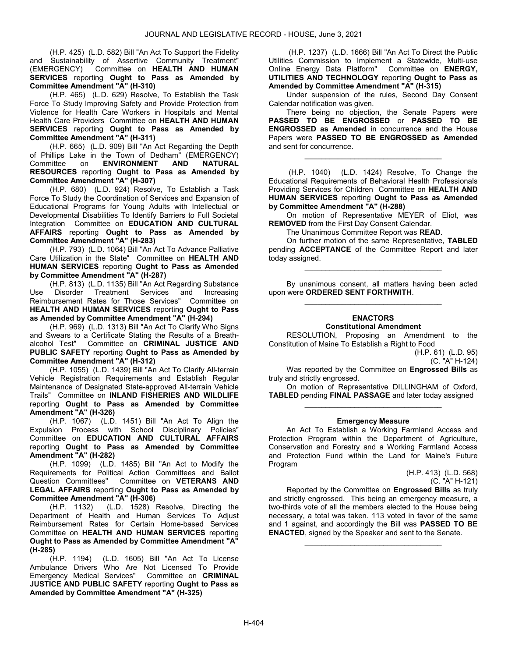(H.P. 425) (L.D. 582) Bill "An Act To Support the Fidelity and Sustainability of Assertive Community Treatment" (EMERGENCY) Committee on HEALTH AND HUMAN SERVICES reporting Ought to Pass as Amended by Committee Amendment "A" (H-310)

 (H.P. 465) (L.D. 629) Resolve, To Establish the Task Force To Study Improving Safety and Provide Protection from Violence for Health Care Workers in Hospitals and Mental Health Care Providers Committee on HEALTH AND HUMAN SERVICES reporting Ought to Pass as Amended by Committee Amendment "A" (H-311)

 (H.P. 665) (L.D. 909) Bill "An Act Regarding the Depth of Phillips Lake in the Town of Dedham" (EMERGENCY)<br>Committee on ENVIRONMENT AND NATURAL Committee on ENVIRONMENT AND NATURAL RESOURCES reporting Ought to Pass as Amended by Committee Amendment "A" (H-307)

 (H.P. 680) (L.D. 924) Resolve, To Establish a Task Force To Study the Coordination of Services and Expansion of Educational Programs for Young Adults with Intellectual or Developmental Disabilities To Identify Barriers to Full Societal Integration Committee on EDUCATION AND CULTURAL AFFAIRS reporting Ought to Pass as Amended by Committee Amendment "A" (H-283)

 (H.P. 793) (L.D. 1064) Bill "An Act To Advance Palliative Care Utilization in the State" Committee on HEALTH AND HUMAN SERVICES reporting Ought to Pass as Amended by Committee Amendment "A" (H-287)

 (H.P. 813) (L.D. 1135) Bill "An Act Regarding Substance Use Disorder Treatment Services and Increasing Reimbursement Rates for Those Services" Committee on HEALTH AND HUMAN SERVICES reporting Ought to Pass as Amended by Committee Amendment "A" (H-294)

 (H.P. 969) (L.D. 1313) Bill "An Act To Clarify Who Signs and Swears to a Certificate Stating the Results of a Breathalcohol Test" Committee on CRIMINAL JUSTICE AND PUBLIC SAFETY reporting Ought to Pass as Amended by Committee Amendment "A" (H-312)

 (H.P. 1055) (L.D. 1439) Bill "An Act To Clarify All-terrain Vehicle Registration Requirements and Establish Regular Maintenance of Designated State-approved All-terrain Vehicle Trails" Committee on INLAND FISHERIES AND WILDLIFE reporting Ought to Pass as Amended by Committee Amendment "A" (H-326)

 (H.P. 1067) (L.D. 1451) Bill "An Act To Align the Expulsion Process with School Disciplinary Policies" Committee on EDUCATION AND CULTURAL AFFAIRS reporting Ought to Pass as Amended by Committee Amendment "A" (H-282)

 (H.P. 1099) (L.D. 1485) Bill "An Act to Modify the Requirements for Political Action Committees and Ballot Question Committees" Committee on VETERANS AND LEGAL AFFAIRS reporting Ought to Pass as Amended by Committee Amendment "A" (H-306)

 (H.P. 1132) (L.D. 1528) Resolve, Directing the Department of Health and Human Services To Adjust Reimbursement Rates for Certain Home-based Services Committee on HEALTH AND HUMAN SERVICES reporting Ought to Pass as Amended by Committee Amendment "A" (H-285)

 (H.P. 1194) (L.D. 1605) Bill "An Act To License Ambulance Drivers Who Are Not Licensed To Provide<br>Emergency Medical Services" Committee on CRIMINAL Emergency Medical Services" JUSTICE AND PUBLIC SAFETY reporting Ought to Pass as Amended by Committee Amendment "A" (H-325)

 (H.P. 1237) (L.D. 1666) Bill "An Act To Direct the Public Utilities Commission to Implement a Statewide, Multi-use Online Energy Data Platform" Committee on ENERGY, UTILITIES AND TECHNOLOGY reporting Ought to Pass as Amended by Committee Amendment "A" (H-315)

 Under suspension of the rules, Second Day Consent Calendar notification was given.

 There being no objection, the Senate Papers were PASSED TO BE ENGROSSED or PASSED TO BE ENGROSSED as Amended in concurrence and the House Papers were PASSED TO BE ENGROSSED as Amended and sent for concurrence.

\_\_\_\_\_\_\_\_\_\_\_\_\_\_\_\_\_\_\_\_\_\_\_\_\_\_\_\_\_\_\_\_\_

 (H.P. 1040) (L.D. 1424) Resolve, To Change the Educational Requirements of Behavioral Health Professionals Providing Services for Children Committee on HEALTH AND HUMAN SERVICES reporting Ought to Pass as Amended by Committee Amendment "A" (H-288)

 On motion of Representative MEYER of Eliot, was REMOVED from the First Day Consent Calendar.

The Unanimous Committee Report was READ.

 On further motion of the same Representative, TABLED pending **ACCEPTANCE** of the Committee Report and later today assigned.

\_\_\_\_\_\_\_\_\_\_\_\_\_\_\_\_\_\_\_\_\_\_\_\_\_\_\_\_\_\_\_\_\_

 By unanimous consent, all matters having been acted upon were ORDERED SENT FORTHWITH. \_\_\_\_\_\_\_\_\_\_\_\_\_\_\_\_\_\_\_\_\_\_\_\_\_\_\_\_\_\_\_\_\_

#### ENACTORS Constitutional Amendment

 RESOLUTION, Proposing an Amendment to the Constitution of Maine To Establish a Right to Food

(H.P. 61) (L.D. 95)

(C. "A" H-124)

Was reported by the Committee on Engrossed Bills as truly and strictly engrossed.

 On motion of Representative DILLINGHAM of Oxford, TABLED pending FINAL PASSAGE and later today assigned \_\_\_\_\_\_\_\_\_\_\_\_\_\_\_\_\_\_\_\_\_\_\_\_\_\_\_\_\_\_\_\_\_

#### Emergency Measure

 An Act To Establish a Working Farmland Access and Protection Program within the Department of Agriculture, Conservation and Forestry and a Working Farmland Access and Protection Fund within the Land for Maine's Future Program

> (H.P. 413) (L.D. 568) (C. "A" H-121)

 Reported by the Committee on Engrossed Bills as truly and strictly engrossed. This being an emergency measure, a two-thirds vote of all the members elected to the House being necessary, a total was taken. 113 voted in favor of the same and 1 against, and accordingly the Bill was PASSED TO BE ENACTED, signed by the Speaker and sent to the Senate.

\_\_\_\_\_\_\_\_\_\_\_\_\_\_\_\_\_\_\_\_\_\_\_\_\_\_\_\_\_\_\_\_\_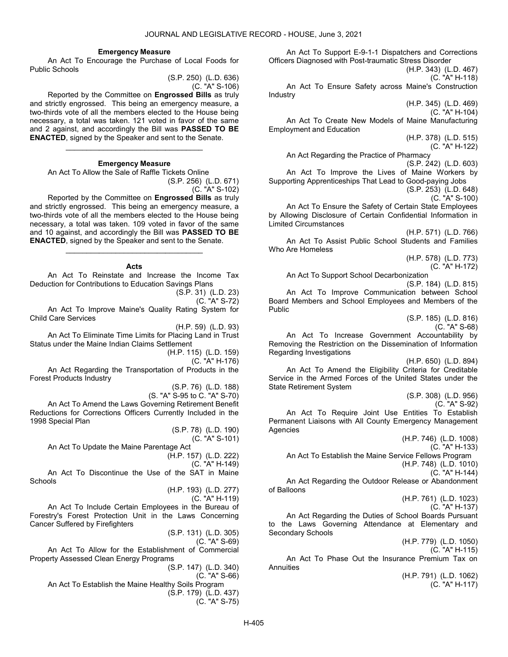#### Emergency Measure

 An Act To Encourage the Purchase of Local Foods for Public Schools

(S.P. 250) (L.D. 636) (C. "A" S-106)

 Reported by the Committee on Engrossed Bills as truly and strictly engrossed. This being an emergency measure, a two-thirds vote of all the members elected to the House being necessary, a total was taken. 121 voted in favor of the same and 2 against, and accordingly the Bill was PASSED TO BE ENACTED, signed by the Speaker and sent to the Senate.

### Emergency Measure

\_\_\_\_\_\_\_\_\_\_\_\_\_\_\_\_\_\_\_\_\_\_\_\_\_\_\_\_\_\_\_\_\_

 An Act To Allow the Sale of Raffle Tickets Online (S.P. 256) (L.D. 671)

(C. "A" S-102)

 Reported by the Committee on Engrossed Bills as truly and strictly engrossed. This being an emergency measure, a two-thirds vote of all the members elected to the House being necessary, a total was taken. 109 voted in favor of the same and 10 against, and accordingly the Bill was PASSED TO BE ENACTED, signed by the Speaker and sent to the Senate.

#### Acts

\_\_\_\_\_\_\_\_\_\_\_\_\_\_\_\_\_\_\_\_\_\_\_\_\_\_\_\_\_\_\_\_\_

 An Act To Reinstate and Increase the Income Tax Deduction for Contributions to Education Savings Plans

(S.P. 31) (L.D. 23)

(C. "A" S-72)

 An Act To Improve Maine's Quality Rating System for Child Care Services

(H.P. 59) (L.D. 93)

 An Act To Eliminate Time Limits for Placing Land in Trust Status under the Maine Indian Claims Settlement

(H.P. 115) (L.D. 159)

(C. "A" H-176)

 An Act Regarding the Transportation of Products in the Forest Products Industry

(S.P. 76) (L.D. 188)

(S. "A" S-95 to C. "A" S-70) An Act To Amend the Laws Governing Retirement Benefit Reductions for Corrections Officers Currently Included in the 1998 Special Plan

> (S.P. 78) (L.D. 190) (C. "A" S-101)

An Act To Update the Maine Parentage Act

(H.P. 157) (L.D. 222)

(C. "A" H-149)

 An Act To Discontinue the Use of the SAT in Maine **Schools** 

(H.P. 193) (L.D. 277)

(C. "A" H-119)

 An Act To Include Certain Employees in the Bureau of Forestry's Forest Protection Unit in the Laws Concerning Cancer Suffered by Firefighters

(S.P. 131) (L.D. 305)

(C. "A" S-69)

 An Act To Allow for the Establishment of Commercial Property Assessed Clean Energy Programs

(S.P. 147) (L.D. 340) (C. "A" S-66) An Act To Establish the Maine Healthy Soils Program (S.P. 179) (L.D. 437) (C. "A" S-75)

 An Act To Support E-9-1-1 Dispatchers and Corrections Officers Diagnosed with Post-traumatic Stress Disorder

(H.P. 343) (L.D. 467) (C. "A" H-118)

 An Act To Ensure Safety across Maine's Construction Industry

(H.P. 345) (L.D. 469)

(C. "A" H-104)

 An Act To Create New Models of Maine Manufacturing Employment and Education

> (H.P. 378) (L.D. 515) (C. "A" H-122)

An Act Regarding the Practice of Pharmacy

(S.P. 242) (L.D. 603)

 An Act To Improve the Lives of Maine Workers by Supporting Apprenticeships That Lead to Good-paying Jobs

(S.P. 253) (L.D. 648) (C. "A" S-100)

 An Act To Ensure the Safety of Certain State Employees by Allowing Disclosure of Certain Confidential Information in Limited Circumstances

(H.P. 571) (L.D. 766) An Act To Assist Public School Students and Families Who Are Homeless

> (H.P. 578) (L.D. 773) (C. "A" H-172)

An Act To Support School Decarbonization

(S.P. 184) (L.D. 815) An Act To Improve Communication between School Board Members and School Employees and Members of the Public

> (S.P. 185) (L.D. 816) (C. "A" S-68)

 An Act To Increase Government Accountability by Removing the Restriction on the Dissemination of Information Regarding Investigations

(H.P. 650) (L.D. 894)

 An Act To Amend the Eligibility Criteria for Creditable Service in the Armed Forces of the United States under the State Retirement System

(S.P. 308) (L.D. 956)

(C. "A" S-92)

 An Act To Require Joint Use Entities To Establish Permanent Liaisons with All County Emergency Management Agencies

> (H.P. 746) (L.D. 1008) (C. "A" H-133)

An Act To Establish the Maine Service Fellows Program

(H.P. 748) (L.D. 1010)

(C. "A" H-144)

 An Act Regarding the Outdoor Release or Abandonment of Balloons

> (H.P. 761) (L.D. 1023) (C. "A" H-137)

 An Act Regarding the Duties of School Boards Pursuant to the Laws Governing Attendance at Elementary and Secondary Schools

(H.P. 779) (L.D. 1050)

(C. "A" H-115)

 An Act To Phase Out the Insurance Premium Tax on **Annuities** 

> (H.P. 791) (L.D. 1062) (C. "A" H-117)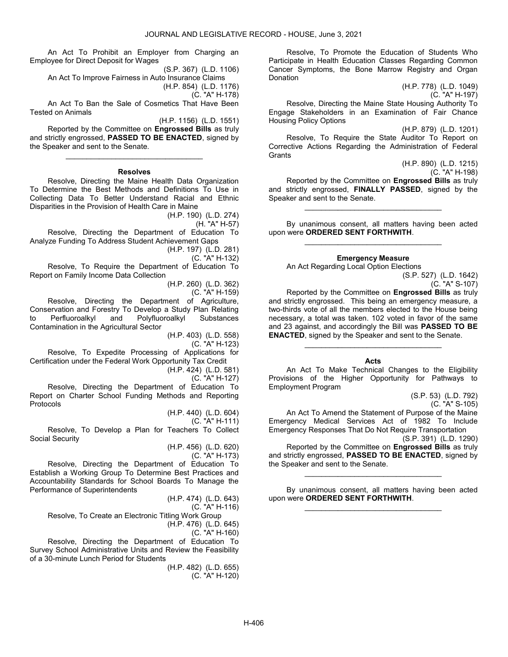An Act To Prohibit an Employer from Charging an Employee for Direct Deposit for Wages

(S.P. 367) (L.D. 1106) An Act To Improve Fairness in Auto Insurance Claims (H.P. 854) (L.D. 1176)

(C. "A" H-178)

 An Act To Ban the Sale of Cosmetics That Have Been Tested on Animals

(H.P. 1156) (L.D. 1551)

 Reported by the Committee on Engrossed Bills as truly and strictly engrossed, PASSED TO BE ENACTED, signed by the Speaker and sent to the Senate. \_\_\_\_\_\_\_\_\_\_\_\_\_\_\_\_\_\_\_\_\_\_\_\_\_\_\_\_\_\_\_\_\_

#### Resolves

 Resolve, Directing the Maine Health Data Organization To Determine the Best Methods and Definitions To Use in Collecting Data To Better Understand Racial and Ethnic Disparities in the Provision of Health Care in Maine

(H.P. 190) (L.D. 274)

(H. "A" H-57)

 Resolve, Directing the Department of Education To Analyze Funding To Address Student Achievement Gaps

(H.P. 197) (L.D. 281)

(C. "A" H-132)

 Resolve, To Require the Department of Education To Report on Family Income Data Collection

(H.P. 260) (L.D. 362)

(C. "A" H-159)

 Resolve, Directing the Department of Agriculture, Conservation and Forestry To Develop a Study Plan Relating to Perfluoroalkyl and Polyfluoroalkyl Contamination in the Agricultural Sector

(H.P. 403) (L.D. 558)

(C. "A" H-123)

 Resolve, To Expedite Processing of Applications for Certification under the Federal Work Opportunity Tax Credit

(H.P. 424) (L.D. 581)

(C. "A" H-127)

 Resolve, Directing the Department of Education To Report on Charter School Funding Methods and Reporting Protocols

(H.P. 440) (L.D. 604)

(C. "A" H-111) Resolve, To Develop a Plan for Teachers To Collect Social Security

(H.P. 456) (L.D. 620)

(C. "A" H-173)

 Resolve, Directing the Department of Education To Establish a Working Group To Determine Best Practices and Accountability Standards for School Boards To Manage the Performance of Superintendents

> (H.P. 474) (L.D. 643) (C. "A" H-116)

Resolve, To Create an Electronic Titling Work Group

(H.P. 476) (L.D. 645)

(C. "A" H-160)

 Resolve, Directing the Department of Education To Survey School Administrative Units and Review the Feasibility of a 30-minute Lunch Period for Students

(H.P. 482) (L.D. 655) (C. "A" H-120)

 Resolve, To Promote the Education of Students Who Participate in Health Education Classes Regarding Common Cancer Symptoms, the Bone Marrow Registry and Organ Donation

(H.P. 778) (L.D. 1049) (C. "A" H-197)

 Resolve, Directing the Maine State Housing Authority To Engage Stakeholders in an Examination of Fair Chance Housing Policy Options

(H.P. 879) (L.D. 1201)

 Resolve, To Require the State Auditor To Report on Corrective Actions Regarding the Administration of Federal **Grants** 

(H.P. 890) (L.D. 1215)

(C. "A" H-198)

 Reported by the Committee on Engrossed Bills as truly and strictly engrossed, FINALLY PASSED, signed by the Speaker and sent to the Senate.

\_\_\_\_\_\_\_\_\_\_\_\_\_\_\_\_\_\_\_\_\_\_\_\_\_\_\_\_\_\_\_\_\_

 By unanimous consent, all matters having been acted upon were ORDERED SENT FORTHWITH. \_\_\_\_\_\_\_\_\_\_\_\_\_\_\_\_\_\_\_\_\_\_\_\_\_\_\_\_\_\_\_\_\_

## Emergency Measure

An Act Regarding Local Option Elections

(S.P. 527) (L.D. 1642) (C. "A" S-107)

 Reported by the Committee on Engrossed Bills as truly and strictly engrossed. This being an emergency measure, a two-thirds vote of all the members elected to the House being necessary, a total was taken. 102 voted in favor of the same and 23 against, and accordingly the Bill was PASSED TO BE ENACTED, signed by the Speaker and sent to the Senate.

# Acts

\_\_\_\_\_\_\_\_\_\_\_\_\_\_\_\_\_\_\_\_\_\_\_\_\_\_\_\_\_\_\_\_\_

 An Act To Make Technical Changes to the Eligibility Provisions of the Higher Opportunity for Pathways to Employment Program

> (S.P. 53) (L.D. 792) (C. "A" S-105)

 An Act To Amend the Statement of Purpose of the Maine Emergency Medical Services Act of 1982 To Include Emergency Responses That Do Not Require Transportation (S.P. 391) (L.D. 1290)

 Reported by the Committee on Engrossed Bills as truly and strictly engrossed, PASSED TO BE ENACTED, signed by the Speaker and sent to the Senate.

 By unanimous consent, all matters having been acted upon were ORDERED SENT FORTHWITH. \_\_\_\_\_\_\_\_\_\_\_\_\_\_\_\_\_\_\_\_\_\_\_\_\_\_\_\_\_\_\_\_\_

\_\_\_\_\_\_\_\_\_\_\_\_\_\_\_\_\_\_\_\_\_\_\_\_\_\_\_\_\_\_\_\_\_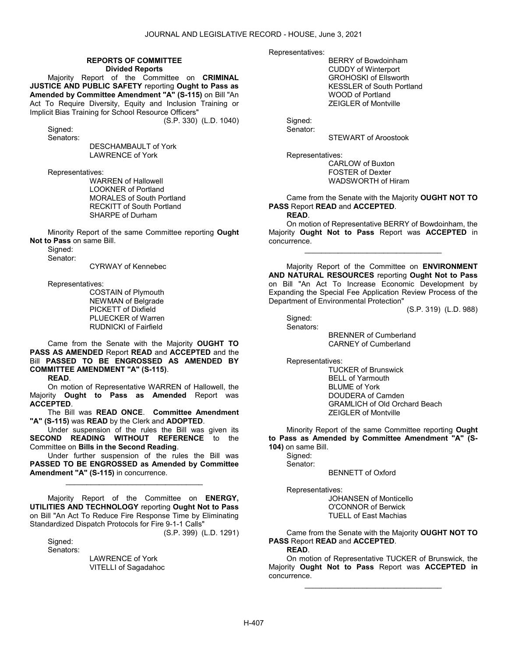#### REPORTS OF COMMITTEE Divided Reports

 Majority Report of the Committee on CRIMINAL JUSTICE AND PUBLIC SAFETY reporting Ought to Pass as Amended by Committee Amendment "A" (S-115) on Bill "An Act To Require Diversity, Equity and Inclusion Training or Implicit Bias Training for School Resource Officers" (S.P. 330) (L.D. 1040)

Sianed: Senators:

 DESCHAMBAULT of York LAWRENCE of York

Representatives:

 WARREN of Hallowell LOOKNER of Portland MORALES of South Portland RECKITT of South Portland SHARPE of Durham

 Minority Report of the same Committee reporting Ought Not to Pass on same Bill.

Signed:

Senator:

CYRWAY of Kennebec

Representatives:

 COSTAIN of Plymouth NEWMAN of Belgrade PICKETT of Dixfield PLUECKER of Warren RUDNICKI of Fairfield

 Came from the Senate with the Majority OUGHT TO PASS AS AMENDED Report READ and ACCEPTED and the Bill PASSED TO BE ENGROSSED AS AMENDED BY COMMITTEE AMENDMENT "A" (S-115).

READ.

 On motion of Representative WARREN of Hallowell, the Majority Ought to Pass as Amended Report was **ACCEPTED.** 

 The Bill was READ ONCE. Committee Amendment "A" (S-115) was READ by the Clerk and ADOPTED.

 Under suspension of the rules the Bill was given its SECOND READING WITHOUT REFERENCE to the Committee on Bills in the Second Reading.

 Under further suspension of the rules the Bill was PASSED TO BE ENGROSSED as Amended by Committee Amendment "A" (S-115) in concurrence.

\_\_\_\_\_\_\_\_\_\_\_\_\_\_\_\_\_\_\_\_\_\_\_\_\_\_\_\_\_\_\_\_\_

 Majority Report of the Committee on ENERGY, UTILITIES AND TECHNOLOGY reporting Ought Not to Pass on Bill "An Act To Reduce Fire Response Time by Eliminating Standardized Dispatch Protocols for Fire 9-1-1 Calls"

(S.P. 399) (L.D. 1291)

 Signed: Senators:

> LAWRENCE of York VITELLI of Sagadahoc

Representatives:

 BERRY of Bowdoinham CUDDY of Winterport GROHOSKI of Ellsworth KESSLER of South Portland WOOD of Portland ZEIGLER of Montville

Signed:

Senator:

STEWART of Aroostook

Representatives:

 CARLOW of Buxton FOSTER of Dexter WADSWORTH of Hiram

 Came from the Senate with the Majority OUGHT NOT TO PASS Report READ and ACCEPTED.

READ.

 On motion of Representative BERRY of Bowdoinham, the Majority Ought Not to Pass Report was ACCEPTED in concurrence.

\_\_\_\_\_\_\_\_\_\_\_\_\_\_\_\_\_\_\_\_\_\_\_\_\_\_\_\_\_\_\_\_\_

 Majority Report of the Committee on ENVIRONMENT AND NATURAL RESOURCES reporting Ought Not to Pass on Bill "An Act To Increase Economic Development by Expanding the Special Fee Application Review Process of the Department of Environmental Protection"

(S.P. 319) (L.D. 988)

 Signed: Senators:

 BRENNER of Cumberland CARNEY of Cumberland

Representatives:

 TUCKER of Brunswick BELL of Yarmouth BLUME of York DOUDERA of Camden GRAMLICH of Old Orchard Beach ZEIGLER of Montville

 Minority Report of the same Committee reporting Ought to Pass as Amended by Committee Amendment "A" (S-104) on same Bill.

 Signed: Senator:

BENNETT of Oxford

Representatives:

 JOHANSEN of Monticello O'CONNOR of Berwick TUELL of East Machias

 Came from the Senate with the Majority OUGHT NOT TO PASS Report READ and ACCEPTED.

READ.

 On motion of Representative TUCKER of Brunswick, the Majority Ought Not to Pass Report was ACCEPTED in concurrence.

\_\_\_\_\_\_\_\_\_\_\_\_\_\_\_\_\_\_\_\_\_\_\_\_\_\_\_\_\_\_\_\_\_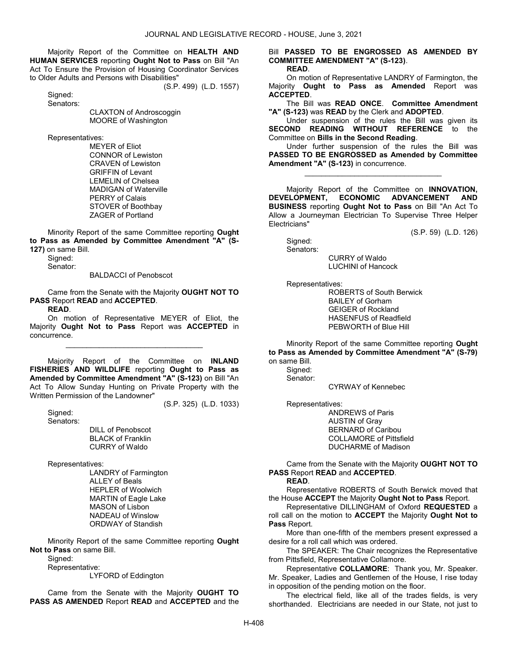Majority Report of the Committee on HEALTH AND HUMAN SERVICES reporting Ought Not to Pass on Bill "An Act To Ensure the Provision of Housing Coordinator Services to Older Adults and Persons with Disabilities"

(S.P. 499) (L.D. 1557)

Sianed: Senators:

> CLAXTON of Androscoggin MOORE of Washington

Representatives:

 MEYER of Eliot CONNOR of Lewiston CRAVEN of Lewiston GRIFFIN of Levant LEMELIN of Chelsea MADIGAN of Waterville PERRY of Calais STOVER of Boothbay ZAGER of Portland

 Minority Report of the same Committee reporting Ought to Pass as Amended by Committee Amendment "A" (S-127) on same Bill.

 Signed: Senator:

BALDACCI of Penobscot

 Came from the Senate with the Majority OUGHT NOT TO PASS Report READ and ACCEPTED.

READ.

 On motion of Representative MEYER of Eliot, the Majority Ought Not to Pass Report was ACCEPTED in concurrence.

\_\_\_\_\_\_\_\_\_\_\_\_\_\_\_\_\_\_\_\_\_\_\_\_\_\_\_\_\_\_\_\_\_

 Majority Report of the Committee on INLAND FISHERIES AND WILDLIFE reporting Ought to Pass as Amended by Committee Amendment "A" (S-123) on Bill "An Act To Allow Sunday Hunting on Private Property with the Written Permission of the Landowner"

(S.P. 325) (L.D. 1033)

 Signed: Senators:

 DILL of Penobscot BLACK of Franklin CURRY of Waldo

Representatives:

 LANDRY of Farmington ALLEY of Beals HEPLER of Woolwich MARTIN of Eagle Lake MASON of Lisbon NADEAU of Winslow ORDWAY of Standish

 Minority Report of the same Committee reporting Ought Not to Pass on same Bill.

Signed:

Representative:

LYFORD of Eddington

 Came from the Senate with the Majority OUGHT TO PASS AS AMENDED Report READ and ACCEPTED and the Bill PASSED TO BE ENGROSSED AS AMENDED BY COMMITTEE AMENDMENT "A" (S-123). READ.

 On motion of Representative LANDRY of Farmington, the Majority Ought to Pass as Amended Report was ACCEPTED.

 The Bill was READ ONCE. Committee Amendment "A" (S-123) was READ by the Clerk and ADOPTED.

 Under suspension of the rules the Bill was given its SECOND READING WITHOUT REFERENCE to the Committee on Bills in the Second Reading.

 Under further suspension of the rules the Bill was PASSED TO BE ENGROSSED as Amended by Committee Amendment "A" (S-123) in concurrence.

\_\_\_\_\_\_\_\_\_\_\_\_\_\_\_\_\_\_\_\_\_\_\_\_\_\_\_\_\_\_\_\_\_

Majority Report of the Committee on **INNOVATION,**<br>ELOPMENT. ECONOMIC ADVANCEMENT AND DEVELOPMENT, ECONOMIC ADVANCEMENT AND BUSINESS reporting Ought Not to Pass on Bill "An Act To Allow a Journeyman Electrician To Supervise Three Helper Electricians"

(S.P. 59) (L.D. 126)

 Signed: Senators:

 CURRY of Waldo LUCHINI of Hancock

Representatives:

 ROBERTS of South Berwick BAILEY of Gorham GEIGER of Rockland HASENFUS of Readfield PEBWORTH of Blue Hill

 Minority Report of the same Committee reporting Ought to Pass as Amended by Committee Amendment "A" (S-79) on same Bill.

 Signed: Senator:

CYRWAY of Kennebec

Representatives:

 ANDREWS of Paris AUSTIN of Gray BERNARD of Caribou COLLAMORE of Pittsfield DUCHARME of Madison

 Came from the Senate with the Majority OUGHT NOT TO PASS Report READ and ACCEPTED.

READ.

 Representative ROBERTS of South Berwick moved that the House ACCEPT the Majority Ought Not to Pass Report.

 Representative DILLINGHAM of Oxford REQUESTED a roll call on the motion to ACCEPT the Majority Ought Not to Pass Report.

 More than one-fifth of the members present expressed a desire for a roll call which was ordered.

 The SPEAKER: The Chair recognizes the Representative from Pittsfield, Representative Collamore.

 Representative COLLAMORE: Thank you, Mr. Speaker. Mr. Speaker, Ladies and Gentlemen of the House, I rise today in opposition of the pending motion on the floor.

 The electrical field, like all of the trades fields, is very shorthanded. Electricians are needed in our State, not just to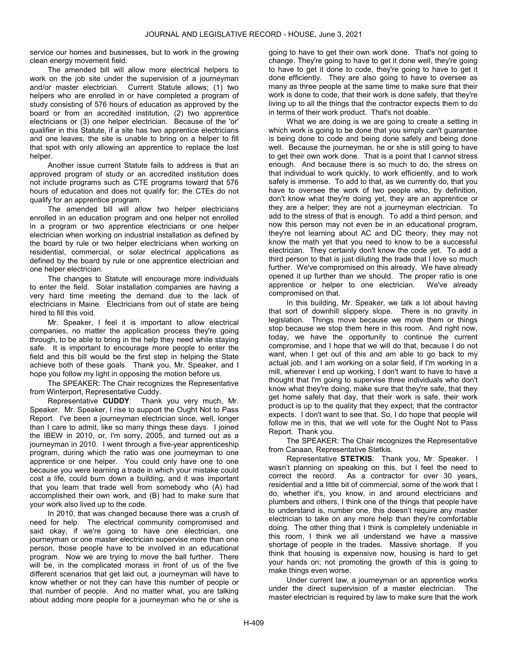service our homes and businesses, but to work in the growing clean energy movement field.

 The amended bill will allow more electrical helpers to work on the job site under the supervision of a journeyman and/or master electrician. Current Statute allows; (1) two helpers who are enrolled in or have completed a program of study consisting of 576 hours of education as approved by the board or from an accredited institution, (2) two apprentice electricians or (3) one helper electrician. Because of the 'or' qualifier in this Statute, if a site has two apprentice electricians and one leaves, the site is unable to bring on a helper to fill that spot with only allowing an apprentice to replace the lost helper.

 Another issue current Statute fails to address is that an approved program of study or an accredited institution does not include programs such as CTE programs toward that 576 hours of education and does not qualify for; the CTEs do not qualify for an apprentice program.

 The amended bill will allow two helper electricians enrolled in an education program and one helper not enrolled in a program or two apprentice electricians or one helper electrician when working on industrial installation as defined by the board by rule or two helper electricians when working on residential, commercial, or solar electrical applications as defined by the board by rule or one apprentice electrician and one helper electrician.

 The changes to Statute will encourage more individuals to enter the field. Solar installation companies are having a very hard time meeting the demand due to the lack of electricians in Maine. Electricians from out of state are being hired to fill this void.

 Mr. Speaker, I feel it is important to allow electrical companies, no matter the application process they're going through, to be able to bring in the help they need while staying safe. It is important to encourage more people to enter the field and this bill would be the first step in helping the State achieve both of these goals. Thank you, Mr. Speaker, and I hope you follow my light in opposing the motion before us.

 The SPEAKER: The Chair recognizes the Representative from Winterport, Representative Cuddy.

 Representative CUDDY: Thank you very much, Mr. Speaker. Mr. Speaker, I rise to support the Ought Not to Pass Report. I've been a journeyman electrician since, well, longer than I care to admit, like so many things these days. I joined the IBEW in 2010, or, I'm sorry, 2005, and turned out as a journeyman in 2010. I went through a five-year apprenticeship program, during which the ratio was one journeyman to one apprentice or one helper. You could only have one to one because you were learning a trade in which your mistake could cost a life, could burn down a building, and it was important that you learn that trade well from somebody who (A) had accomplished their own work, and (B) had to make sure that your work also lived up to the code.

 In 2010, that was changed because there was a crush of need for help. The electrical community compromised and said okay, if we're going to have one electrician, one journeyman or one master electrician supervise more than one person, those people have to be involved in an educational program. Now we are trying to move the ball further. There will be, in the complicated morass in front of us of the five different scenarios that get laid out, a journeyman will have to know whether or not they can have this number of people or that number of people. And no matter what, you are talking about adding more people for a journeyman who he or she is

going to have to get their own work done. That's not going to change. They're going to have to get it done well, they're going to have to get it done to code, they're going to have to get it done efficiently. They are also going to have to oversee as many as three people at the same time to make sure that their work is done to code, that their work is done safely, that they're living up to all the things that the contractor expects them to do in terms of their work product. That's not doable.

 What we are doing is we are going to create a setting in which work is going to be done that you simply can't guarantee is being done to code and being done safely and being done well. Because the journeyman, he or she is still going to have to get their own work done. That is a point that I cannot stress enough. And because there is so much to do, the stress on that individual to work quickly, to work efficiently, and to work safely is immense. To add to that, as we currently do, that you have to oversee the work of two people who, by definition, don't know what they're doing yet, they are an apprentice or they are a helper; they are not a journeyman electrician. To add to the stress of that is enough. To add a third person, and now this person may not even be in an educational program, they're not learning about AC and DC theory, they may not know the math yet that you need to know to be a successful electrician. They certainly don't know the code yet. To add a third person to that is just diluting the trade that I love so much further. We've compromised on this already. We have already opened it up further than we should. The proper ratio is one apprentice or helper to one electrician. We've already compromised on that.

 In this building, Mr. Speaker, we talk a lot about having that sort of downhill slippery slope. There is no gravity in legislation. Things move because we move them or things stop because we stop them here in this room. And right now, today, we have the opportunity to continue the current compromise, and I hope that we will do that, because I do not want, when I get out of this and am able to go back to my actual job, and I am working on a solar field, if I'm working in a mill, wherever I end up working, I don't want to have to have a thought that I'm going to supervise three individuals who don't know what they're doing, make sure that they're safe, that they get home safely that day, that their work is safe, their work product is up to the quality that they expect; that the contractor expects. I don't want to see that. So, I do hope that people will follow me in this, that we will vote for the Ought Not to Pass Report. Thank you.

 The SPEAKER: The Chair recognizes the Representative from Canaan, Representative Stetkis.

Representative **STETKIS:** Thank you, Mr. Speaker. I wasn't planning on speaking on this, but I feel the need to correct the record. As a contractor for over 30 years, residential and a little bit of commercial, some of the work that I do, whether it's, you know, in and around electricians and plumbers and others, I think one of the things that people have to understand is, number one, this doesn't require any master electrician to take on any more help than they're comfortable doing. The other thing that I think is completely undeniable in this room, I think we all understand we have a massive shortage of people in the trades. Massive shortage. If you think that housing is expensive now, housing is hard to get your hands on; not promoting the growth of this is going to make things even worse.

 Under current law, a journeyman or an apprentice works under the direct supervision of a master electrician. The master electrician is required by law to make sure that the work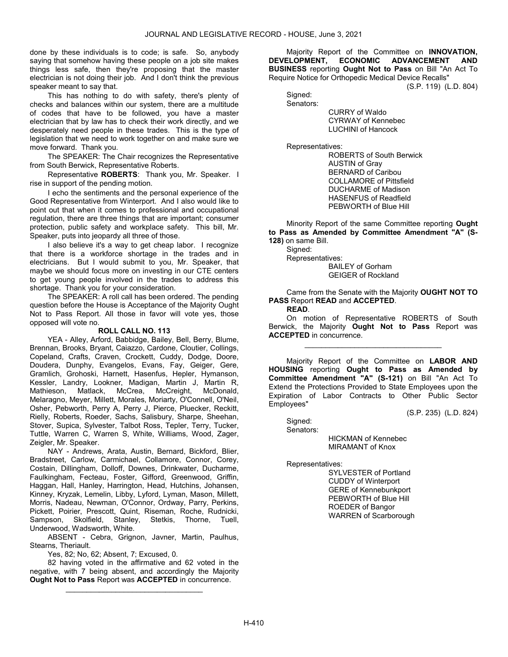done by these individuals is to code; is safe. So, anybody saying that somehow having these people on a job site makes things less safe, then they're proposing that the master electrician is not doing their job. And I don't think the previous speaker meant to say that.

 This has nothing to do with safety, there's plenty of checks and balances within our system, there are a multitude of codes that have to be followed, you have a master electrician that by law has to check their work directly, and we desperately need people in these trades. This is the type of legislation that we need to work together on and make sure we move forward. Thank you.

 The SPEAKER: The Chair recognizes the Representative from South Berwick, Representative Roberts.

Representative **ROBERTS:** Thank you, Mr. Speaker. I rise in support of the pending motion.

 I echo the sentiments and the personal experience of the Good Representative from Winterport. And I also would like to point out that when it comes to professional and occupational regulation, there are three things that are important; consumer protection, public safety and workplace safety. This bill, Mr. Speaker, puts into jeopardy all three of those.

 I also believe it's a way to get cheap labor. I recognize that there is a workforce shortage in the trades and in electricians. But I would submit to you, Mr. Speaker, that maybe we should focus more on investing in our CTE centers to get young people involved in the trades to address this shortage. Thank you for your consideration.

 The SPEAKER: A roll call has been ordered. The pending question before the House is Acceptance of the Majority Ought Not to Pass Report. All those in favor will vote yes, those opposed will vote no.

### ROLL CALL NO. 113

 YEA - Alley, Arford, Babbidge, Bailey, Bell, Berry, Blume, Brennan, Brooks, Bryant, Caiazzo, Cardone, Cloutier, Collings, Copeland, Crafts, Craven, Crockett, Cuddy, Dodge, Doore, Doudera, Dunphy, Evangelos, Evans, Fay, Geiger, Gere, Gramlich, Grohoski, Harnett, Hasenfus, Hepler, Hymanson, Kessler, Landry, Lookner, Madigan, Martin J, Martin R, Matlack, McCrea, McCreight, McDonald, Melaragno, Meyer, Millett, Morales, Moriarty, O'Connell, O'Neil, Osher, Pebworth, Perry A, Perry J, Pierce, Pluecker, Reckitt, Rielly, Roberts, Roeder, Sachs, Salisbury, Sharpe, Sheehan, Stover, Supica, Sylvester, Talbot Ross, Tepler, Terry, Tucker, Tuttle, Warren C, Warren S, White, Williams, Wood, Zager, Zeigler, Mr. Speaker.

 NAY - Andrews, Arata, Austin, Bernard, Bickford, Blier, Bradstreet, Carlow, Carmichael, Collamore, Connor, Corey, Costain, Dillingham, Dolloff, Downes, Drinkwater, Ducharme, Faulkingham, Fecteau, Foster, Gifford, Greenwood, Griffin, Haggan, Hall, Hanley, Harrington, Head, Hutchins, Johansen, Kinney, Kryzak, Lemelin, Libby, Lyford, Lyman, Mason, Millett, Morris, Nadeau, Newman, O'Connor, Ordway, Parry, Perkins, Pickett, Poirier, Prescott, Quint, Riseman, Roche, Rudnicki, Sampson, Skolfield, Stanley, Stetkis, Thorne, Tuell, Underwood, Wadsworth, White.

 ABSENT - Cebra, Grignon, Javner, Martin, Paulhus, Stearns, Theriault.

Yes, 82; No, 62; Absent, 7; Excused, 0.

 82 having voted in the affirmative and 62 voted in the negative, with 7 being absent, and accordingly the Majority Ought Not to Pass Report was ACCEPTED in concurrence.

\_\_\_\_\_\_\_\_\_\_\_\_\_\_\_\_\_\_\_\_\_\_\_\_\_\_\_\_\_\_\_\_\_

 Majority Report of the Committee on INNOVATION, DEVELOPMENT, ECONOMIC ADVANCEMENT AND BUSINESS reporting Ought Not to Pass on Bill "An Act To Require Notice for Orthopedic Medical Device Recalls"

(S.P. 119) (L.D. 804)

 Signed: Senators:

 CURRY of Waldo CYRWAY of Kennebec LUCHINI of Hancock

Representatives:

 ROBERTS of South Berwick AUSTIN of Gray BERNARD of Caribou COLLAMORE of Pittsfield DUCHARME of Madison HASENFUS of Readfield PEBWORTH of Blue Hill

 Minority Report of the same Committee reporting Ought to Pass as Amended by Committee Amendment "A" (S-128) on same Bill.

 Signed: Representatives:

 BAILEY of Gorham GEIGER of Rockland

 Came from the Senate with the Majority OUGHT NOT TO PASS Report READ and ACCEPTED.

READ.

 On motion of Representative ROBERTS of South Berwick, the Majority Ought Not to Pass Report was ACCEPTED in concurrence.

\_\_\_\_\_\_\_\_\_\_\_\_\_\_\_\_\_\_\_\_\_\_\_\_\_\_\_\_\_\_\_\_\_

 Majority Report of the Committee on LABOR AND HOUSING reporting Ought to Pass as Amended by Committee Amendment "A" (S-121) on Bill "An Act To Extend the Protections Provided to State Employees upon the Expiration of Labor Contracts to Other Public Sector Employees"

(S.P. 235) (L.D. 824)

 Signed: Senators:

> HICKMAN of Kennebec MIRAMANT of Knox

Representatives:

 SYLVESTER of Portland CUDDY of Winterport GERE of Kennebunkport PEBWORTH of Blue Hill ROEDER of Bangor WARREN of Scarborough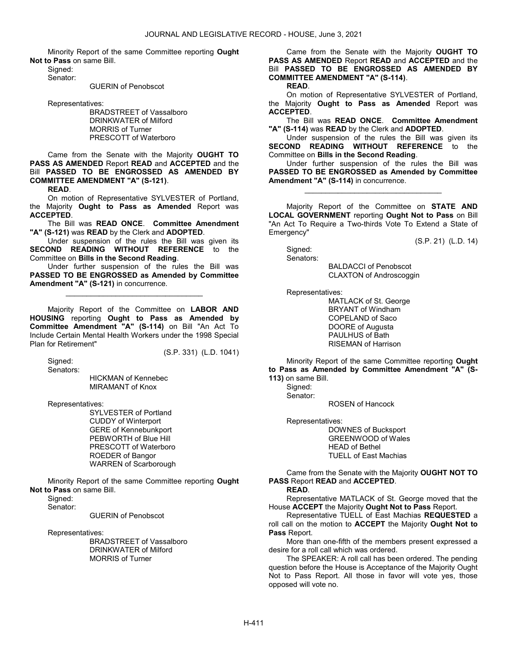Minority Report of the same Committee reporting Ought Not to Pass on same Bill.

 Signed: Senator:

GUERIN of Penobscot

Representatives:

 BRADSTREET of Vassalboro DRINKWATER of Milford MORRIS of Turner PRESCOTT of Waterboro

 Came from the Senate with the Majority OUGHT TO PASS AS AMENDED Report READ and ACCEPTED and the Bill PASSED TO BE ENGROSSED AS AMENDED BY COMMITTEE AMENDMENT "A" (S-121).

READ.

 On motion of Representative SYLVESTER of Portland, the Majority Ought to Pass as Amended Report was ACCEPTED.

 The Bill was READ ONCE. Committee Amendment "A" (S-121) was READ by the Clerk and ADOPTED.

 Under suspension of the rules the Bill was given its SECOND READING WITHOUT REFERENCE to the Committee on Bills in the Second Reading.

 Under further suspension of the rules the Bill was PASSED TO BE ENGROSSED as Amended by Committee Amendment "A" (S-121) in concurrence.

\_\_\_\_\_\_\_\_\_\_\_\_\_\_\_\_\_\_\_\_\_\_\_\_\_\_\_\_\_\_\_\_\_

 Majority Report of the Committee on LABOR AND HOUSING reporting Ought to Pass as Amended by Committee Amendment "A" (S-114) on Bill "An Act To Include Certain Mental Health Workers under the 1998 Special Plan for Retirement"

(S.P. 331) (L.D. 1041)

 Signed: Senators:

 HICKMAN of Kennebec MIRAMANT of Knox

Representatives:

 SYLVESTER of Portland CUDDY of Winterport GERE of Kennebunkport PEBWORTH of Blue Hill PRESCOTT of Waterboro ROEDER of Bangor WARREN of Scarborough

 Minority Report of the same Committee reporting Ought Not to Pass on same Bill.

Signed:

Senator:

GUERIN of Penobscot

Representatives:

 BRADSTREET of Vassalboro DRINKWATER of Milford MORRIS of Turner

 Came from the Senate with the Majority OUGHT TO PASS AS AMENDED Report READ and ACCEPTED and the Bill PASSED TO BE ENGROSSED AS AMENDED BY COMMITTEE AMENDMENT "A" (S-114).

READ.

 On motion of Representative SYLVESTER of Portland, the Majority Ought to Pass as Amended Report was ACCEPTED.

 The Bill was READ ONCE. Committee Amendment "A" (S-114) was READ by the Clerk and ADOPTED.

 Under suspension of the rules the Bill was given its SECOND READING WITHOUT REFERENCE to the Committee on Bills in the Second Reading.

 Under further suspension of the rules the Bill was PASSED TO BE ENGROSSED as Amended by Committee Amendment "A" (S-114) in concurrence.

\_\_\_\_\_\_\_\_\_\_\_\_\_\_\_\_\_\_\_\_\_\_\_\_\_\_\_\_\_\_\_\_\_

 Majority Report of the Committee on STATE AND LOCAL GOVERNMENT reporting Ought Not to Pass on Bill "An Act To Require a Two-thirds Vote To Extend a State of Emergency"

(S.P. 21) (L.D. 14)

 Signed: Senators:

> BALDACCI of Penobscot CLAXTON of Androscoggin

Representatives:

 MATLACK of St. George BRYANT of Windham COPELAND of Saco DOORE of Augusta PAULHUS of Bath RISEMAN of Harrison

 Minority Report of the same Committee reporting Ought to Pass as Amended by Committee Amendment "A" (S-113) on same Bill.

Signed:

Senator:

ROSEN of Hancock

Representatives:

 DOWNES of Bucksport GREENWOOD of Wales HEAD of Bethel TUELL of East Machias

 Came from the Senate with the Majority OUGHT NOT TO PASS Report READ and ACCEPTED.

# READ.

 Representative MATLACK of St. George moved that the House ACCEPT the Majority Ought Not to Pass Report.

 Representative TUELL of East Machias REQUESTED a roll call on the motion to ACCEPT the Majority Ought Not to Pass Report.

 More than one-fifth of the members present expressed a desire for a roll call which was ordered.

 The SPEAKER: A roll call has been ordered. The pending question before the House is Acceptance of the Majority Ought Not to Pass Report. All those in favor will vote yes, those opposed will vote no.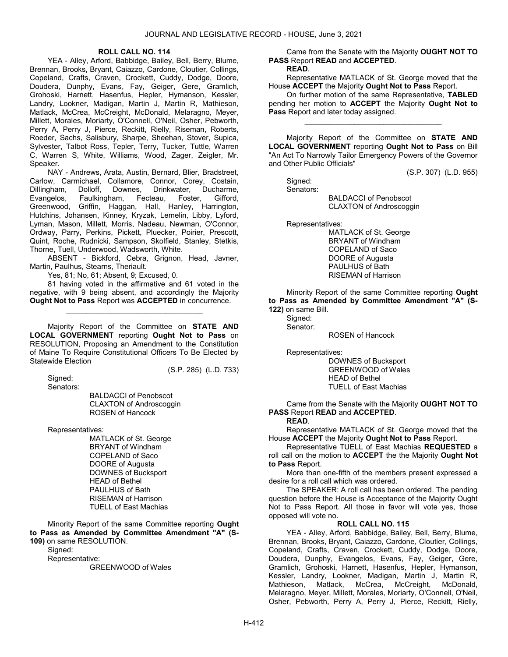#### ROLL CALL NO. 114

 YEA - Alley, Arford, Babbidge, Bailey, Bell, Berry, Blume, Brennan, Brooks, Bryant, Caiazzo, Cardone, Cloutier, Collings, Copeland, Crafts, Craven, Crockett, Cuddy, Dodge, Doore, Doudera, Dunphy, Evans, Fay, Geiger, Gere, Gramlich, Grohoski, Harnett, Hasenfus, Hepler, Hymanson, Kessler, Landry, Lookner, Madigan, Martin J, Martin R, Mathieson, Matlack, McCrea, McCreight, McDonald, Melaragno, Meyer, Millett, Morales, Moriarty, O'Connell, O'Neil, Osher, Pebworth, Perry A, Perry J, Pierce, Reckitt, Rielly, Riseman, Roberts, Roeder, Sachs, Salisbury, Sharpe, Sheehan, Stover, Supica, Sylvester, Talbot Ross, Tepler, Terry, Tucker, Tuttle, Warren C, Warren S, White, Williams, Wood, Zager, Zeigler, Mr. Speaker.

 NAY - Andrews, Arata, Austin, Bernard, Blier, Bradstreet, Carlow, Carmichael, Collamore, Connor, Corey, Costain,<br>Dillingham, Dolloff, Downes, Drinkwater, Ducharme, Dillingham, Dolloff, Downes, Drinkwater, Ducharme, Faulkingham, Fecteau, Foster, Gifford, Greenwood, Griffin, Haggan, Hall, Hanley, Harrington, Hutchins, Johansen, Kinney, Kryzak, Lemelin, Libby, Lyford, Lyman, Mason, Millett, Morris, Nadeau, Newman, O'Connor, Ordway, Parry, Perkins, Pickett, Pluecker, Poirier, Prescott, Quint, Roche, Rudnicki, Sampson, Skolfield, Stanley, Stetkis, Thorne, Tuell, Underwood, Wadsworth, White.

 ABSENT - Bickford, Cebra, Grignon, Head, Javner, Martin, Paulhus, Stearns, Theriault.

Yes, 81; No, 61; Absent, 9; Excused, 0.

 81 having voted in the affirmative and 61 voted in the negative, with 9 being absent, and accordingly the Majority Ought Not to Pass Report was ACCEPTED in concurrence.

\_\_\_\_\_\_\_\_\_\_\_\_\_\_\_\_\_\_\_\_\_\_\_\_\_\_\_\_\_\_\_\_\_

 Majority Report of the Committee on STATE AND LOCAL GOVERNMENT reporting Ought Not to Pass on RESOLUTION, Proposing an Amendment to the Constitution of Maine To Require Constitutional Officers To Be Elected by Statewide Election

Signed:

(S.P. 285) (L.D. 733)

Senators:

 BALDACCI of Penobscot CLAXTON of Androscoggin ROSEN of Hancock

Representatives:

 MATLACK of St. George BRYANT of Windham COPELAND of Saco DOORE of Augusta DOWNES of Bucksport HEAD of Bethel PAULHUS of Bath RISEMAN of Harrison TUELL of East Machias

 Minority Report of the same Committee reporting Ought to Pass as Amended by Committee Amendment "A" (S-109) on same RESOLUTION.

Signed:

Representative:

GREENWOOD of Wales

 Came from the Senate with the Majority OUGHT NOT TO PASS Report READ and ACCEPTED.

# READ.

 Representative MATLACK of St. George moved that the House ACCEPT the Majority Ought Not to Pass Report.

 On further motion of the same Representative, TABLED pending her motion to ACCEPT the Majority Ought Not to Pass Report and later today assigned.

\_\_\_\_\_\_\_\_\_\_\_\_\_\_\_\_\_\_\_\_\_\_\_\_\_\_\_\_\_\_\_\_\_

 Majority Report of the Committee on STATE AND LOCAL GOVERNMENT reporting Ought Not to Pass on Bill "An Act To Narrowly Tailor Emergency Powers of the Governor and Other Public Officials"

(S.P. 307) (L.D. 955)

Signed:

Senators:

 BALDACCI of Penobscot CLAXTON of Androscoggin

Representatives:

 MATLACK of St. George BRYANT of Windham COPELAND of Saco DOORE of Augusta PAULHUS of Bath RISEMAN of Harrison

 Minority Report of the same Committee reporting Ought to Pass as Amended by Committee Amendment "A" (S-122) on same Bill.

 Signed: Senator:

ROSEN of Hancock

Representatives:

 DOWNES of Bucksport GREENWOOD of Wales HEAD of Bethel TUELL of East Machias

 Came from the Senate with the Majority OUGHT NOT TO PASS Report READ and ACCEPTED.

### READ.

 Representative MATLACK of St. George moved that the House ACCEPT the Majority Ought Not to Pass Report.

 Representative TUELL of East Machias REQUESTED a roll call on the motion to ACCEPT the the Majority Ought Not to Pass Report.

 More than one-fifth of the members present expressed a desire for a roll call which was ordered.

 The SPEAKER: A roll call has been ordered. The pending question before the House is Acceptance of the Majority Ought Not to Pass Report. All those in favor will vote yes, those opposed will vote no.

## ROLL CALL NO. 115

 YEA - Alley, Arford, Babbidge, Bailey, Bell, Berry, Blume, Brennan, Brooks, Bryant, Caiazzo, Cardone, Cloutier, Collings, Copeland, Crafts, Craven, Crockett, Cuddy, Dodge, Doore, Doudera, Dunphy, Evangelos, Evans, Fay, Geiger, Gere, Gramlich, Grohoski, Harnett, Hasenfus, Hepler, Hymanson, Kessler, Landry, Lookner, Madigan, Martin J, Martin R, Mathieson, Matlack, McCrea, McCreight, McDonald, Melaragno, Meyer, Millett, Morales, Moriarty, O'Connell, O'Neil, Osher, Pebworth, Perry A, Perry J, Pierce, Reckitt, Rielly,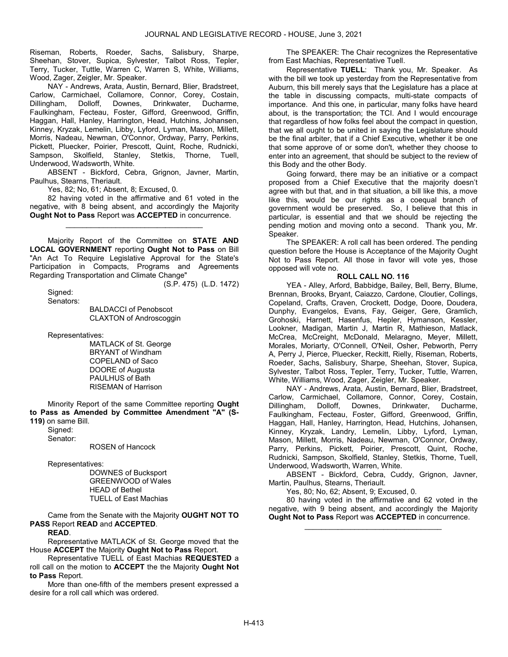Riseman, Roberts, Roeder, Sachs, Salisbury, Sharpe, Sheehan, Stover, Supica, Sylvester, Talbot Ross, Tepler, Terry, Tucker, Tuttle, Warren C, Warren S, White, Williams, Wood, Zager, Zeigler, Mr. Speaker.

 NAY - Andrews, Arata, Austin, Bernard, Blier, Bradstreet, Carlow, Carmichael, Collamore, Connor, Corey, Costain, Dillingham, Dolloff, Downes, Drinkwater, Ducharme, Faulkingham, Fecteau, Foster, Gifford, Greenwood, Griffin, Haggan, Hall, Hanley, Harrington, Head, Hutchins, Johansen, Kinney, Kryzak, Lemelin, Libby, Lyford, Lyman, Mason, Millett, Morris, Nadeau, Newman, O'Connor, Ordway, Parry, Perkins, Pickett, Pluecker, Poirier, Prescott, Quint, Roche, Rudnicki, Sampson, Skolfield, Stanley, Stetkis, Thorne, Tuell, Underwood, Wadsworth, White.

 ABSENT - Bickford, Cebra, Grignon, Javner, Martin, Paulhus, Stearns, Theriault.

Yes, 82; No, 61; Absent, 8; Excused, 0.

 82 having voted in the affirmative and 61 voted in the negative, with 8 being absent, and accordingly the Majority Ought Not to Pass Report was ACCEPTED in concurrence.

\_\_\_\_\_\_\_\_\_\_\_\_\_\_\_\_\_\_\_\_\_\_\_\_\_\_\_\_\_\_\_\_\_

 Majority Report of the Committee on STATE AND LOCAL GOVERNMENT reporting Ought Not to Pass on Bill "An Act To Require Legislative Approval for the State's Participation in Compacts, Programs and Agreements Regarding Transportation and Climate Change"

(S.P. 475) (L.D. 1472)

 Signed: Senators:

 BALDACCI of Penobscot CLAXTON of Androscoggin

Representatives:

 MATLACK of St. George BRYANT of Windham COPELAND of Saco DOORE of Augusta PAULHUS of Bath RISEMAN of Harrison

 Minority Report of the same Committee reporting Ought to Pass as Amended by Committee Amendment "A" (S-119) on same Bill.

Sianed:

Senator:

ROSEN of Hancock

Representatives:

 DOWNES of Bucksport GREENWOOD of Wales HEAD of Bethel TUELL of East Machias

 Came from the Senate with the Majority OUGHT NOT TO PASS Report READ and ACCEPTED.

READ.

 Representative MATLACK of St. George moved that the House ACCEPT the Majority Ought Not to Pass Report.

 Representative TUELL of East Machias REQUESTED a roll call on the motion to ACCEPT the the Majority Ought Not to Pass Report.

 More than one-fifth of the members present expressed a desire for a roll call which was ordered.

 The SPEAKER: The Chair recognizes the Representative from East Machias, Representative Tuell.

 Representative TUELL: Thank you, Mr. Speaker. As with the bill we took up yesterday from the Representative from Auburn, this bill merely says that the Legislature has a place at the table in discussing compacts, multi-state compacts of importance. And this one, in particular, many folks have heard about, is the transportation; the TCI. And I would encourage that regardless of how folks feel about the compact in question, that we all ought to be united in saying the Legislature should be the final arbiter, that if a Chief Executive, whether it be one that some approve of or some don't, whether they choose to enter into an agreement, that should be subject to the review of this Body and the other Body.

 Going forward, there may be an initiative or a compact proposed from a Chief Executive that the majority doesn't agree with but that, and in that situation, a bill like this, a move like this, would be our rights as a coequal branch of government would be preserved. So, I believe that this in particular, is essential and that we should be rejecting the pending motion and moving onto a second. Thank you, Mr. Speaker.

 The SPEAKER: A roll call has been ordered. The pending question before the House is Acceptance of the Majority Ought Not to Pass Report. All those in favor will vote yes, those opposed will vote no.

### ROLL CALL NO. 116

 YEA - Alley, Arford, Babbidge, Bailey, Bell, Berry, Blume, Brennan, Brooks, Bryant, Caiazzo, Cardone, Cloutier, Collings, Copeland, Crafts, Craven, Crockett, Dodge, Doore, Doudera, Dunphy, Evangelos, Evans, Fay, Geiger, Gere, Gramlich, Grohoski, Harnett, Hasenfus, Hepler, Hymanson, Kessler, Lookner, Madigan, Martin J, Martin R, Mathieson, Matlack, McCrea, McCreight, McDonald, Melaragno, Meyer, Millett, Morales, Moriarty, O'Connell, O'Neil, Osher, Pebworth, Perry A, Perry J, Pierce, Pluecker, Reckitt, Rielly, Riseman, Roberts, Roeder, Sachs, Salisbury, Sharpe, Sheehan, Stover, Supica, Sylvester, Talbot Ross, Tepler, Terry, Tucker, Tuttle, Warren, White, Williams, Wood, Zager, Zeigler, Mr. Speaker.

 NAY - Andrews, Arata, Austin, Bernard, Blier, Bradstreet, Carlow, Carmichael, Collamore, Connor, Corey, Costain,<br>Dillingham. Dolloff. Downes. Drinkwater. Ducharme. Dillingham, Dolloff, Downes, Drinkwater, Faulkingham, Fecteau, Foster, Gifford, Greenwood, Griffin, Haggan, Hall, Hanley, Harrington, Head, Hutchins, Johansen, Kinney, Kryzak, Landry, Lemelin, Libby, Lyford, Lyman, Mason, Millett, Morris, Nadeau, Newman, O'Connor, Ordway, Parry, Perkins, Pickett, Poirier, Prescott, Quint, Roche, Rudnicki, Sampson, Skolfield, Stanley, Stetkis, Thorne, Tuell, Underwood, Wadsworth, Warren, White.

 ABSENT - Bickford, Cebra, Cuddy, Grignon, Javner, Martin, Paulhus, Stearns, Theriault.

Yes, 80; No, 62; Absent, 9; Excused, 0.

 80 having voted in the affirmative and 62 voted in the negative, with 9 being absent, and accordingly the Majority Ought Not to Pass Report was ACCEPTED in concurrence.

\_\_\_\_\_\_\_\_\_\_\_\_\_\_\_\_\_\_\_\_\_\_\_\_\_\_\_\_\_\_\_\_\_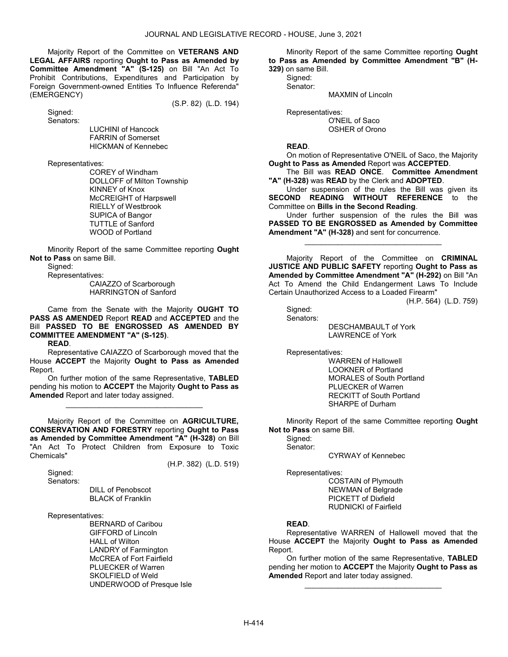Majority Report of the Committee on VETERANS AND LEGAL AFFAIRS reporting Ought to Pass as Amended by Committee Amendment "A" (S-125) on Bill "An Act To Prohibit Contributions, Expenditures and Participation by Foreign Government-owned Entities To Influence Referenda" (EMERGENCY)

(S.P. 82) (L.D. 194)

 Signed: Senators:

 LUCHINI of Hancock FARRIN of Somerset HICKMAN of Kennebec

Representatives:

 COREY of Windham DOLLOFF of Milton Township KINNEY of Knox McCREIGHT of Harpswell RIELLY of Westbrook SUPICA of Bangor TUTTLE of Sanford WOOD of Portland

 Minority Report of the same Committee reporting Ought Not to Pass on same Bill.

Signed:

Representatives:

 CAIAZZO of Scarborough HARRINGTON of Sanford

 Came from the Senate with the Majority OUGHT TO PASS AS AMENDED Report READ and ACCEPTED and the Bill PASSED TO BE ENGROSSED AS AMENDED BY COMMITTEE AMENDMENT "A" (S-125).

READ.

 Representative CAIAZZO of Scarborough moved that the House **ACCEPT** the Majority **Ought to Pass as Amended** Report.

 On further motion of the same Representative, TABLED pending his motion to ACCEPT the Majority Ought to Pass as Amended Report and later today assigned.

\_\_\_\_\_\_\_\_\_\_\_\_\_\_\_\_\_\_\_\_\_\_\_\_\_\_\_\_\_\_\_\_\_

 Majority Report of the Committee on AGRICULTURE, CONSERVATION AND FORESTRY reporting Ought to Pass as Amended by Committee Amendment "A" (H-328) on Bill "An Act To Protect Children from Exposure to Toxic Chemicals"

(H.P. 382) (L.D. 519)

 Signed: Senators:

> DILL of Penobscot BLACK of Franklin

Representatives:

 BERNARD of Caribou GIFFORD of Lincoln HALL of Wilton LANDRY of Farmington McCREA of Fort Fairfield PLUECKER of Warren SKOLFIELD of Weld UNDERWOOD of Presque Isle

 Minority Report of the same Committee reporting Ought to Pass as Amended by Committee Amendment "B" (H-

329) on same Bill. Signed: Senator:

MAXMIN of Lincoln

Representatives:

 O'NEIL of Saco OSHER of Orono

READ.

 On motion of Representative O'NEIL of Saco, the Majority Ought to Pass as Amended Report was ACCEPTED.

 The Bill was READ ONCE. Committee Amendment "A" (H-328) was READ by the Clerk and ADOPTED.

 Under suspension of the rules the Bill was given its SECOND READING WITHOUT REFERENCE to the Committee on Bills in the Second Reading.

 Under further suspension of the rules the Bill was PASSED TO BE ENGROSSED as Amended by Committee Amendment "A" (H-328) and sent for concurrence.

\_\_\_\_\_\_\_\_\_\_\_\_\_\_\_\_\_\_\_\_\_\_\_\_\_\_\_\_\_\_\_\_\_

 Majority Report of the Committee on CRIMINAL JUSTICE AND PUBLIC SAFETY reporting Ought to Pass as Amended by Committee Amendment "A" (H-292) on Bill "An Act To Amend the Child Endangerment Laws To Include Certain Unauthorized Access to a Loaded Firearm"

(H.P. 564) (L.D. 759)

 Signed: Senators:

 DESCHAMBAULT of York LAWRENCE of York

Representatives:

 WARREN of Hallowell LOOKNER of Portland MORALES of South Portland PLUECKER of Warren RECKITT of South Portland SHARPE of Durham

 Minority Report of the same Committee reporting Ought Not to Pass on same Bill.

Signed: Senator:

CYRWAY of Kennebec

Representatives:

 COSTAIN of Plymouth NEWMAN of Belgrade PICKETT of Dixfield RUDNICKI of Fairfield

## READ.

 Representative WARREN of Hallowell moved that the House ACCEPT the Majority Ought to Pass as Amended Report.

 On further motion of the same Representative, TABLED pending her motion to ACCEPT the Majority Ought to Pass as Amended Report and later today assigned.

\_\_\_\_\_\_\_\_\_\_\_\_\_\_\_\_\_\_\_\_\_\_\_\_\_\_\_\_\_\_\_\_\_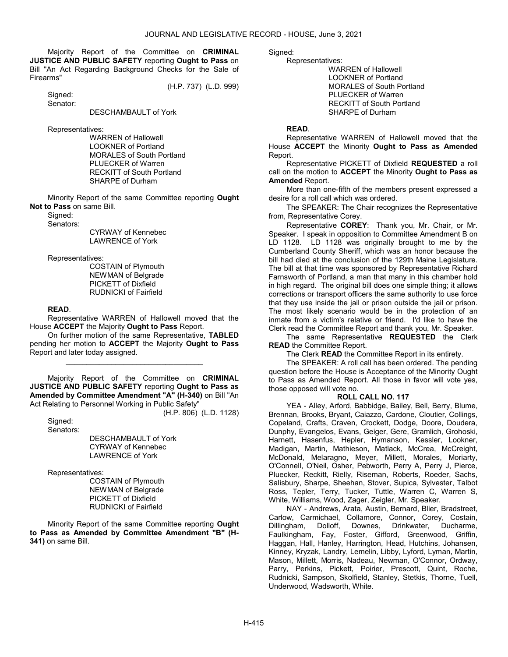Majority Report of the Committee on CRIMINAL JUSTICE AND PUBLIC SAFETY reporting Ought to Pass on Bill "An Act Regarding Background Checks for the Sale of Firearms"

(H.P. 737) (L.D. 999)

 Signed: Senator:

DESCHAMBAULT of York

Representatives:

 WARREN of Hallowell LOOKNER of Portland MORALES of South Portland PLUECKER of Warren RECKITT of South Portland SHARPE of Durham

 Minority Report of the same Committee reporting Ought Not to Pass on same Bill.

Signed:

Senators:

 CYRWAY of Kennebec LAWRENCE of York

Representatives:

 COSTAIN of Plymouth NEWMAN of Belgrade PICKETT of Dixfield RUDNICKI of Fairfield

### READ.

 Representative WARREN of Hallowell moved that the House ACCEPT the Majority Ought to Pass Report.

 On further motion of the same Representative, TABLED pending her motion to ACCEPT the Majority Ought to Pass Report and later today assigned.

\_\_\_\_\_\_\_\_\_\_\_\_\_\_\_\_\_\_\_\_\_\_\_\_\_\_\_\_\_\_\_\_\_

 Majority Report of the Committee on CRIMINAL JUSTICE AND PUBLIC SAFETY reporting Ought to Pass as Amended by Committee Amendment "A" (H-340) on Bill "An Act Relating to Personnel Working in Public Safety"

(H.P. 806) (L.D. 1128)

 Signed: Senators:

> DESCHAMBAULT of York CYRWAY of Kennebec LAWRENCE of York

Representatives:

 COSTAIN of Plymouth NEWMAN of Belgrade PICKETT of Dixfield RUDNICKI of Fairfield

 Minority Report of the same Committee reporting Ought to Pass as Amended by Committee Amendment "B" (H-341) on same Bill.

Sianed:

Representatives:

 WARREN of Hallowell LOOKNER of Portland MORALES of South Portland PLUECKER of Warren RECKITT of South Portland SHARPE of Durham

#### READ.

 Representative WARREN of Hallowell moved that the House ACCEPT the Minority Ought to Pass as Amended Report.

 Representative PICKETT of Dixfield REQUESTED a roll call on the motion to ACCEPT the Minority Ought to Pass as Amended Report.

 More than one-fifth of the members present expressed a desire for a roll call which was ordered.

 The SPEAKER: The Chair recognizes the Representative from, Representative Corey.

 Representative COREY: Thank you, Mr. Chair, or Mr. Speaker. I speak in opposition to Committee Amendment B on LD 1128. LD 1128 was originally brought to me by the Cumberland County Sheriff, which was an honor because the bill had died at the conclusion of the 129th Maine Legislature. The bill at that time was sponsored by Representative Richard Farnsworth of Portland, a man that many in this chamber hold in high regard. The original bill does one simple thing; it allows corrections or transport officers the same authority to use force that they use inside the jail or prison outside the jail or prison. The most likely scenario would be in the protection of an inmate from a victim's relative or friend. I'd like to have the Clerk read the Committee Report and thank you, Mr. Speaker.

The same Representative REQUESTED the Clerk READ the Committee Report.

The Clerk READ the Committee Report in its entirety.

 The SPEAKER: A roll call has been ordered. The pending question before the House is Acceptance of the Minority Ought to Pass as Amended Report. All those in favor will vote yes, those opposed will vote no.

# ROLL CALL NO. 117

 YEA - Alley, Arford, Babbidge, Bailey, Bell, Berry, Blume, Brennan, Brooks, Bryant, Caiazzo, Cardone, Cloutier, Collings, Copeland, Crafts, Craven, Crockett, Dodge, Doore, Doudera, Dunphy, Evangelos, Evans, Geiger, Gere, Gramlich, Grohoski, Harnett, Hasenfus, Hepler, Hymanson, Kessler, Lookner, Madigan, Martin, Mathieson, Matlack, McCrea, McCreight, McDonald, Melaragno, Meyer, Millett, Morales, Moriarty, O'Connell, O'Neil, Osher, Pebworth, Perry A, Perry J, Pierce, Pluecker, Reckitt, Rielly, Riseman, Roberts, Roeder, Sachs, Salisbury, Sharpe, Sheehan, Stover, Supica, Sylvester, Talbot Ross, Tepler, Terry, Tucker, Tuttle, Warren C, Warren S, White, Williams, Wood, Zager, Zeigler, Mr. Speaker.

 NAY - Andrews, Arata, Austin, Bernard, Blier, Bradstreet, Carlow, Carmichael, Collamore, Connor, Corey, Costain, Dillingham, Dolloff, Downes, Drinkwater, Ducharme, Faulkingham, Fay, Foster, Gifford, Greenwood, Griffin, Haggan, Hall, Hanley, Harrington, Head, Hutchins, Johansen, Kinney, Kryzak, Landry, Lemelin, Libby, Lyford, Lyman, Martin, Mason, Millett, Morris, Nadeau, Newman, O'Connor, Ordway, Parry, Perkins, Pickett, Poirier, Prescott, Quint, Roche, Rudnicki, Sampson, Skolfield, Stanley, Stetkis, Thorne, Tuell, Underwood, Wadsworth, White.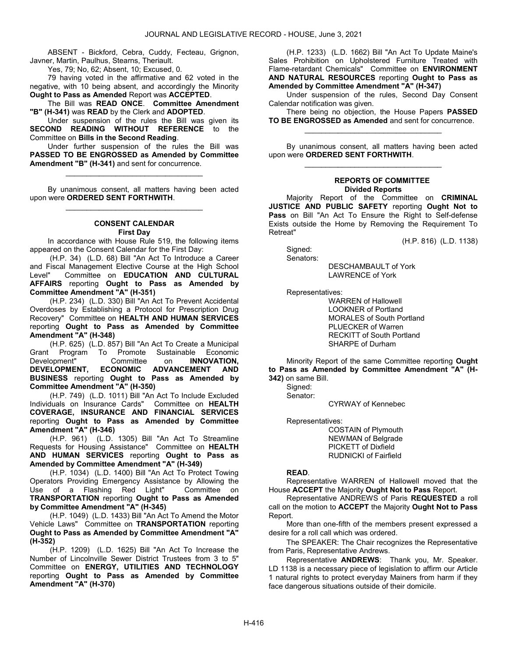ABSENT - Bickford, Cebra, Cuddy, Fecteau, Grignon, Javner, Martin, Paulhus, Stearns, Theriault.

Yes, 79; No, 62; Absent, 10; Excused, 0.

 79 having voted in the affirmative and 62 voted in the negative, with 10 being absent, and accordingly the Minority Ought to Pass as Amended Report was ACCEPTED.

 The Bill was READ ONCE. Committee Amendment "B" (H-341) was READ by the Clerk and ADOPTED.

 Under suspension of the rules the Bill was given its SECOND READING WITHOUT REFERENCE to the Committee on Bills in the Second Reading.

 Under further suspension of the rules the Bill was PASSED TO BE ENGROSSED as Amended by Committee Amendment "B" (H-341) and sent for concurrence.

\_\_\_\_\_\_\_\_\_\_\_\_\_\_\_\_\_\_\_\_\_\_\_\_\_\_\_\_\_\_\_\_\_

 By unanimous consent, all matters having been acted upon were ORDERED SENT FORTHWITH. \_\_\_\_\_\_\_\_\_\_\_\_\_\_\_\_\_\_\_\_\_\_\_\_\_\_\_\_\_\_\_\_\_

### CONSENT CALENDAR First Day

 In accordance with House Rule 519, the following items appeared on the Consent Calendar for the First Day:

 (H.P. 34) (L.D. 68) Bill "An Act To Introduce a Career and Fiscal Management Elective Course at the High School Level" Committee on **EDUCATION AND CULTURAL** AFFAIRS reporting Ought to Pass as Amended by Committee Amendment "A" (H-351)

 (H.P. 234) (L.D. 330) Bill "An Act To Prevent Accidental Overdoses by Establishing a Protocol for Prescription Drug Recovery" Committee on HEALTH AND HUMAN SERVICES reporting Ought to Pass as Amended by Committee Amendment "A" (H-348)

 (H.P. 625) (L.D. 857) Bill "An Act To Create a Municipal Grant Program To Promote Sustainable Economic<br>Development" Committee on INNOVATION, Committee on INNOVATION,<br>ECONOMIC ADVANCEMENT AND DEVELOPMENT, ECONOMIC ADVANCEMENT AND BUSINESS reporting Ought to Pass as Amended by Committee Amendment "A" (H-350)

 (H.P. 749) (L.D. 1011) Bill "An Act To Include Excluded Individuals on Insurance Cards" Committee on HEALTH COVERAGE, INSURANCE AND FINANCIAL SERVICES reporting Ought to Pass as Amended by Committee Amendment "A" (H-346)

 (H.P. 961) (L.D. 1305) Bill "An Act To Streamline Requests for Housing Assistance" Committee on HEALTH AND HUMAN SERVICES reporting Ought to Pass as Amended by Committee Amendment "A" (H-349)

 (H.P. 1034) (L.D. 1400) Bill "An Act To Protect Towing Operators Providing Emergency Assistance by Allowing the Use of a Flashing Red Light" Committee on TRANSPORTATION reporting Ought to Pass as Amended by Committee Amendment "A" (H-345)

 (H.P. 1049) (L.D. 1433) Bill "An Act To Amend the Motor Vehicle Laws" Committee on TRANSPORTATION reporting Ought to Pass as Amended by Committee Amendment "A" (H-352)

 (H.P. 1209) (L.D. 1625) Bill "An Act To Increase the Number of Lincolnville Sewer District Trustees from 3 to 5" Committee on ENERGY, UTILITIES AND TECHNOLOGY reporting Ought to Pass as Amended by Committee Amendment "A" (H-370)

 (H.P. 1233) (L.D. 1662) Bill "An Act To Update Maine's Sales Prohibition on Upholstered Furniture Treated with Flame-retardant Chemicals" Committee on ENVIRONMENT AND NATURAL RESOURCES reporting Ought to Pass as Amended by Committee Amendment "A" (H-347)

 Under suspension of the rules, Second Day Consent Calendar notification was given.

 There being no objection, the House Papers PASSED TO BE ENGROSSED as Amended and sent for concurrence. \_\_\_\_\_\_\_\_\_\_\_\_\_\_\_\_\_\_\_\_\_\_\_\_\_\_\_\_\_\_\_\_\_

 By unanimous consent, all matters having been acted upon were ORDERED SENT FORTHWITH. \_\_\_\_\_\_\_\_\_\_\_\_\_\_\_\_\_\_\_\_\_\_\_\_\_\_\_\_\_\_\_\_\_

#### REPORTS OF COMMITTEE Divided Reports

 Majority Report of the Committee on CRIMINAL JUSTICE AND PUBLIC SAFETY reporting Ought Not to Pass on Bill "An Act To Ensure the Right to Self-defense Exists outside the Home by Removing the Requirement To Retreat"

(H.P. 816) (L.D. 1138)

 Signed: Senators:

 DESCHAMBAULT of York LAWRENCE of York

Representatives:

 WARREN of Hallowell LOOKNER of Portland MORALES of South Portland PLUECKER of Warren RECKITT of South Portland SHARPE of Durham

 Minority Report of the same Committee reporting Ought to Pass as Amended by Committee Amendment "A" (H-342) on same Bill.

Signed:

Senator:

CYRWAY of Kennebec

Representatives:

 COSTAIN of Plymouth NEWMAN of Belgrade PICKETT of Dixfield RUDNICKI of Fairfield

## READ.

 Representative WARREN of Hallowell moved that the House ACCEPT the Majority Ought Not to Pass Report.

 Representative ANDREWS of Paris REQUESTED a roll call on the motion to ACCEPT the Majority Ought Not to Pass Report.

 More than one-fifth of the members present expressed a desire for a roll call which was ordered.

 The SPEAKER: The Chair recognizes the Representative from Paris, Representative Andrews.

 Representative ANDREWS: Thank you, Mr. Speaker. LD 1138 is a necessary piece of legislation to affirm our Article 1 natural rights to protect everyday Mainers from harm if they face dangerous situations outside of their domicile.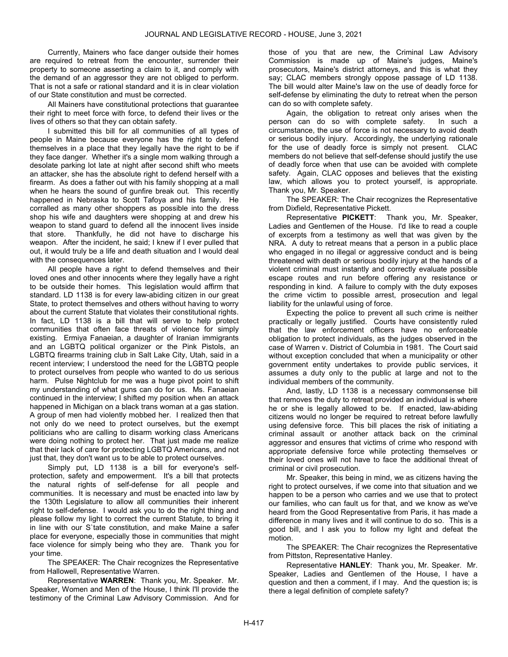Currently, Mainers who face danger outside their homes are required to retreat from the encounter, surrender their property to someone asserting a claim to it, and comply with the demand of an aggressor they are not obliged to perform. That is not a safe or rational standard and it is in clear violation of our State constitution and must be corrected.

 All Mainers have constitutional protections that guarantee their right to meet force with force, to defend their lives or the lives of others so that they can obtain safety.

 I submitted this bill for all communities of all types of people in Maine because everyone has the right to defend themselves in a place that they legally have the right to be if they face danger. Whether it's a single mom walking through a desolate parking lot late at night after second shift who meets an attacker, she has the absolute right to defend herself with a firearm. As does a father out with his family shopping at a mall when he hears the sound of gunfire break out. This recently happened in Nebraska to Scott Tafoya and his family. He corralled as many other shoppers as possible into the dress shop his wife and daughters were shopping at and drew his weapon to stand guard to defend all the innocent lives inside that store. Thankfully, he did not have to discharge his weapon. After the incident, he said; I knew if I ever pulled that out, it would truly be a life and death situation and I would deal with the consequences later.

 All people have a right to defend themselves and their loved ones and other innocents where they legally have a right to be outside their homes. This legislation would affirm that standard. LD 1138 is for every law-abiding citizen in our great State, to protect themselves and others without having to worry about the current Statute that violates their constitutional rights. In fact, LD 1138 is a bill that will serve to help protect communities that often face threats of violence for simply existing. Ermiya Fanaeian, a daughter of Iranian immigrants and an LGBTQ political organizer or the Pink Pistols, an LGBTQ firearms training club in Salt Lake City, Utah, said in a recent interview; I understood the need for the LGBTQ people to protect ourselves from people who wanted to do us serious harm. Pulse Nightclub for me was a huge pivot point to shift my understanding of what guns can do for us. Ms. Fanaeian continued in the interview; I shifted my position when an attack happened in Michigan on a black trans woman at a gas station. A group of men had violently mobbed her. I realized then that not only do we need to protect ourselves, but the exempt politicians who are calling to disarm working class Americans were doing nothing to protect her. That just made me realize that their lack of care for protecting LGBTQ Americans, and not just that, they don't want us to be able to protect ourselves.

 Simply put, LD 1138 is a bill for everyone's selfprotection, safety and empowerment. It's a bill that protects the natural rights of self-defense for all people and communities. It is necessary and must be enacted into law by the 130th Legislature to allow all communities their inherent right to self-defense. I would ask you to do the right thing and please follow my light to correct the current Statute, to bring it in line with our S`tate constitution, and make Maine a safer place for everyone, especially those in communities that might face violence for simply being who they are. Thank you for your time.

 The SPEAKER: The Chair recognizes the Representative from Hallowell, Representative Warren.

 Representative WARREN: Thank you, Mr. Speaker. Mr. Speaker, Women and Men of the House, I think I'll provide the testimony of the Criminal Law Advisory Commission. And for those of you that are new, the Criminal Law Advisory Commission is made up of Maine's judges, Maine's prosecutors, Maine's district attorneys, and this is what they say; CLAC members strongly oppose passage of LD 1138. The bill would alter Maine's law on the use of deadly force for self-defense by eliminating the duty to retreat when the person can do so with complete safety.

 Again, the obligation to retreat only arises when the person can do so with complete safety. In such a circumstance, the use of force is not necessary to avoid death or serious bodily injury. Accordingly, the underlying rationale for the use of deadly force is simply not present. CLAC members do not believe that self-defense should justify the use of deadly force when that use can be avoided with complete safety. Again, CLAC opposes and believes that the existing law, which allows you to protect yourself, is appropriate. Thank you, Mr. Speaker.

 The SPEAKER: The Chair recognizes the Representative from Dixfield, Representative Pickett.

 Representative PICKETT: Thank you, Mr. Speaker, Ladies and Gentlemen of the House. I'd like to read a couple of excerpts from a testimony as well that was given by the NRA. A duty to retreat means that a person in a public place who engaged in no illegal or aggressive conduct and is being threatened with death or serious bodily injury at the hands of a violent criminal must instantly and correctly evaluate possible escape routes and run before offering any resistance or responding in kind. A failure to comply with the duty exposes the crime victim to possible arrest, prosecution and legal liability for the unlawful using of force.

 Expecting the police to prevent all such crime is neither practically or legally justified. Courts have consistently ruled that the law enforcement officers have no enforceable obligation to protect individuals, as the judges observed in the case of Warren v. District of Columbia in 1981. The Court said without exception concluded that when a municipality or other government entity undertakes to provide public services, it assumes a duty only to the public at large and not to the individual members of the community.

 And, lastly, LD 1138 is a necessary commonsense bill that removes the duty to retreat provided an individual is where he or she is legally allowed to be. If enacted, law-abiding citizens would no longer be required to retreat before lawfully using defensive force. This bill places the risk of initiating a criminal assault or another attack back on the criminal aggressor and ensures that victims of crime who respond with appropriate defensive force while protecting themselves or their loved ones will not have to face the additional threat of criminal or civil prosecution.

 Mr. Speaker, this being in mind, we as citizens having the right to protect ourselves, if we come into that situation and we happen to be a person who carries and we use that to protect our families, who can fault us for that, and we know as we've heard from the Good Representative from Paris, it has made a difference in many lives and it will continue to do so. This is a good bill, and I ask you to follow my light and defeat the motion.

 The SPEAKER: The Chair recognizes the Representative from Pittston, Representative Hanley.

 Representative HANLEY: Thank you, Mr. Speaker. Mr. Speaker, Ladies and Gentlemen of the House, I have a question and then a comment, if I may. And the question is; is there a legal definition of complete safety?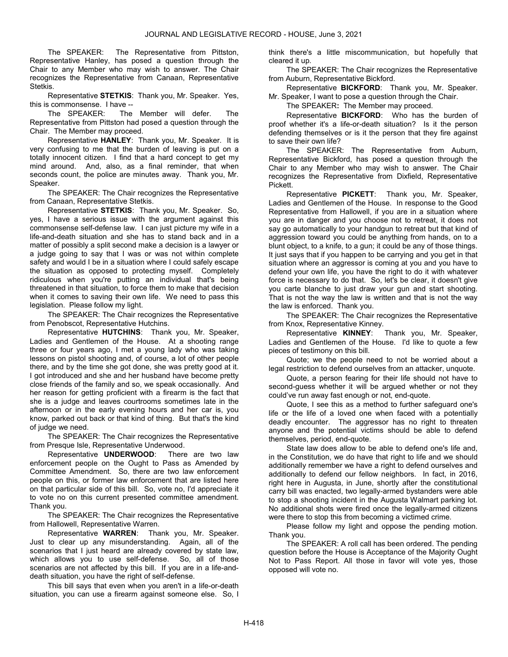The SPEAKER: The Representative from Pittston, Representative Hanley, has posed a question through the Chair to any Member who may wish to answer. The Chair recognizes the Representative from Canaan, Representative Stetkis.

 Representative STETKIS: Thank you, Mr. Speaker. Yes, this is commonsense. I have --

 The SPEAKER: The Member will defer. The Representative from Pittston had posed a question through the Chair. The Member may proceed.

 Representative HANLEY: Thank you, Mr. Speaker. It is very confusing to me that the burden of leaving is put on a totally innocent citizen. I find that a hard concept to get my mind around. And, also, as a final reminder, that when seconds count, the police are minutes away. Thank you, Mr. Speaker.

 The SPEAKER: The Chair recognizes the Representative from Canaan, Representative Stetkis.

 Representative STETKIS: Thank you, Mr. Speaker. So, yes, I have a serious issue with the argument against this commonsense self-defense law. I can just picture my wife in a life-and-death situation and she has to stand back and in a matter of possibly a split second make a decision is a lawyer or a judge going to say that I was or was not within complete safety and would I be in a situation where I could safely escape the situation as opposed to protecting myself. Completely ridiculous when you're putting an individual that's being threatened in that situation, to force them to make that decision when it comes to saving their own life. We need to pass this legislation. Please follow my light.

 The SPEAKER: The Chair recognizes the Representative from Penobscot, Representative Hutchins.

 Representative HUTCHINS: Thank you, Mr. Speaker, Ladies and Gentlemen of the House. At a shooting range three or four years ago, I met a young lady who was taking lessons on pistol shooting and, of course, a lot of other people there, and by the time she got done, she was pretty good at it. I got introduced and she and her husband have become pretty close friends of the family and so, we speak occasionally. And her reason for getting proficient with a firearm is the fact that she is a judge and leaves courtrooms sometimes late in the afternoon or in the early evening hours and her car is, you know, parked out back or that kind of thing. But that's the kind of judge we need.

 The SPEAKER: The Chair recognizes the Representative from Presque Isle, Representative Underwood.

 Representative UNDERWOOD: There are two law enforcement people on the Ought to Pass as Amended by Committee Amendment. So, there are two law enforcement people on this, or former law enforcement that are listed here on that particular side of this bill. So, vote no, I'd appreciate it to vote no on this current presented committee amendment. Thank you.

 The SPEAKER: The Chair recognizes the Representative from Hallowell, Representative Warren.

 Representative WARREN: Thank you, Mr. Speaker. Just to clear up any misunderstanding. Again, all of the scenarios that I just heard are already covered by state law, which allows you to use self-defense. So, all of those scenarios are not affected by this bill. If you are in a life-anddeath situation, you have the right of self-defense.

 This bill says that even when you aren't in a life-or-death situation, you can use a firearm against someone else. So, I think there's a little miscommunication, but hopefully that cleared it up.

 The SPEAKER: The Chair recognizes the Representative from Auburn, Representative Bickford.

 Representative BICKFORD: Thank you, Mr. Speaker. Mr. Speaker, I want to pose a question through the Chair.

The SPEAKER: The Member may proceed.

 Representative BICKFORD: Who has the burden of proof whether it's a life-or-death situation? Is it the person defending themselves or is it the person that they fire against to save their own life?

 The SPEAKER: The Representative from Auburn, Representative Bickford, has posed a question through the Chair to any Member who may wish to answer. The Chair recognizes the Representative from Dixfield, Representative Pickett.

 Representative PICKETT: Thank you, Mr. Speaker, Ladies and Gentlemen of the House. In response to the Good Representative from Hallowell, if you are in a situation where you are in danger and you choose not to retreat, it does not say go automatically to your handgun to retreat but that kind of aggression toward you could be anything from hands, on to a blunt object, to a knife, to a gun; it could be any of those things. It just says that if you happen to be carrying and you get in that situation where an aggressor is coming at you and you have to defend your own life, you have the right to do it with whatever force is necessary to do that. So, let's be clear, it doesn't give you carte blanche to just draw your gun and start shooting. That is not the way the law is written and that is not the way the law is enforced. Thank you.

 The SPEAKER: The Chair recognizes the Representative from Knox, Representative Kinney.<br>Representative KINNEY:

Thank you, Mr. Speaker, Ladies and Gentlemen of the House. I'd like to quote a few pieces of testimony on this bill.

 Quote; we the people need to not be worried about a legal restriction to defend ourselves from an attacker, unquote.

 Quote, a person fearing for their life should not have to second-guess whether it will be argued whether or not they could've run away fast enough or not, end-quote.

 Quote, I see this as a method to further safeguard one's life or the life of a loved one when faced with a potentially deadly encounter. The aggressor has no right to threaten anyone and the potential victims should be able to defend themselves, period, end-quote.

 State law does allow to be able to defend one's life and, in the Constitution, we do have that right to life and we should additionally remember we have a right to defend ourselves and additionally to defend our fellow neighbors. In fact, in 2016, right here in Augusta, in June, shortly after the constitutional carry bill was enacted, two legally-armed bystanders were able to stop a shooting incident in the Augusta Walmart parking lot. No additional shots were fired once the legally-armed citizens were there to stop this from becoming a victimed crime.

 Please follow my light and oppose the pending motion. Thank you.

 The SPEAKER: A roll call has been ordered. The pending question before the House is Acceptance of the Majority Ought Not to Pass Report. All those in favor will vote yes, those opposed will vote no.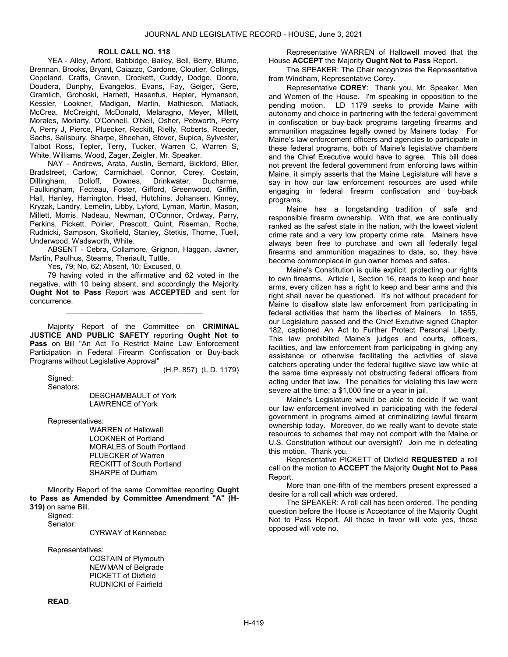### ROLL CALL NO. 118

 YEA - Alley, Arford, Babbidge, Bailey, Bell, Berry, Blume, Brennan, Brooks, Bryant, Caiazzo, Cardone, Cloutier, Collings, Copeland, Crafts, Craven, Crockett, Cuddy, Dodge, Doore, Doudera, Dunphy, Evangelos, Evans, Fay, Geiger, Gere, Gramlich, Grohoski, Harnett, Hasenfus, Hepler, Hymanson, Kessler, Lookner, Madigan, Martin, Mathieson, Matlack, McCrea, McCreight, McDonald, Melaragno, Meyer, Millett, Morales, Moriarty, O'Connell, O'Neil, Osher, Pebworth, Perry A, Perry J, Pierce, Pluecker, Reckitt, Rielly, Roberts, Roeder, Sachs, Salisbury, Sharpe, Sheehan, Stover, Supica, Sylvester, Talbot Ross, Tepler, Terry, Tucker, Warren C, Warren S, White, Williams, Wood, Zager, Zeigler, Mr. Speaker.

 NAY - Andrews, Arata, Austin, Bernard, Bickford, Blier, Bradstreet, Carlow, Carmichael, Connor, Corey, Costain, Dillingham, Dolloff, Downes, Drinkwater, Ducharme, Faulkingham, Fecteau, Foster, Gifford, Greenwood, Griffin, Hall, Hanley, Harrington, Head, Hutchins, Johansen, Kinney, Kryzak, Landry, Lemelin, Libby, Lyford, Lyman, Martin, Mason, Millett, Morris, Nadeau, Newman, O'Connor, Ordway, Parry, Perkins, Pickett, Poirier, Prescott, Quint, Riseman, Roche, Rudnicki, Sampson, Skolfield, Stanley, Stetkis, Thorne, Tuell, Underwood, Wadsworth, White.

 ABSENT - Cebra, Collamore, Grignon, Haggan, Javner, Martin, Paulhus, Stearns, Theriault, Tuttle.

Yes, 79; No, 62; Absent, 10; Excused, 0.

 79 having voted in the affirmative and 62 voted in the negative, with 10 being absent, and accordingly the Majority Ought Not to Pass Report was ACCEPTED and sent for concurrence.

\_\_\_\_\_\_\_\_\_\_\_\_\_\_\_\_\_\_\_\_\_\_\_\_\_\_\_\_\_\_\_\_\_

Majority Report of the Committee on CRIMINAL JUSTICE AND PUBLIC SAFETY reporting Ought Not to Pass on Bill "An Act To Restrict Maine Law Enforcement Participation in Federal Firearm Confiscation or Buy-back Programs without Legislative Approval"

 Signed: Senators: (H.P. 857) (L.D. 1179)

 DESCHAMBAULT of York LAWRENCE of York

Representatives:

 WARREN of Hallowell LOOKNER of Portland MORALES of South Portland PLUECKER of Warren RECKITT of South Portland SHARPE of Durham

 Minority Report of the same Committee reporting Ought to Pass as Amended by Committee Amendment "A" (H-319) on same Bill.

Signed:

Senator:

CYRWAY of Kennebec

Representatives:

 COSTAIN of Plymouth NEWMAN of Belgrade PICKETT of Dixfield RUDNICKI of Fairfield

READ.

 Representative WARREN of Hallowell moved that the House ACCEPT the Majority Ought Not to Pass Report.

 The SPEAKER: The Chair recognizes the Representative from Windham, Representative Corey.

 Representative COREY: Thank you, Mr. Speaker, Men and Women of the House. I'm speaking in opposition to the pending motion. LD 1179 seeks to provide Maine with autonomy and choice in partnering with the federal government in confiscation or buy-back programs targeting firearms and ammunition magazines legally owned by Mainers today. For Maine's law enforcement officers and agencies to participate in these federal programs, both of Maine's legislative chambers and the Chief Executive would have to agree. This bill does not prevent the federal government from enforcing laws within Maine, it simply asserts that the Maine Legislature will have a say in how our law enforcement resources are used while engaging in federal firearm confiscation and buy-back programs.

 Maine has a longstanding tradition of safe and responsible firearm ownership. With that, we are continually ranked as the safest state in the nation, with the lowest violent crime rate and a very low property crime rate. Mainers have always been free to purchase and own all federally legal firearms and ammunition magazines to date, so, they have become commonplace in gun owner homes and safes.

 Maine's Constitution is quite explicit, protecting our rights to own firearms. Article I, Section 16, reads to keep and bear arms, every citizen has a right to keep and bear arms and this right shall never be questioned. It's not without precedent for Maine to disallow state law enforcement from participating in federal activities that harm the liberties of Mainers. In 1855, our Legislature passed and the Chief Excutive signed Chapter 182, captioned An Act to Further Protect Personal Liberty. This law prohibited Maine's judges and courts, officers, facilities, and law enforcement from participating in giving any assistance or otherwise facilitating the activities of slave catchers operating under the federal fugitive slave law while at the same time expressly not obstructing federal officers from acting under that law. The penalties for violating this law were severe at the time; a \$1,000 fine or a year in jail.

 Maine's Legislature would be able to decide if we want our law enforcement involved in participating with the federal government in programs aimed at criminalizing lawful firearm ownership today. Moreover, do we really want to devote state resources to schemes that may not comport with the Maine or U.S. Constitution without our oversight? Join me in defeating this motion. Thank you.

 Representative PICKETT of Dixfield REQUESTED a roll call on the motion to ACCEPT the Majority Ought Not to Pass Report.

 More than one-fifth of the members present expressed a desire for a roll call which was ordered.

 The SPEAKER: A roll call has been ordered. The pending question before the House is Acceptance of the Majority Ought Not to Pass Report. All those in favor will vote yes, those opposed will vote no.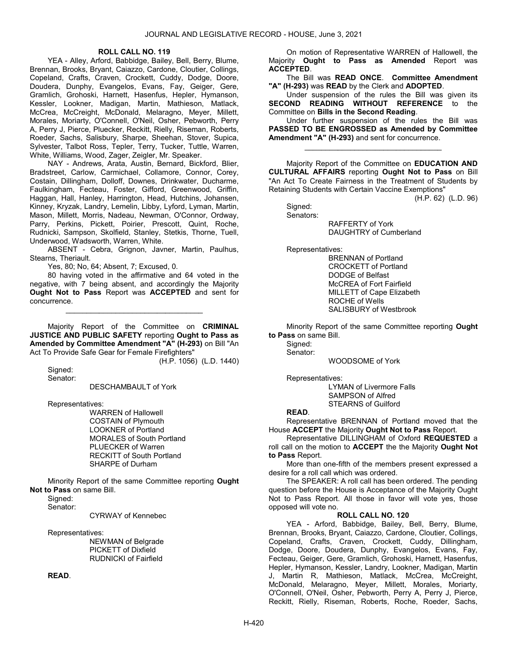### ROLL CALL NO. 119

 YEA - Alley, Arford, Babbidge, Bailey, Bell, Berry, Blume, Brennan, Brooks, Bryant, Caiazzo, Cardone, Cloutier, Collings, Copeland, Crafts, Craven, Crockett, Cuddy, Dodge, Doore, Doudera, Dunphy, Evangelos, Evans, Fay, Geiger, Gere, Gramlich, Grohoski, Harnett, Hasenfus, Hepler, Hymanson, Kessler, Lookner, Madigan, Martin, Mathieson, Matlack, McCrea, McCreight, McDonald, Melaragno, Meyer, Millett, Morales, Moriarty, O'Connell, O'Neil, Osher, Pebworth, Perry A, Perry J, Pierce, Pluecker, Reckitt, Rielly, Riseman, Roberts, Roeder, Sachs, Salisbury, Sharpe, Sheehan, Stover, Supica, Sylvester, Talbot Ross, Tepler, Terry, Tucker, Tuttle, Warren, White, Williams, Wood, Zager, Zeigler, Mr. Speaker.

 NAY - Andrews, Arata, Austin, Bernard, Bickford, Blier, Bradstreet, Carlow, Carmichael, Collamore, Connor, Corey, Costain, Dillingham, Dolloff, Downes, Drinkwater, Ducharme, Faulkingham, Fecteau, Foster, Gifford, Greenwood, Griffin, Haggan, Hall, Hanley, Harrington, Head, Hutchins, Johansen, Kinney, Kryzak, Landry, Lemelin, Libby, Lyford, Lyman, Martin, Mason, Millett, Morris, Nadeau, Newman, O'Connor, Ordway, Parry, Perkins, Pickett, Poirier, Prescott, Quint, Roche, Rudnicki, Sampson, Skolfield, Stanley, Stetkis, Thorne, Tuell, Underwood, Wadsworth, Warren, White.

 ABSENT - Cebra, Grignon, Javner, Martin, Paulhus, Stearns, Theriault.

Yes, 80; No, 64; Absent, 7; Excused, 0.

 80 having voted in the affirmative and 64 voted in the negative, with 7 being absent, and accordingly the Majority Ought Not to Pass Report was ACCEPTED and sent for concurrence.

\_\_\_\_\_\_\_\_\_\_\_\_\_\_\_\_\_\_\_\_\_\_\_\_\_\_\_\_\_\_\_\_\_

Majority Report of the Committee on CRIMINAL JUSTICE AND PUBLIC SAFETY reporting Ought to Pass as Amended by Committee Amendment "A" (H-293) on Bill "An Act To Provide Safe Gear for Female Firefighters"

(H.P. 1056) (L.D. 1440)

 Signed: Senator:

DESCHAMBAULT of York

Representatives:

 WARREN of Hallowell COSTAIN of Plymouth LOOKNER of Portland MORALES of South Portland PLUECKER of Warren RECKITT of South Portland SHARPE of Durham

 Minority Report of the same Committee reporting Ought Not to Pass on same Bill.

Signed:

Senator:

CYRWAY of Kennebec

Representatives:

 NEWMAN of Belgrade PICKETT of Dixfield RUDNICKI of Fairfield

READ.

 On motion of Representative WARREN of Hallowell, the Majority Ought to Pass as Amended Report was ACCEPTED.

 The Bill was READ ONCE. Committee Amendment "A" (H-293) was READ by the Clerk and ADOPTED.

 Under suspension of the rules the Bill was given its SECOND READING WITHOUT REFERENCE to the Committee on Bills in the Second Reading.

 Under further suspension of the rules the Bill was PASSED TO BE ENGROSSED as Amended by Committee Amendment "A" (H-293) and sent for concurrence.

\_\_\_\_\_\_\_\_\_\_\_\_\_\_\_\_\_\_\_\_\_\_\_\_\_\_\_\_\_\_\_\_\_

 Majority Report of the Committee on EDUCATION AND CULTURAL AFFAIRS reporting Ought Not to Pass on Bill "An Act To Create Fairness in the Treatment of Students by Retaining Students with Certain Vaccine Exemptions"

(H.P. 62) (L.D. 96)

 Signed: Senators:

 RAFFERTY of York DAUGHTRY of Cumberland

Representatives:

 BRENNAN of Portland CROCKETT of Portland DODGE of Belfast McCREA of Fort Fairfield MILLETT of Cape Elizabeth ROCHE of Wells SALISBURY of Westbrook

 Minority Report of the same Committee reporting Ought to Pass on same Bill.

Signed: Senator:

WOODSOME of York

Representatives:

 LYMAN of Livermore Falls SAMPSON of Alfred STEARNS of Guilford

### READ.

 Representative BRENNAN of Portland moved that the House ACCEPT the Majority Ought Not to Pass Report.

 Representative DILLINGHAM of Oxford REQUESTED a roll call on the motion to **ACCEPT** the the Majority **Ought Not** to Pass Report.

 More than one-fifth of the members present expressed a desire for a roll call which was ordered.

 The SPEAKER: A roll call has been ordered. The pending question before the House is Acceptance of the Majority Ought Not to Pass Report. All those in favor will vote yes, those opposed will vote no.

# ROLL CALL NO. 120

 YEA - Arford, Babbidge, Bailey, Bell, Berry, Blume, Brennan, Brooks, Bryant, Caiazzo, Cardone, Cloutier, Collings, Copeland, Crafts, Craven, Crockett, Cuddy, Dillingham, Dodge, Doore, Doudera, Dunphy, Evangelos, Evans, Fay, Fecteau, Geiger, Gere, Gramlich, Grohoski, Harnett, Hasenfus, Hepler, Hymanson, Kessler, Landry, Lookner, Madigan, Martin J, Martin R, Mathieson, Matlack, McCrea, McCreight, McDonald, Melaragno, Meyer, Millett, Morales, Moriarty, O'Connell, O'Neil, Osher, Pebworth, Perry A, Perry J, Pierce, Reckitt, Rielly, Riseman, Roberts, Roche, Roeder, Sachs,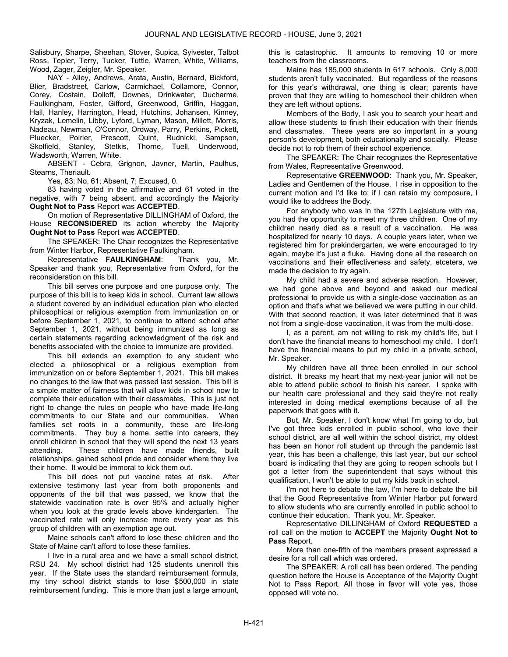Salisbury, Sharpe, Sheehan, Stover, Supica, Sylvester, Talbot Ross, Tepler, Terry, Tucker, Tuttle, Warren, White, Williams, Wood, Zager, Zeigler, Mr. Speaker.

 NAY - Alley, Andrews, Arata, Austin, Bernard, Bickford, Blier, Bradstreet, Carlow, Carmichael, Collamore, Connor, Corey, Costain, Dolloff, Downes, Drinkwater, Ducharme, Faulkingham, Foster, Gifford, Greenwood, Griffin, Haggan, Hall, Hanley, Harrington, Head, Hutchins, Johansen, Kinney, Kryzak, Lemelin, Libby, Lyford, Lyman, Mason, Millett, Morris, Nadeau, Newman, O'Connor, Ordway, Parry, Perkins, Pickett, Pluecker, Poirier, Prescott, Quint, Rudnicki, Sampson, Skolfield, Stanley, Stetkis, Thorne, Tuell, Underwood, Wadsworth, Warren, White.

 ABSENT - Cebra, Grignon, Javner, Martin, Paulhus, Stearns, Theriault.

Yes, 83; No, 61; Absent, 7; Excused, 0.

 83 having voted in the affirmative and 61 voted in the negative, with 7 being absent, and accordingly the Majority Ought Not to Pass Report was ACCEPTED.

 On motion of Representative DILLINGHAM of Oxford, the House **RECONSIDERED** its action whereby the Majority Ought Not to Pass Report was ACCEPTED.

 The SPEAKER: The Chair recognizes the Representative from Winter Harbor, Representative Faulkingham.

 Representative FAULKINGHAM: Thank you, Mr. Speaker and thank you, Representative from Oxford, for the reconsideration on this bill.

 This bill serves one purpose and one purpose only. The purpose of this bill is to keep kids in school. Current law allows a student covered by an individual education plan who elected philosophical or religious exemption from immunization on or before September 1, 2021, to continue to attend school after September 1, 2021, without being immunized as long as certain statements regarding acknowledgment of the risk and benefits associated with the choice to immunize are provided.

 This bill extends an exemption to any student who elected a philosophical or a religious exemption from immunization on or before September 1, 2021. This bill makes no changes to the law that was passed last session. This bill is a simple matter of fairness that will allow kids in school now to complete their education with their classmates. This is just not right to change the rules on people who have made life-long commitments to our State and our communities. When families set roots in a community, these are life-long commitments. They buy a home, settle into careers, they enroll children in school that they will spend the next 13 years attending. These children have made friends, built relationships, gained school pride and consider where they live their home. It would be immoral to kick them out.

 This bill does not put vaccine rates at risk. After extensive testimony last year from both proponents and opponents of the bill that was passed, we know that the statewide vaccination rate is over 95% and actually higher when you look at the grade levels above kindergarten. The vaccinated rate will only increase more every year as this group of children with an exemption age out.

 Maine schools can't afford to lose these children and the State of Maine can't afford to lose these families.

 I live in a rural area and we have a small school district, RSU 24. My school district had 125 students unenroll this year. If the State uses the standard reimbursement formula, my tiny school district stands to lose \$500,000 in state reimbursement funding. This is more than just a large amount, this is catastrophic. It amounts to removing 10 or more teachers from the classrooms.

 Maine has 185,000 students in 617 schools. Only 8,000 students aren't fully vaccinated. But regardless of the reasons for this year's withdrawal, one thing is clear; parents have proven that they are willing to homeschool their children when they are left without options.

 Members of the Body, I ask you to search your heart and allow these students to finish their education with their friends and classmates. These years are so important in a young person's development, both educationally and socially. Please decide not to rob them of their school experience.

 The SPEAKER: The Chair recognizes the Representative from Wales, Representative Greenwood.

 Representative GREENWOOD: Thank you, Mr. Speaker, Ladies and Gentlemen of the House. I rise in opposition to the current motion and I'd like to; if I can retain my composure, I would like to address the Body.

 For anybody who was in the 127th Legislature with me, you had the opportunity to meet my three children. One of my children nearly died as a result of a vaccination. He was hospitalized for nearly 10 days. A couple years later, when we registered him for prekindergarten, we were encouraged to try again, maybe it's just a fluke. Having done all the research on vaccinations and their effectiveness and safety, etcetera, we made the decision to try again.

 My child had a severe and adverse reaction. However, we had gone above and beyond and asked our medical professional to provide us with a single-dose vaccination as an option and that's what we believed we were putting in our child. With that second reaction, it was later determined that it was not from a single-dose vaccination, it was from the multi-dose.

 I, as a parent, am not willing to risk my child's life, but I don't have the financial means to homeschool my child. I don't have the financial means to put my child in a private school, Mr. Speaker.

 My children have all three been enrolled in our school district. It breaks my heart that my next-year junior will not be able to attend public school to finish his career. I spoke with our health care professional and they said they're not really interested in doing medical exemptions because of all the paperwork that goes with it.

 But, Mr. Speaker, I don't know what I'm going to do, but I've got three kids enrolled in public school, who love their school district, are all well within the school district, my oldest has been an honor roll student up through the pandemic last year, this has been a challenge, this last year, but our school board is indicating that they are going to reopen schools but I got a letter from the superintendent that says without this qualification, I won't be able to put my kids back in school.

 I'm not here to debate the law, I'm here to debate the bill that the Good Representative from Winter Harbor put forward to allow students who are currently enrolled in public school to continue their education. Thank you, Mr. Speaker.

 Representative DILLINGHAM of Oxford REQUESTED a roll call on the motion to ACCEPT the Majority Ought Not to Pass Report.

 More than one-fifth of the members present expressed a desire for a roll call which was ordered.

 The SPEAKER: A roll call has been ordered. The pending question before the House is Acceptance of the Majority Ought Not to Pass Report. All those in favor will vote yes, those opposed will vote no.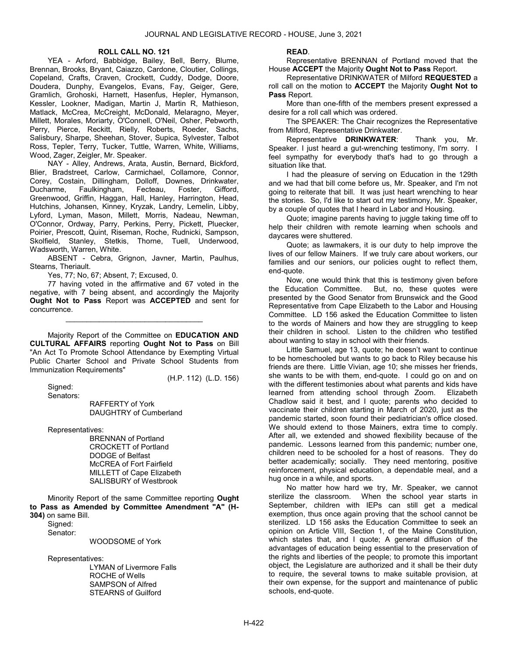#### ROLL CALL NO. 121

 YEA - Arford, Babbidge, Bailey, Bell, Berry, Blume, Brennan, Brooks, Bryant, Caiazzo, Cardone, Cloutier, Collings, Copeland, Crafts, Craven, Crockett, Cuddy, Dodge, Doore, Doudera, Dunphy, Evangelos, Evans, Fay, Geiger, Gere, Gramlich, Grohoski, Harnett, Hasenfus, Hepler, Hymanson, Kessler, Lookner, Madigan, Martin J, Martin R, Mathieson, Matlack, McCrea, McCreight, McDonald, Melaragno, Meyer, Millett, Morales, Moriarty, O'Connell, O'Neil, Osher, Pebworth, Perry, Pierce, Reckitt, Rielly, Roberts, Roeder, Sachs, Salisbury, Sharpe, Sheehan, Stover, Supica, Sylvester, Talbot Ross, Tepler, Terry, Tucker, Tuttle, Warren, White, Williams, Wood, Zager, Zeigler, Mr. Speaker.

 NAY - Alley, Andrews, Arata, Austin, Bernard, Bickford, Blier, Bradstreet, Carlow, Carmichael, Collamore, Connor, Corey, Costain, Dillingham, Dolloff, Downes, Drinkwater,<br>Ducharme, Faulkingham, Fecteau, Foster, Gifford, Ducharme, Faulkingham, Fecteau, Foster, Gifford, Greenwood, Griffin, Haggan, Hall, Hanley, Harrington, Head, Hutchins, Johansen, Kinney, Kryzak, Landry, Lemelin, Libby, Lyford, Lyman, Mason, Millett, Morris, Nadeau, Newman, O'Connor, Ordway, Parry, Perkins, Perry, Pickett, Pluecker, Poirier, Prescott, Quint, Riseman, Roche, Rudnicki, Sampson, Skolfield, Stanley, Stetkis, Thorne, Tuell, Underwood, Wadsworth, Warren, White.

 ABSENT - Cebra, Grignon, Javner, Martin, Paulhus, Stearns, Theriault.

Yes, 77; No, 67; Absent, 7; Excused, 0.

 77 having voted in the affirmative and 67 voted in the negative, with 7 being absent, and accordingly the Majority Ought Not to Pass Report was ACCEPTED and sent for concurrence.

\_\_\_\_\_\_\_\_\_\_\_\_\_\_\_\_\_\_\_\_\_\_\_\_\_\_\_\_\_\_\_\_\_

 Majority Report of the Committee on EDUCATION AND CULTURAL AFFAIRS reporting Ought Not to Pass on Bill "An Act To Promote School Attendance by Exempting Virtual Public Charter School and Private School Students from Immunization Requirements"

(H.P. 112) (L.D. 156)

 Signed: Senators:

 RAFFERTY of York DAUGHTRY of Cumberland

Representatives:

 BRENNAN of Portland CROCKETT of Portland DODGE of Belfast McCREA of Fort Fairfield MILLETT of Cape Elizabeth SALISBURY of Westbrook

 Minority Report of the same Committee reporting Ought to Pass as Amended by Committee Amendment "A" (H-304) on same Bill.

 Signed: Senator:

WOODSOME of York

Representatives:

 LYMAN of Livermore Falls ROCHE of Wells SAMPSON of Alfred STEARNS of Guilford

#### READ.

 Representative BRENNAN of Portland moved that the House ACCEPT the Majority Ought Not to Pass Report.

 Representative DRINKWATER of Milford REQUESTED a roll call on the motion to ACCEPT the Majority Ought Not to Pass Report.

 More than one-fifth of the members present expressed a desire for a roll call which was ordered.

 The SPEAKER: The Chair recognizes the Representative from Milford, Representative Drinkwater.

 Representative DRINKWATER: Thank you, Mr. Speaker. I just heard a gut-wrenching testimony, I'm sorry. I feel sympathy for everybody that's had to go through a situation like that.

 I had the pleasure of serving on Education in the 129th and we had that bill come before us, Mr. Speaker, and I'm not going to reiterate that bill. It was just heart wrenching to hear the stories. So, I'd like to start out my testimony, Mr. Speaker, by a couple of quotes that I heard in Labor and Housing.

 Quote; imagine parents having to juggle taking time off to help their children with remote learning when schools and daycares were shuttered.

 Quote; as lawmakers, it is our duty to help improve the lives of our fellow Mainers. If we truly care about workers, our families and our seniors, our policies ought to reflect them, end-quote.

 Now, one would think that this is testimony given before the Education Committee. But, no, these quotes were presented by the Good Senator from Brunswick and the Good Representative from Cape Elizabeth to the Labor and Housing Committee. LD 156 asked the Education Committee to listen to the words of Mainers and how they are struggling to keep their children in school. Listen to the children who testified about wanting to stay in school with their friends.

 Little Samuel, age 13, quote; he doesn't want to continue to be homeschooled but wants to go back to Riley because his friends are there. Little Vivian, age 10; she misses her friends, she wants to be with them, end-quote. I could go on and on with the different testimonies about what parents and kids have learned from attending school through Zoom. Elizabeth Chadlow said it best, and I quote; parents who decided to vaccinate their children starting in March of 2020, just as the pandemic started, soon found their pediatrician's office closed. We should extend to those Mainers, extra time to comply. After all, we extended and showed flexibility because of the pandemic. Lessons learned from this pandemic; number one, children need to be schooled for a host of reasons. They do better academically; socially. They need mentoring, positive reinforcement, physical education, a dependable meal, and a hug once in a while, and sports.

 No matter how hard we try, Mr. Speaker, we cannot sterilize the classroom. When the school year starts in September, children with IEPs can still get a medical exemption, thus once again proving that the school cannot be sterilized. LD 156 asks the Education Committee to seek an opinion on Article VIII, Section 1, of the Maine Constitution, which states that, and I quote; A general diffusion of the advantages of education being essential to the preservation of the rights and liberties of the people; to promote this important object, the Legislature are authorized and it shall be their duty to require, the several towns to make suitable provision, at their own expense, for the support and maintenance of public schools, end-quote.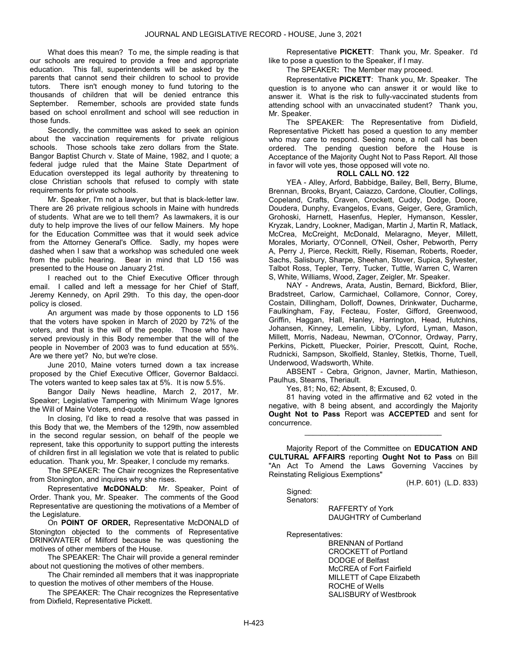What does this mean? To me, the simple reading is that our schools are required to provide a free and appropriate education. This fall, superintendents will be asked by the parents that cannot send their children to school to provide tutors. There isn't enough money to fund tutoring to the thousands of children that will be denied entrance this September. Remember, schools are provided state funds based on school enrollment and school will see reduction in those funds.

 Secondly, the committee was asked to seek an opinion about the vaccination requirements for private religious schools. Those schools take zero dollars from the State. Bangor Baptist Church v. State of Maine, 1982, and I quote; a federal judge ruled that the Maine State Department of Education overstepped its legal authority by threatening to close Christian schools that refused to comply with state requirements for private schools.

 Mr. Speaker, I'm not a lawyer, but that is black-letter law. There are 26 private religious schools in Maine with hundreds of students. What are we to tell them? As lawmakers, it is our duty to help improve the lives of our fellow Mainers. My hope for the Education Committee was that it would seek advice from the Attorney General's Office. Sadly, my hopes were dashed when I saw that a workshop was scheduled one week from the public hearing. Bear in mind that LD 156 was presented to the House on January 21st.

 I reached out to the Chief Executive Officer through email. I called and left a message for her Chief of Staff, Jeremy Kennedy, on April 29th. To this day, the open-door policy is closed.

 An argument was made by those opponents to LD 156 that the voters have spoken in March of 2020 by 72% of the voters, and that is the will of the people. Those who have served previously in this Body remember that the will of the people in November of 2003 was to fund education at 55%. Are we there yet? No, but we're close.

 June 2010, Maine voters turned down a tax increase proposed by the Chief Executive Officer, Governor Baldacci. The voters wanted to keep sales tax at 5%. It is now 5.5%.

 Bangor Daily News headline, March 2, 2017, Mr. Speaker; Legislative Tampering with Minimum Wage Ignores the Will of Maine Voters, end-quote.

 In closing, I'd like to read a resolve that was passed in this Body that we, the Members of the 129th, now assembled in the second regular session, on behalf of the people we represent, take this opportunity to support putting the interests of children first in all legislation we vote that is related to public education. Thank you, Mr. Speaker, I conclude my remarks.

 The SPEAKER: The Chair recognizes the Representative from Stonington, and inquires why she rises.

 Representative McDONALD: Mr. Speaker, Point of Order. Thank you, Mr. Speaker. The comments of the Good Representative are questioning the motivations of a Member of the Legislature.

 On POINT OF ORDER, Representative McDONALD of Stonington objected to the comments of Representative DRINKWATER of Milford because he was questioning the motives of other members of the House.

 The SPEAKER: The Chair will provide a general reminder about not questioning the motives of other members.

 The Chair reminded all members that it was inappropriate to question the motives of other members of the House.

 The SPEAKER: The Chair recognizes the Representative from Dixfield, Representative Pickett.

 Representative PICKETT: Thank you, Mr. Speaker. I'd like to pose a question to the Speaker, if I may.

The SPEAKER: The Member may proceed.

 Representative PICKETT: Thank you, Mr. Speaker. The question is to anyone who can answer it or would like to answer it. What is the risk to fully-vaccinated students from attending school with an unvaccinated student? Thank you, Mr. Speaker.

 The SPEAKER: The Representative from Dixfield, Representative Pickett has posed a question to any member who may care to respond. Seeing none, a roll call has been ordered. The pending question before the House is Acceptance of the Majority Ought Not to Pass Report. All those in favor will vote yes, those opposed will vote no.

## ROLL CALL NO. 122

 YEA - Alley, Arford, Babbidge, Bailey, Bell, Berry, Blume, Brennan, Brooks, Bryant, Caiazzo, Cardone, Cloutier, Collings, Copeland, Crafts, Craven, Crockett, Cuddy, Dodge, Doore, Doudera, Dunphy, Evangelos, Evans, Geiger, Gere, Gramlich, Grohoski, Harnett, Hasenfus, Hepler, Hymanson, Kessler, Kryzak, Landry, Lookner, Madigan, Martin J, Martin R, Matlack, McCrea, McCreight, McDonald, Melaragno, Meyer, Millett, Morales, Moriarty, O'Connell, O'Neil, Osher, Pebworth, Perry A, Perry J, Pierce, Reckitt, Rielly, Riseman, Roberts, Roeder, Sachs, Salisbury, Sharpe, Sheehan, Stover, Supica, Sylvester, Talbot Ross, Tepler, Terry, Tucker, Tuttle, Warren C, Warren S, White, Williams, Wood, Zager, Zeigler, Mr. Speaker.

 NAY - Andrews, Arata, Austin, Bernard, Bickford, Blier, Bradstreet, Carlow, Carmichael, Collamore, Connor, Corey, Costain, Dillingham, Dolloff, Downes, Drinkwater, Ducharme, Faulkingham, Fay, Fecteau, Foster, Gifford, Greenwood, Griffin, Haggan, Hall, Hanley, Harrington, Head, Hutchins, Johansen, Kinney, Lemelin, Libby, Lyford, Lyman, Mason, Millett, Morris, Nadeau, Newman, O'Connor, Ordway, Parry, Perkins, Pickett, Pluecker, Poirier, Prescott, Quint, Roche, Rudnicki, Sampson, Skolfield, Stanley, Stetkis, Thorne, Tuell, Underwood, Wadsworth, White.

 ABSENT - Cebra, Grignon, Javner, Martin, Mathieson, Paulhus, Stearns, Theriault.

Yes, 81; No, 62; Absent, 8; Excused, 0.

 81 having voted in the affirmative and 62 voted in the negative, with 8 being absent, and accordingly the Majority Ought Not to Pass Report was ACCEPTED and sent for concurrence.

\_\_\_\_\_\_\_\_\_\_\_\_\_\_\_\_\_\_\_\_\_\_\_\_\_\_\_\_\_\_\_\_\_

 Majority Report of the Committee on EDUCATION AND CULTURAL AFFAIRS reporting Ought Not to Pass on Bill "An Act To Amend the Laws Governing Vaccines by Reinstating Religious Exemptions"

(H.P. 601) (L.D. 833)

 Signed: Senators:

> RAFFERTY of York DAUGHTRY of Cumberland

Representatives:

 BRENNAN of Portland CROCKETT of Portland DODGE of Belfast McCREA of Fort Fairfield MILLETT of Cape Elizabeth ROCHE of Wells SALISBURY of Westbrook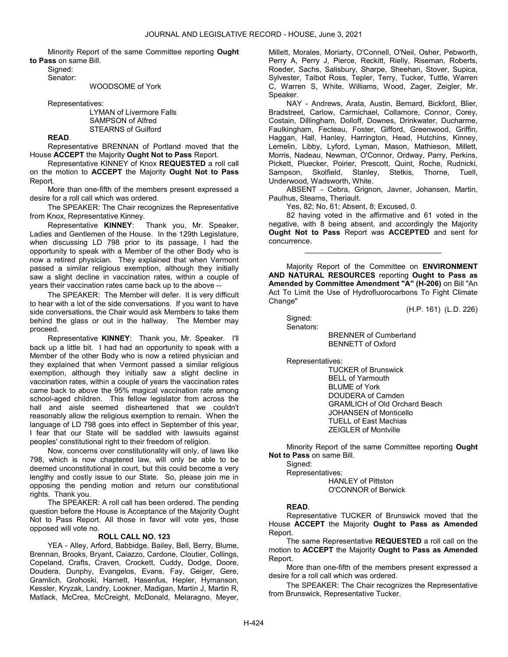Minority Report of the same Committee reporting Ought to Pass on same Bill.

 Signed: Senator:

#### WOODSOME of York

Representatives:

 LYMAN of Livermore Falls SAMPSON of Alfred STEARNS of Guilford

READ.

 Representative BRENNAN of Portland moved that the House ACCEPT the Majority Ought Not to Pass Report.

 Representative KINNEY of Knox REQUESTED a roll call on the motion to ACCEPT the Majority Ought Not to Pass Report.

 More than one-fifth of the members present expressed a desire for a roll call which was ordered.

 The SPEAKER: The Chair recognizes the Representative from Knox, Representative Kinney.

 Representative KINNEY: Thank you, Mr. Speaker, Ladies and Gentlemen of the House. In the 129th Legislature, when discussing LD 798 prior to its passage, I had the opportunity to speak with a Member of the other Body who is now a retired physician. They explained that when Vermont passed a similar religious exemption, although they initially saw a slight decline in vaccination rates, within a couple of years their vaccination rates came back up to the above --

 The SPEAKER: The Member will defer. It is very difficult to hear with a lot of the side conversations. If you want to have side conversations, the Chair would ask Members to take them behind the glass or out in the hallway. The Member may proceed.

 Representative KINNEY: Thank you, Mr. Speaker. I'll back up a little bit. I had had an opportunity to speak with a Member of the other Body who is now a retired physician and they explained that when Vermont passed a similar religious exemption, although they initially saw a slight decline in vaccination rates, within a couple of years the vaccination rates came back to above the 95% magical vaccination rate among school-aged children. This fellow legislator from across the hall and aisle seemed disheartened that we couldn't reasonably allow the religious exemption to remain. When the language of LD 798 goes into effect in September of this year, I fear that our State will be saddled with lawsuits against peoples' constitutional right to their freedom of religion.

 Now, concerns over constitutionality will only, of laws like 798, which is now chaptered law, will only be able to be deemed unconstitutional in court, but this could become a very lengthy and costly issue to our State. So, please join me in opposing the pending motion and return our constitutional rights. Thank you.

 The SPEAKER: A roll call has been ordered. The pending question before the House is Acceptance of the Majority Ought Not to Pass Report. All those in favor will vote yes, those opposed will vote no.

## ROLL CALL NO. 123

 YEA - Alley, Arford, Babbidge, Bailey, Bell, Berry, Blume, Brennan, Brooks, Bryant, Caiazzo, Cardone, Cloutier, Collings, Copeland, Crafts, Craven, Crockett, Cuddy, Dodge, Doore, Doudera, Dunphy, Evangelos, Evans, Fay, Geiger, Gere, Gramlich, Grohoski, Harnett, Hasenfus, Hepler, Hymanson, Kessler, Kryzak, Landry, Lookner, Madigan, Martin J, Martin R, Matlack, McCrea, McCreight, McDonald, Melaragno, Meyer, Millett, Morales, Moriarty, O'Connell, O'Neil, Osher, Pebworth, Perry A, Perry J, Pierce, Reckitt, Rielly, Riseman, Roberts, Roeder, Sachs, Salisbury, Sharpe, Sheehan, Stover, Supica, Sylvester, Talbot Ross, Tepler, Terry, Tucker, Tuttle, Warren C, Warren S, White, Williams, Wood, Zager, Zeigler, Mr. Speaker.

 NAY - Andrews, Arata, Austin, Bernard, Bickford, Blier, Bradstreet, Carlow, Carmichael, Collamore, Connor, Corey, Costain, Dillingham, Dolloff, Downes, Drinkwater, Ducharme, Faulkingham, Fecteau, Foster, Gifford, Greenwood, Griffin, Haggan, Hall, Hanley, Harrington, Head, Hutchins, Kinney, Lemelin, Libby, Lyford, Lyman, Mason, Mathieson, Millett, Morris, Nadeau, Newman, O'Connor, Ordway, Parry, Perkins, Pickett, Pluecker, Poirier, Prescott, Quint, Roche, Rudnicki, Sampson, Skolfield, Stanley, Stetkis, Thorne, Tuell, Underwood, Wadsworth, White.

 ABSENT - Cebra, Grignon, Javner, Johansen, Martin, Paulhus, Stearns, Theriault.

Yes, 82; No, 61; Absent, 8; Excused, 0.

 82 having voted in the affirmative and 61 voted in the negative, with 8 being absent, and accordingly the Majority Ought Not to Pass Report was ACCEPTED and sent for concurrence.

\_\_\_\_\_\_\_\_\_\_\_\_\_\_\_\_\_\_\_\_\_\_\_\_\_\_\_\_\_\_\_\_\_

 Majority Report of the Committee on ENVIRONMENT AND NATURAL RESOURCES reporting Ought to Pass as Amended by Committee Amendment "A" (H-206) on Bill "An Act To Limit the Use of Hydrofluorocarbons To Fight Climate Change"

(H.P. 161) (L.D. 226)

 Signed: Senators:

BRENNER of Cumberland

BENNETT of Oxford

Representatives:

 TUCKER of Brunswick BELL of Yarmouth BLUME of York DOUDERA of Camden GRAMLICH of Old Orchard Beach JOHANSEN of Monticello TUELL of East Machias ZEIGLER of Montville

 Minority Report of the same Committee reporting Ought Not to Pass on same Bill.

 Signed: Representatives: HANLEY of Pittston O'CONNOR of Berwick

#### READ.

 Representative TUCKER of Brunswick moved that the House ACCEPT the Majority Ought to Pass as Amended Report.

 The same Representative REQUESTED a roll call on the motion to ACCEPT the Majority Ought to Pass as Amended Report.

 More than one-fifth of the members present expressed a desire for a roll call which was ordered.

 The SPEAKER: The Chair recognizes the Representative from Brunswick, Representative Tucker.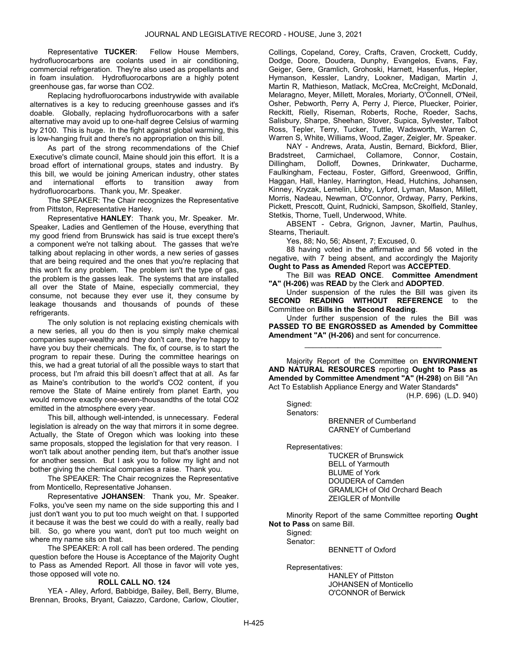Representative TUCKER: Fellow House Members, hydrofluorocarbons are coolants used in air conditioning, commercial refrigeration. They're also used as propellants and in foam insulation. Hydrofluorocarbons are a highly potent greenhouse gas, far worse than CO2.

 Replacing hydrofluorocarbons industrywide with available alternatives is a key to reducing greenhouse gasses and it's doable. Globally, replacing hydrofluorocarbons with a safer alternative may avoid up to one-half degree Celsius of warming by 2100. This is huge. In the fight against global warming, this is low-hanging fruit and there's no appropriation on this bill.

 As part of the strong recommendations of the Chief Executive's climate council, Maine should join this effort. It is a broad effort of international groups, states and industry. By this bill, we would be joining American industry, other states and international efforts to transition away from hydrofluorocarbons. Thank you, Mr. Speaker.

 The SPEAKER: The Chair recognizes the Representative from Pittston, Representative Hanley.

 Representative HANLEY: Thank you, Mr. Speaker. Mr. Speaker, Ladies and Gentlemen of the House, everything that my good friend from Brunswick has said is true except there's a component we're not talking about. The gasses that we're talking about replacing in other words, a new series of gasses that are being required and the ones that you're replacing that this won't fix any problem. The problem isn't the type of gas, the problem is the gasses leak. The systems that are installed all over the State of Maine, especially commercial, they consume, not because they ever use it, they consume by leakage thousands and thousands of pounds of these refrigerants.

 The only solution is not replacing existing chemicals with a new series, all you do then is you simply make chemical companies super-wealthy and they don't care, they're happy to have you buy their chemicals. The fix, of course, is to start the program to repair these. During the committee hearings on this, we had a great tutorial of all the possible ways to start that process, but I'm afraid this bill doesn't affect that at all. As far as Maine's contribution to the world's CO2 content, if you remove the State of Maine entirely from planet Earth, you would remove exactly one-seven-thousandths of the total CO2 emitted in the atmosphere every year.

 This bill, although well-intended, is unnecessary. Federal legislation is already on the way that mirrors it in some degree. Actually, the State of Oregon which was looking into these same proposals, stopped the legislation for that very reason. I won't talk about another pending item, but that's another issue for another session. But I ask you to follow my light and not bother giving the chemical companies a raise. Thank you.

 The SPEAKER: The Chair recognizes the Representative from Monticello, Representative Johansen.

 Representative JOHANSEN: Thank you, Mr. Speaker. Folks, you've seen my name on the side supporting this and I just don't want you to put too much weight on that. I supported it because it was the best we could do with a really, really bad bill. So, go where you want, don't put too much weight on where my name sits on that.

 The SPEAKER: A roll call has been ordered. The pending question before the House is Acceptance of the Majority Ought to Pass as Amended Report. All those in favor will vote yes, those opposed will vote no.

#### ROLL CALL NO. 124

 YEA - Alley, Arford, Babbidge, Bailey, Bell, Berry, Blume, Brennan, Brooks, Bryant, Caiazzo, Cardone, Carlow, Cloutier, Collings, Copeland, Corey, Crafts, Craven, Crockett, Cuddy, Dodge, Doore, Doudera, Dunphy, Evangelos, Evans, Fay, Geiger, Gere, Gramlich, Grohoski, Harnett, Hasenfus, Hepler, Hymanson, Kessler, Landry, Lookner, Madigan, Martin J, Martin R, Mathieson, Matlack, McCrea, McCreight, McDonald, Melaragno, Meyer, Millett, Morales, Moriarty, O'Connell, O'Neil, Osher, Pebworth, Perry A, Perry J, Pierce, Pluecker, Poirier, Reckitt, Rielly, Riseman, Roberts, Roche, Roeder, Sachs, Salisbury, Sharpe, Sheehan, Stover, Supica, Sylvester, Talbot Ross, Tepler, Terry, Tucker, Tuttle, Wadsworth, Warren C, Warren S, White, Williams, Wood, Zager, Zeigler, Mr. Speaker.

 NAY - Andrews, Arata, Austin, Bernard, Bickford, Blier, Bradstreet, Carmichael, Collamore, Connor, Costain, Dillingham, Dolloff, Downes, Drinkwater, Ducharme, Faulkingham, Fecteau, Foster, Gifford, Greenwood, Griffin, Haggan, Hall, Hanley, Harrington, Head, Hutchins, Johansen, Kinney, Kryzak, Lemelin, Libby, Lyford, Lyman, Mason, Millett, Morris, Nadeau, Newman, O'Connor, Ordway, Parry, Perkins, Pickett, Prescott, Quint, Rudnicki, Sampson, Skolfield, Stanley, Stetkis, Thorne, Tuell, Underwood, White.

 ABSENT - Cebra, Grignon, Javner, Martin, Paulhus, Stearns, Theriault.

Yes, 88; No, 56; Absent, 7; Excused, 0.

 88 having voted in the affirmative and 56 voted in the negative, with 7 being absent, and accordingly the Majority Ought to Pass as Amended Report was ACCEPTED.

 The Bill was READ ONCE. Committee Amendment "A" (H-206) was READ by the Clerk and ADOPTED.

 Under suspension of the rules the Bill was given its SECOND READING WITHOUT REFERENCE to the Committee on Bills in the Second Reading.

 Under further suspension of the rules the Bill was PASSED TO BE ENGROSSED as Amended by Committee Amendment "A" (H-206) and sent for concurrence.

\_\_\_\_\_\_\_\_\_\_\_\_\_\_\_\_\_\_\_\_\_\_\_\_\_\_\_\_\_\_\_\_\_

 Majority Report of the Committee on ENVIRONMENT AND NATURAL RESOURCES reporting Ought to Pass as Amended by Committee Amendment "A" (H-298) on Bill "An Act To Establish Appliance Energy and Water Standards"

(H.P. 696) (L.D. 940)

 Signed: Senators: BRENNER of Cumberland CARNEY of Cumberland

Representatives:

 TUCKER of Brunswick BELL of Yarmouth BLUME of York DOUDERA of Camden GRAMLICH of Old Orchard Beach ZEIGLER of Montville

 Minority Report of the same Committee reporting Ought Not to Pass on same Bill.

Signed: Senator:

BENNETT of Oxford

Representatives:

 HANLEY of Pittston JOHANSEN of Monticello O'CONNOR of Berwick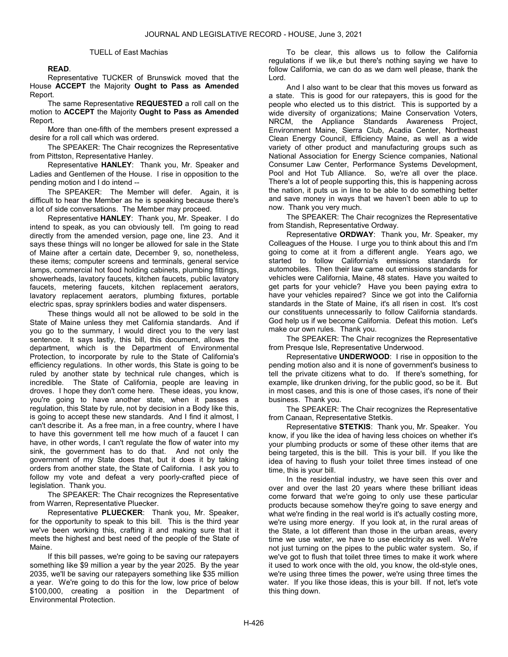#### TUELL of East Machias

### READ.

 Representative TUCKER of Brunswick moved that the House ACCEPT the Majority Ought to Pass as Amended Report.

The same Representative **REQUESTED** a roll call on the motion to ACCEPT the Majority Ought to Pass as Amended Report.

 More than one-fifth of the members present expressed a desire for a roll call which was ordered.

 The SPEAKER: The Chair recognizes the Representative from Pittston, Representative Hanley.

 Representative HANLEY: Thank you, Mr. Speaker and Ladies and Gentlemen of the House. I rise in opposition to the pending motion and I do intend --

 The SPEAKER: The Member will defer. Again, it is difficult to hear the Member as he is speaking because there's a lot of side conversations. The Member may proceed.

 Representative HANLEY: Thank you, Mr. Speaker. I do intend to speak, as you can obviously tell. I'm going to read directly from the amended version, page one, line 23. And it says these things will no longer be allowed for sale in the State of Maine after a certain date, December 9, so, nonetheless, these items; computer screens and terminals, general service lamps, commercial hot food holding cabinets, plumbing fittings, showerheads, lavatory faucets, kitchen faucets, public lavatory faucets, metering faucets, kitchen replacement aerators, lavatory replacement aerators, plumbing fixtures, portable electric spas, spray sprinklers bodies and water dispensers.

 These things would all not be allowed to be sold in the State of Maine unless they met California standards. And if you go to the summary, I would direct you to the very last sentence. It says lastly, this bill, this document, allows the department, which is the Department of Environmental Protection, to incorporate by rule to the State of California's efficiency regulations. In other words, this State is going to be ruled by another state by technical rule changes, which is incredible. The State of California, people are leaving in droves. I hope they don't come here. These ideas, you know, you're going to have another state, when it passes a regulation, this State by rule, not by decision in a Body like this, is going to accept these new standards. And I find it almost, I can't describe it. As a free man, in a free country, where I have to have this government tell me how much of a faucet I can have, in other words, I can't regulate the flow of water into my sink, the government has to do that. And not only the government of my State does that, but it does it by taking orders from another state, the State of California. I ask you to follow my vote and defeat a very poorly-crafted piece of legislation. Thank you.

 The SPEAKER: The Chair recognizes the Representative from Warren, Representative Pluecker.

 Representative PLUECKER: Thank you, Mr. Speaker, for the opportunity to speak to this bill. This is the third year we've been working this, crafting it and making sure that it meets the highest and best need of the people of the State of Maine.

 If this bill passes, we're going to be saving our ratepayers something like \$9 million a year by the year 2025. By the year 2035, we'll be saving our ratepayers something like \$35 million a year. We're going to do this for the low, low price of below \$100,000, creating a position in the Department of Environmental Protection.

 To be clear, this allows us to follow the California regulations if we lik,e but there's nothing saying we have to follow California, we can do as we darn well please, thank the Lord.

 And I also want to be clear that this moves us forward as a state. This is good for our ratepayers, this is good for the people who elected us to this district. This is supported by a wide diversity of organizations; Maine Conservation Voters, NRCM, the Appliance Standards Awareness Project, Environment Maine, Sierra Club, Acadia Center, Northeast Clean Energy Council, Efficiency Maine, as well as a wide variety of other product and manufacturing groups such as National Association for Energy Science companies, National Consumer Law Center, Performance Systems Development, Pool and Hot Tub Alliance. So, we're all over the place. There's a lot of people supporting this, this is happening across the nation, it puts us in line to be able to do something better and save money in ways that we haven't been able to up to now. Thank you very much.

 The SPEAKER: The Chair recognizes the Representative from Standish, Representative Ordway.

 Representative ORDWAY: Thank you, Mr. Speaker, my Colleagues of the House. I urge you to think about this and I'm going to come at it from a different angle. Years ago, we started to follow California's emissions standards for automobiles. Then their law came out emissions standards for vehicles were California, Maine, 48 states. Have you waited to get parts for your vehicle? Have you been paying extra to have your vehicles repaired? Since we got into the California standards in the State of Maine, it's all risen in cost. It's cost our constituents unnecessarily to follow California standards. God help us if we become California. Defeat this motion. Let's make our own rules. Thank you.

 The SPEAKER: The Chair recognizes the Representative from Presque Isle, Representative Underwood.

 Representative UNDERWOOD: I rise in opposition to the pending motion also and it is none of government's business to tell the private citizens what to do. If there's something, for example, like drunken driving, for the public good, so be it. But in most cases, and this is one of those cases, it's none of their business. Thank you.

 The SPEAKER: The Chair recognizes the Representative from Canaan, Representative Stetkis.

 Representative STETKIS: Thank you, Mr. Speaker. You know, if you like the idea of having less choices on whether it's your plumbing products or some of these other items that are being targeted, this is the bill. This is your bill. If you like the idea of having to flush your toilet three times instead of one time, this is your bill.

 In the residential industry, we have seen this over and over and over the last 20 years where these brilliant ideas come forward that we're going to only use these particular products because somehow they're going to save energy and what we're finding in the real world is it's actually costing more, we're using more energy. If you look at, in the rural areas of the State, a lot different than those in the urban areas, every time we use water, we have to use electricity as well. We're not just turning on the pipes to the public water system. So, if we've got to flush that toilet three times to make it work where it used to work once with the old, you know, the old-style ones, we're using three times the power, we're using three times the water. If you like those ideas, this is your bill. If not, let's vote this thing down.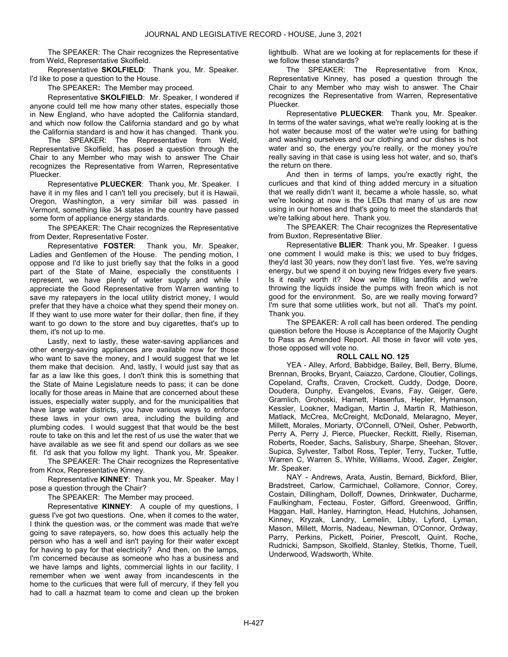The SPEAKER: The Chair recognizes the Representative from Weld, Representative Skolfield.

Representative **SKOLFIELD:** Thank you, Mr. Speaker. I'd like to pose a question to the House.

The SPEAKER: The Member may proceed.

 Representative SKOLFIELD: Mr. Speaker, I wondered if anyone could tell me how many other states, especially those in New England, who have adopted the California standard, and which now follow the California standard and go by what the California standard is and how it has changed. Thank you.

 The SPEAKER: The Representative from Weld, Representative Skolfield, has posed a question through the Chair to any Member who may wish to answer The Chair recognizes the Representative from Warren, Representative Pluecker.

Representative PLUECKER: Thank you, Mr. Speaker. I have it in my files and I can't tell you precisely, but it is Hawaii, Oregon, Washington, a very similar bill was passed in Vermont, something like 34 states in the country have passed some form of appliance energy standards.

 The SPEAKER: The Chair recognizes the Representative from Dexter, Representative Foster.

 Representative FOSTER: Thank you, Mr. Speaker, Ladies and Gentlemen of the House. The pending motion, I oppose and I'd like to just briefly say that the folks in a good part of the State of Maine, especially the constituents I represent, we have plenty of water supply and while I appreciate the Good Representative from Warren wanting to save my ratepayers in the local utility district money, I would prefer that they have a choice what they spend their money on. If they want to use more water for their dollar, then fine, if they want to go down to the store and buy cigarettes, that's up to them, it's not up to me.

 Lastly, next to lastly, these water-saving appliances and other energy-saving appliances are available now for those who want to save the money, and I would suggest that we let them make that decision. And, lastly, I would just say that as far as a law like this goes, I don't think this is something that the State of Maine Legislature needs to pass; it can be done locally for those areas in Maine that are concerned about these issues, especially water supply, and for the municipalities that have large water districts, you have various ways to enforce these laws in your own area, including the building and plumbing codes. I would suggest that that would be the best route to take on this and let the rest of us use the water that we have available as we see fit and spend our dollars as we see fit. I'd ask that you follow my light. Thank you, Mr. Speaker.

 The SPEAKER: The Chair recognizes the Representative from Knox, Representative Kinney.

 Representative KINNEY: Thank you, Mr. Speaker. May I pose a question through the Chair?

The SPEAKER: The Member may proceed.

 Representative KINNEY: A couple of my questions, I guess I've got two questions. One, when it comes to the water, I think the question was, or the comment was made that we're going to save ratepayers, so, how does this actually help the person who has a well and isn't paying for their water except for having to pay for that electricity? And then, on the lamps, I'm concerned because as someone who has a business and we have lamps and lights, commercial lights in our facility, I remember when we went away from incandescents in the home to the curlicues that were full of mercury, if they fell you had to call a hazmat team to come and clean up the broken lightbulb. What are we looking at for replacements for these if we follow these standards?

 The SPEAKER: The Representative from Knox, Representative Kinney, has posed a question through the Chair to any Member who may wish to answer. The Chair recognizes the Representative from Warren, Representative Pluecker.

Representative PLUECKER: Thank you, Mr. Speaker. In terms of the water savings, what we're really looking at is the hot water because most of the water we're using for bathing and washing ourselves and our clothing and our dishes is hot water and so, the energy you're really, or the money you're really saving in that case is using less hot water, and so, that's the return on there.

 And then in terms of lamps, you're exactly right, the curlicues and that kind of thing added mercury in a situation that we really didn't want it, became a whole hassle, so, what we're looking at now is the LEDs that many of us are now using in our homes and that's going to meet the standards that we're talking about here. Thank you.

 The SPEAKER: The Chair recognizes the Representative from Buxton, Representative Blier.

 Representative BLIER: Thank you, Mr. Speaker. I guess one comment I would make is this; we used to buy fridges, they'd last 30 years, now they don't last five. Yes, we're saving energy, but we spend it on buying new fridges every five years. Is it really worth it? Now we're filling landfills and we're throwing the liquids inside the pumps with freon which is not good for the environment. So, are we really moving forward? I'm sure that some utilities work, but not all. That's my point. Thank you.

 The SPEAKER: A roll call has been ordered. The pending question before the House is Acceptance of the Majority Ought to Pass as Amended Report. All those in favor will vote yes, those opposed will vote no.

## ROLL CALL NO. 125

 YEA - Alley, Arford, Babbidge, Bailey, Bell, Berry, Blume, Brennan, Brooks, Bryant, Caiazzo, Cardone, Cloutier, Collings, Copeland, Crafts, Craven, Crockett, Cuddy, Dodge, Doore, Doudera, Dunphy, Evangelos, Evans, Fay, Geiger, Gere, Gramlich, Grohoski, Harnett, Hasenfus, Hepler, Hymanson, Kessler, Lookner, Madigan, Martin J, Martin R, Mathieson, Matlack, McCrea, McCreight, McDonald, Melaragno, Meyer, Millett, Morales, Moriarty, O'Connell, O'Neil, Osher, Pebworth, Perry A, Perry J, Pierce, Pluecker, Reckitt, Rielly, Riseman, Roberts, Roeder, Sachs, Salisbury, Sharpe, Sheehan, Stover, Supica, Sylvester, Talbot Ross, Tepler, Terry, Tucker, Tuttle, Warren C, Warren S, White, Williams, Wood, Zager, Zeigler, Mr. Speaker.

 NAY - Andrews, Arata, Austin, Bernard, Bickford, Blier, Bradstreet, Carlow, Carmichael, Collamore, Connor, Corey, Costain, Dillingham, Dolloff, Downes, Drinkwater, Ducharme, Faulkingham, Fecteau, Foster, Gifford, Greenwood, Griffin, Haggan, Hall, Hanley, Harrington, Head, Hutchins, Johansen, Kinney, Kryzak, Landry, Lemelin, Libby, Lyford, Lyman, Mason, Millett, Morris, Nadeau, Newman, O'Connor, Ordway, Parry, Perkins, Pickett, Poirier, Prescott, Quint, Roche, Rudnicki, Sampson, Skolfield, Stanley, Stetkis, Thorne, Tuell, Underwood, Wadsworth, White.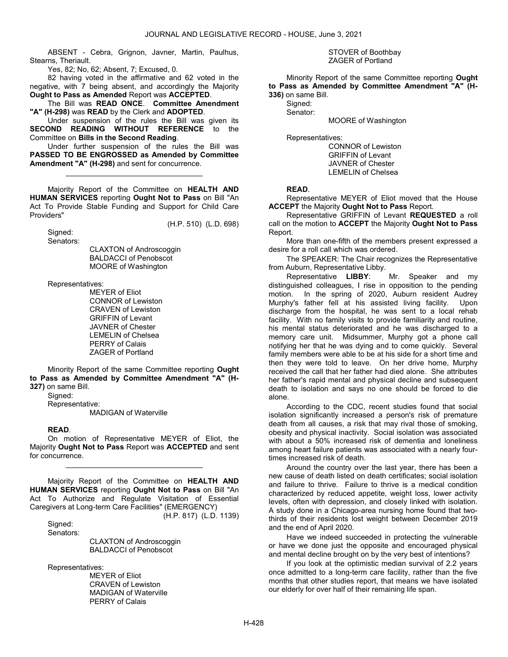ABSENT - Cebra, Grignon, Javner, Martin, Paulhus, Stearns, Theriault.

Yes, 82; No, 62; Absent, 7; Excused, 0.

 82 having voted in the affirmative and 62 voted in the negative, with 7 being absent, and accordingly the Majority Ought to Pass as Amended Report was ACCEPTED.

 The Bill was READ ONCE. Committee Amendment "A" (H-298) was READ by the Clerk and ADOPTED.

 Under suspension of the rules the Bill was given its SECOND READING WITHOUT REFERENCE to the Committee on Bills in the Second Reading.

 Under further suspension of the rules the Bill was PASSED TO BE ENGROSSED as Amended by Committee Amendment "A" (H-298) and sent for concurrence.

\_\_\_\_\_\_\_\_\_\_\_\_\_\_\_\_\_\_\_\_\_\_\_\_\_\_\_\_\_\_\_\_\_

 Majority Report of the Committee on HEALTH AND HUMAN SERVICES reporting Ought Not to Pass on Bill "An Act To Provide Stable Funding and Support for Child Care Providers"

(H.P. 510) (L.D. 698)

 Signed: Senators:

 CLAXTON of Androscoggin BALDACCI of Penobscot MOORE of Washington

Representatives:

 MEYER of Eliot CONNOR of Lewiston CRAVEN of Lewiston GRIFFIN of Levant JAVNER of Chester LEMELIN of Chelsea PERRY of Calais ZAGER of Portland

 Minority Report of the same Committee reporting Ought to Pass as Amended by Committee Amendment "A" (H-327) on same Bill.

 Signed: Representative: MADIGAN of Waterville

## READ.

 On motion of Representative MEYER of Eliot, the Majority Ought Not to Pass Report was ACCEPTED and sent for concurrence.

\_\_\_\_\_\_\_\_\_\_\_\_\_\_\_\_\_\_\_\_\_\_\_\_\_\_\_\_\_\_\_\_\_

 Majority Report of the Committee on HEALTH AND HUMAN SERVICES reporting Ought Not to Pass on Bill "An Act To Authorize and Regulate Visitation of Essential Caregivers at Long-term Care Facilities" (EMERGENCY)

(H.P. 817) (L.D. 1139)

 Signed: Senators:

> CLAXTON of Androscoggin BALDACCI of Penobscot

Representatives:

 MEYER of Eliot CRAVEN of Lewiston MADIGAN of Waterville PERRY of Calais

 STOVER of Boothbay ZAGER of Portland

 Minority Report of the same Committee reporting Ought to Pass as Amended by Committee Amendment "A" (H-336) on same Bill.

Signed:

Senator:

MOORE of Washington

Representatives:

 CONNOR of Lewiston GRIFFIN of Levant JAVNER of Chester LEMELIN of Chelsea

### READ.

 Representative MEYER of Eliot moved that the House ACCEPT the Majority Ought Not to Pass Report.

Representative GRIFFIN of Levant REQUESTED a roll call on the motion to ACCEPT the Majority Ought Not to Pass Report.

 More than one-fifth of the members present expressed a desire for a roll call which was ordered.

 The SPEAKER: The Chair recognizes the Representative from Auburn, Representative Libby.

 Representative LIBBY: Mr. Speaker and my distinguished colleagues, I rise in opposition to the pending motion. In the spring of 2020, Auburn resident Audrey Murphy's father fell at his assisted living facility. Upon discharge from the hospital, he was sent to a local rehab facility. With no family visits to provide familiarity and routine, his mental status deteriorated and he was discharged to a memory care unit. Midsummer, Murphy got a phone call notifying her that he was dying and to come quickly. Several family members were able to be at his side for a short time and then they were told to leave. On her drive home, Murphy received the call that her father had died alone. She attributes her father's rapid mental and physical decline and subsequent death to isolation and says no one should be forced to die alone.

 According to the CDC, recent studies found that social isolation significantly increased a person's risk of premature death from all causes, a risk that may rival those of smoking, obesity and physical inactivity. Social isolation was associated with about a 50% increased risk of dementia and loneliness among heart failure patients was associated with a nearly fourtimes increased risk of death.

 Around the country over the last year, there has been a new cause of death listed on death certificates; social isolation and failure to thrive. Failure to thrive is a medical condition characterized by reduced appetite, weight loss, lower activity levels, often with depression, and closely linked with isolation. A study done in a Chicago-area nursing home found that twothirds of their residents lost weight between December 2019 and the end of April 2020.

 Have we indeed succeeded in protecting the vulnerable or have we done just the opposite and encouraged physical and mental decline brought on by the very best of intentions?

 If you look at the optimistic median survival of 2.2 years once admitted to a long-term care facility, rather than the five months that other studies report, that means we have isolated our elderly for over half of their remaining life span.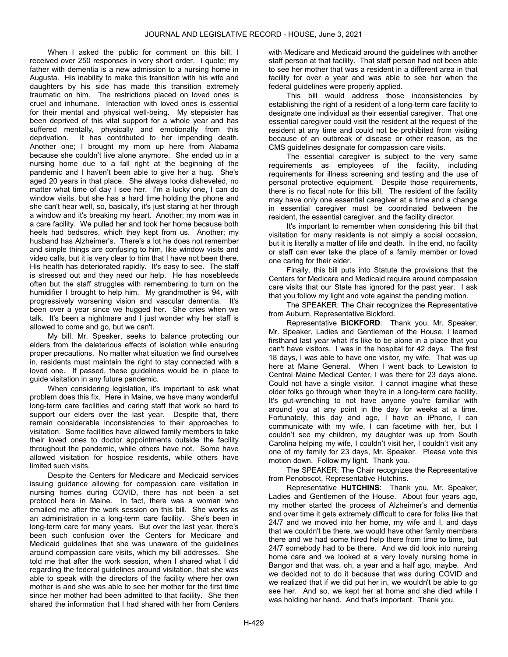When I asked the public for comment on this bill, I received over 250 responses in very short order. I quote; my father with dementia is a new admission to a nursing home in Augusta. His inability to make this transition with his wife and daughters by his side has made this transition extremely traumatic on him. The restrictions placed on loved ones is cruel and inhumane. Interaction with loved ones is essential for their mental and physical well-being. My stepsister has been deprived of this vital support for a whole year and has suffered mentally, physically and emotionally from this deprivation. It has contributed to her impending death. Another one; I brought my mom up here from Alabama because she couldn't live alone anymore. She ended up in a nursing home due to a fall right at the beginning of the pandemic and I haven't been able to give her a hug. She's aged 20 years in that place. She always looks disheveled, no matter what time of day I see her. I'm a lucky one, I can do window visits, but she has a hard time holding the phone and she can't hear well, so, basically, it's just staring at her through a window and it's breaking my heart. Another; my mom was in a care facility. We pulled her and took her home because both heels had bedsores, which they kept from us. Another; my husband has Alzheimer's. There's a lot he does not remember and simple things are confusing to him, like window visits and video calls, but it is very clear to him that I have not been there. His health has deteriorated rapidly. It's easy to see. The staff is stressed out and they need our help. He has nosebleeds often but the staff struggles with remembering to turn on the humidifier I brought to help him. My grandmother is 94, with progressively worsening vision and vascular dementia. It's been over a year since we hugged her. She cries when we talk. It's been a nightmare and I just wonder why her staff is allowed to come and go, but we can't.

 My bill, Mr. Speaker, seeks to balance protecting our elders from the deleterious effects of isolation while ensuring proper precautions. No matter what situation we find ourselves in, residents must maintain the right to stay connected with a loved one. If passed, these guidelines would be in place to guide visitation in any future pandemic.

 When considering legislation, it's important to ask what problem does this fix. Here in Maine, we have many wonderful long-term care facilities and caring staff that work so hard to support our elders over the last year. Despite that, there remain considerable inconsistencies to their approaches to visitation. Some facilities have allowed family members to take their loved ones to doctor appointments outside the facility throughout the pandemic, while others have not. Some have allowed visitation for hospice residents, while others have limited such visits.

 Despite the Centers for Medicare and Medicaid services issuing guidance allowing for compassion care visitation in nursing homes during COVID, there has not been a set protocol here in Maine. In fact, there was a woman who emailed me after the work session on this bill. She works as an administration in a long-term care facility. She's been in long-term care for many years. But over the last year, there's been such confusion over the Centers for Medicare and Medicaid guidelines that she was unaware of the guidelines around compassion care visits, which my bill addresses. She told me that after the work session, when I shared what I did regarding the federal guidelines around visitation, that she was able to speak with the directors of the facility where her own mother is and she was able to see her mother for the first time since her mother had been admitted to that facility. She then shared the information that I had shared with her from Centers

with Medicare and Medicaid around the guidelines with another staff person at that facility. That staff person had not been able to see her mother that was a resident in a different area in that facility for over a year and was able to see her when the federal guidelines were properly applied.

 This bill would address those inconsistencies by establishing the right of a resident of a long-term care facility to designate one individual as their essential caregiver. That one essential caregiver could visit the resident at the request of the resident at any time and could not be prohibited from visiting because of an outbreak of disease or other reason, as the CMS guidelines designate for compassion care visits.

 The essential caregiver is subject to the very same requirements as employees of the facility, including requirements for illness screening and testing and the use of personal protective equipment. Despite those requirements, there is no fiscal note for this bill. The resident of the facility may have only one essential caregiver at a time and a change in essential caregiver must be coordinated between the resident, the essential caregiver, and the facility director.

 It's important to remember when considering this bill that visitation for many residents is not simply a social occasion, but it is literally a matter of life and death. In the end, no facility or staff can ever take the place of a family member or loved one caring for their elder.

 Finally, this bill puts into Statute the provisions that the Centers for Medicare and Medicaid require around compassion care visits that our State has ignored for the past year. I ask that you follow my light and vote against the pending motion.

 The SPEAKER: The Chair recognizes the Representative from Auburn, Representative Bickford.

Representative **BICKFORD**: Thank you, Mr. Speaker. Mr. Speaker, Ladies and Gentlemen of the House, I learned firsthand last year what it's like to be alone in a place that you can't have visitors. I was in the hospital for 42 days. The first 18 days, I was able to have one visitor, my wife. That was up here at Maine General. When I went back to Lewiston to Central Maine Medical Center, I was there for 23 days alone. Could not have a single visitor. I cannot imagine what these older folks go through when they're in a long-term care facility. It's gut-wrenching to not have anyone you're familiar with around you at any point in the day for weeks at a time. Fortunately, this day and age, I have an iPhone, I can communicate with my wife, I can facetime with her, but I couldn't see my children, my daughter was up from South Carolina helping my wife, I couldn't visit her, I couldn't visit any one of my family for 23 days, Mr. Speaker. Please vote this motion down. Follow my light. Thank you.

 The SPEAKER: The Chair recognizes the Representative from Penobscot, Representative Hutchins.

 Representative HUTCHINS: Thank you, Mr. Speaker, Ladies and Gentlemen of the House. About four years ago, my mother started the process of Alzheimer's and dementia and over time it gets extremely difficult to care for folks like that 24/7 and we moved into her home, my wife and I, and days that we couldn't be there, we would have other family members there and we had some hired help there from time to time, but 24/7 somebody had to be there. And we did look into nursing home care and we looked at a very lovely nursing home in Bangor and that was, oh, a year and a half ago, maybe. And we decided not to do it because that was during COVID and we realized that if we did put her in, we wouldn't be able to go see her. And so, we kept her at home and she died while I was holding her hand. And that's important. Thank you.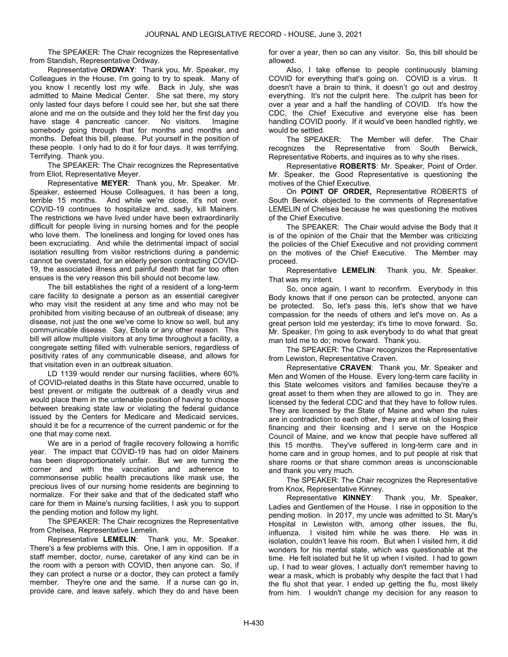The SPEAKER: The Chair recognizes the Representative from Standish, Representative Ordway.

 Representative ORDWAY: Thank you, Mr. Speaker, my Colleagues in the House, I'm going to try to speak. Many of you know I recently lost my wife. Back in July, she was admitted to Maine Medical Center. She sat there, my story only lasted four days before I could see her, but she sat there alone and me on the outside and they told her the first day you have stage 4 pancreatic cancer. No visitors. Imagine somebody going through that for months and months and months. Defeat this bill, please. Put yourself in the position of these people. I only had to do it for four days. It was terrifying. Terrifying. Thank you.

 The SPEAKER: The Chair recognizes the Representative from Eliot, Representative Meyer.

Representative MEYER: Thank you, Mr. Speaker. Mr. Speaker, esteemed House Colleagues, it has been a long, terrible 15 months. And while we're close, it's not over. COVID-19 continues to hospitalize and, sadly, kill Mainers. The restrictions we have lived under have been extraordinarily difficult for people living in nursing homes and for the people who love them. The loneliness and longing for loved ones has been excruciating. And while the detrimental impact of social isolation resulting from visitor restrictions during a pandemic cannot be overstated, for an elderly person contracting COVID-19, the associated illness and painful death that far too often ensues is the very reason this bill should not become law.

 The bill establishes the right of a resident of a long-term care facility to designate a person as an essential caregiver who may visit the resident at any time and who may not be prohibited from visiting because of an outbreak of disease; any disease, not just the one we've come to know so well, but any communicable disease. Say, Ebola or any other reason. This bill will allow multiple visitors at any time throughout a facility, a congregate setting filled with vulnerable seniors, regardless of positivity rates of any communicable disease, and allows for that visitation even in an outbreak situation.

 LD 1139 would render our nursing facilities, where 60% of COVID-related deaths in this State have occurred, unable to best prevent or mitigate the outbreak of a deadly virus and would place them in the untenable position of having to choose between breaking state law or violating the federal guidance issued by the Centers for Medicare and Medicaid services, should it be for a recurrence of the current pandemic or for the one that may come next.

 We are in a period of fragile recovery following a horrific year. The impact that COVID-19 has had on older Mainers has been disproportionately unfair. But we are turning the corner and with the vaccination and adherence to commonsense public health precautions like mask use, the precious lives of our nursing home residents are beginning to normalize. For their sake and that of the dedicated staff who care for them in Maine's nursing facilities, I ask you to support the pending motion and follow my light.

 The SPEAKER: The Chair recognizes the Representative from Chelsea, Representative Lemelin.

 Representative LEMELIN: Thank you, Mr. Speaker. There's a few problems with this. One, I am in opposition. If a staff member, doctor, nurse, caretaker of any kind can be in the room with a person with COVID, then anyone can. So, if they can protect a nurse or a doctor, they can protect a family member. They're one and the same. If a nurse can go in, provide care, and leave safely, which they do and have been

for over a year, then so can any visitor. So, this bill should be allowed.

 Also, I take offense to people continuously blaming COVID for everything that's going on. COVID is a virus. It doesn't have a brain to think, it doesn't go out and destroy everything. It's not the culprit here. The culprit has been for over a year and a half the handling of COVID. It's how the CDC, the Chief Executive and everyone else has been handling COVID poorly. If it would've been handled rightly, we would be settled.

 The SPEAKER: The Member will defer. The Chair recognizes the Representative from South Berwick, Representative Roberts, and inquires as to why she rises.

 Representative ROBERTS: Mr. Speaker, Point of Order. Mr. Speaker, the Good Representative is questioning the motives of the Chief Executive.

 On POINT OF ORDER, Representative ROBERTS of South Berwick objected to the comments of Representative LEMELIN of Chelsea because he was questioning the motives of the Chief Executive.

 The SPEAKER: The Chair would advise the Body that it is of the opinion of the Chair that the Member was criticizing the policies of the Chief Executive and not providing comment on the motives of the Chief Executive. The Member may proceed.

 Representative LEMELIN: Thank you, Mr. Speaker. That was my intent.

 So, once again, I want to reconfirm. Everybody in this Body knows that if one person can be protected, anyone can be protected. So, let's pass this, let's show that we have compassion for the needs of others and let's move on. As a great person told me yesterday; it's time to move forward. So, Mr. Speaker, I'm going to ask everybody to do what that great man told me to do; move forward. Thank you.

 The SPEAKER: The Chair recognizes the Representative from Lewiston, Representative Craven.

 Representative CRAVEN: Thank you, Mr. Speaker and Men and Women of the House. Every long-term care facility in this State welcomes visitors and families because they're a great asset to them when they are allowed to go in. They are licensed by the federal CDC and that they have to follow rules. They are licensed by the State of Maine and when the rules are in contradiction to each other, they are at risk of losing their financing and their licensing and I serve on the Hospice Council of Maine, and we know that people have suffered all this 15 months. They've suffered in long-term care and in home care and in group homes, and to put people at risk that share rooms or that share common areas is unconscionable and thank you very much.

 The SPEAKER: The Chair recognizes the Representative from Knox, Representative Kinney.

 Representative KINNEY: Thank you, Mr. Speaker, Ladies and Gentlemen of the House. I rise in opposition to the pending motion. In 2017, my uncle was admitted to St. Mary's Hospital in Lewiston with, among other issues, the flu, influenza. I visited him while he was there. He was in isolation, couldn't leave his room. But when I visited him, it did wonders for his mental state, which was questionable at the time. He felt isolated but he lit up when I visited. I had to gown up, I had to wear gloves, I actually don't remember having to wear a mask, which is probably why despite the fact that I had the flu shot that year, I ended up getting the flu, most likely from him. I wouldn't change my decision for any reason to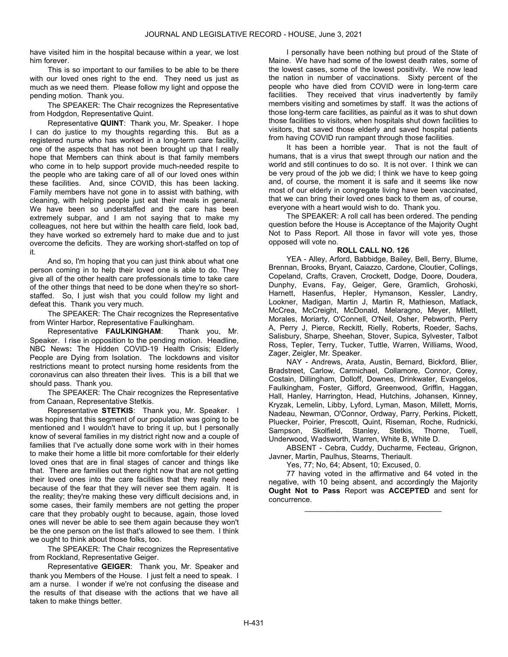have visited him in the hospital because within a year, we lost him forever.

 This is so important to our families to be able to be there with our loved ones right to the end. They need us just as much as we need them. Please follow my light and oppose the pending motion. Thank you.

 The SPEAKER: The Chair recognizes the Representative from Hodgdon, Representative Quint.

 Representative QUINT: Thank you, Mr. Speaker. I hope I can do justice to my thoughts regarding this. But as a registered nurse who has worked in a long-term care facility, one of the aspects that has not been brought up that I really hope that Members can think about is that family members who come in to help support provide much-needed respite to the people who are taking care of all of our loved ones within these facilities. And, since COVID, this has been lacking. Family members have not gone in to assist with bathing, with cleaning, with helping people just eat their meals in general. We have been so understaffed and the care has been extremely subpar, and I am not saying that to make my colleagues, not here but within the health care field, look bad, they have worked so extremely hard to make due and to just overcome the deficits. They are working short-staffed on top of it.

 And so, I'm hoping that you can just think about what one person coming in to help their loved one is able to do. They give all of the other health care professionals time to take care of the other things that need to be done when they're so shortstaffed. So, I just wish that you could follow my light and defeat this. Thank you very much.

 The SPEAKER: The Chair recognizes the Representative from Winter Harbor, Representative Faulkingham.

 Representative FAULKINGHAM: Thank you, Mr. Speaker. I rise in opposition to the pending motion. Headline, NBC News: The Hidden COVID-19 Health Crisis; Elderly People are Dying from Isolation. The lockdowns and visitor restrictions meant to protect nursing home residents from the coronavirus can also threaten their lives. This is a bill that we should pass. Thank you.

 The SPEAKER: The Chair recognizes the Representative from Canaan, Representative Stetkis.

Representative **STETKIS**: Thank you, Mr. Speaker. I was hoping that this segment of our population was going to be mentioned and I wouldn't have to bring it up, but I personally know of several families in my district right now and a couple of families that I've actually done some work with in their homes to make their home a little bit more comfortable for their elderly loved ones that are in final stages of cancer and things like that. There are families out there right now that are not getting their loved ones into the care facilities that they really need because of the fear that they will never see them again. It is the reality; they're making these very difficult decisions and, in some cases, their family members are not getting the proper care that they probably ought to because, again, those loved ones will never be able to see them again because they won't be the one person on the list that's allowed to see them. I think we ought to think about those folks, too.

 The SPEAKER: The Chair recognizes the Representative from Rockland, Representative Geiger.

 Representative GEIGER: Thank you, Mr. Speaker and thank you Members of the House. I just felt a need to speak. I am a nurse. I wonder if we're not confusing the disease and the results of that disease with the actions that we have all taken to make things better.

 I personally have been nothing but proud of the State of Maine. We have had some of the lowest death rates, some of the lowest cases, some of the lowest positivity. We now lead the nation in number of vaccinations. Sixty percent of the people who have died from COVID were in long-term care facilities. They received that virus inadvertently by family members visiting and sometimes by staff. It was the actions of those long-term care facilities, as painful as it was to shut down those facilities to visitors, when hospitals shut down facilities to visitors, that saved those elderly and saved hospital patients from having COVID run rampant through those facilities.

 It has been a horrible year. That is not the fault of humans, that is a virus that swept through our nation and the world and still continues to do so. It is not over. I think we can be very proud of the job we did; I think we have to keep going and, of course, the moment it is safe and it seems like now most of our elderly in congregate living have been vaccinated, that we can bring their loved ones back to them as, of course, everyone with a heart would wish to do. Thank you.

 The SPEAKER: A roll call has been ordered. The pending question before the House is Acceptance of the Majority Ought Not to Pass Report. All those in favor will vote yes, those opposed will vote no.

### ROLL CALL NO. 126

 YEA - Alley, Arford, Babbidge, Bailey, Bell, Berry, Blume, Brennan, Brooks, Bryant, Caiazzo, Cardone, Cloutier, Collings, Copeland, Crafts, Craven, Crockett, Dodge, Doore, Doudera, Dunphy, Evans, Fay, Geiger, Gere, Gramlich, Grohoski, Harnett, Hasenfus, Hepler, Hymanson, Kessler, Landry, Lookner, Madigan, Martin J, Martin R, Mathieson, Matlack, McCrea, McCreight, McDonald, Melaragno, Meyer, Millett, Morales, Moriarty, O'Connell, O'Neil, Osher, Pebworth, Perry A, Perry J, Pierce, Reckitt, Rielly, Roberts, Roeder, Sachs, Salisbury, Sharpe, Sheehan, Stover, Supica, Sylvester, Talbot Ross, Tepler, Terry, Tucker, Tuttle, Warren, Williams, Wood, Zager, Zeigler, Mr. Speaker.

 NAY - Andrews, Arata, Austin, Bernard, Bickford, Blier, Bradstreet, Carlow, Carmichael, Collamore, Connor, Corey, Costain, Dillingham, Dolloff, Downes, Drinkwater, Evangelos, Faulkingham, Foster, Gifford, Greenwood, Griffin, Haggan, Hall, Hanley, Harrington, Head, Hutchins, Johansen, Kinney, Kryzak, Lemelin, Libby, Lyford, Lyman, Mason, Millett, Morris, Nadeau, Newman, O'Connor, Ordway, Parry, Perkins, Pickett, Pluecker, Poirier, Prescott, Quint, Riseman, Roche, Rudnicki, Sampson, Skolfield, Stanley, Stetkis, Thorne, Tuell, Underwood, Wadsworth, Warren, White B, White D.

 ABSENT - Cebra, Cuddy, Ducharme, Fecteau, Grignon, Javner, Martin, Paulhus, Stearns, Theriault.

Yes, 77; No, 64; Absent, 10; Excused, 0.

 77 having voted in the affirmative and 64 voted in the negative, with 10 being absent, and accordingly the Majority Ought Not to Pass Report was ACCEPTED and sent for concurrence.

\_\_\_\_\_\_\_\_\_\_\_\_\_\_\_\_\_\_\_\_\_\_\_\_\_\_\_\_\_\_\_\_\_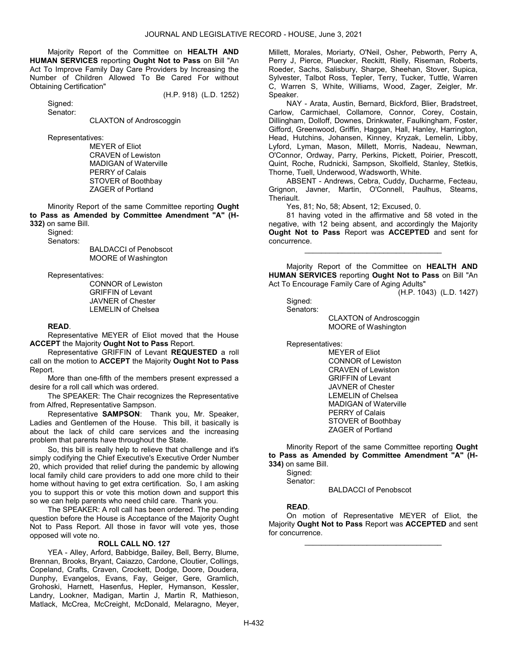Majority Report of the Committee on HEALTH AND HUMAN SERVICES reporting Ought Not to Pass on Bill "An Act To Improve Family Day Care Providers by Increasing the Number of Children Allowed To Be Cared For without Obtaining Certification"

Signed:

(H.P. 918) (L.D. 1252)

Senator:

CLAXTON of Androscoggin

Representatives:

 MEYER of Eliot CRAVEN of Lewiston MADIGAN of Waterville PERRY of Calais STOVER of Boothbay ZAGER of Portland

 Minority Report of the same Committee reporting Ought to Pass as Amended by Committee Amendment "A" (H-332) on same Bill.

 Signed: Senators:

 BALDACCI of Penobscot MOORE of Washington

Representatives:

 CONNOR of Lewiston GRIFFIN of Levant JAVNER of Chester LEMELIN of Chelsea

#### READ.

 Representative MEYER of Eliot moved that the House ACCEPT the Majority Ought Not to Pass Report.

 Representative GRIFFIN of Levant REQUESTED a roll call on the motion to ACCEPT the Majority Ought Not to Pass Report.

 More than one-fifth of the members present expressed a desire for a roll call which was ordered.

 The SPEAKER: The Chair recognizes the Representative from Alfred, Representative Sampson.

 Representative SAMPSON: Thank you, Mr. Speaker, Ladies and Gentlemen of the House. This bill, it basically is about the lack of child care services and the increasing problem that parents have throughout the State.

 So, this bill is really help to relieve that challenge and it's simply codifying the Chief Executive's Executive Order Number 20, which provided that relief during the pandemic by allowing local family child care providers to add one more child to their home without having to get extra certification. So, I am asking you to support this or vote this motion down and support this so we can help parents who need child care. Thank you.

 The SPEAKER: A roll call has been ordered. The pending question before the House is Acceptance of the Majority Ought Not to Pass Report. All those in favor will vote yes, those opposed will vote no.

#### ROLL CALL NO. 127

 YEA - Alley, Arford, Babbidge, Bailey, Bell, Berry, Blume, Brennan, Brooks, Bryant, Caiazzo, Cardone, Cloutier, Collings, Copeland, Crafts, Craven, Crockett, Dodge, Doore, Doudera, Dunphy, Evangelos, Evans, Fay, Geiger, Gere, Gramlich, Grohoski, Harnett, Hasenfus, Hepler, Hymanson, Kessler, Landry, Lookner, Madigan, Martin J, Martin R, Mathieson, Matlack, McCrea, McCreight, McDonald, Melaragno, Meyer,

Millett, Morales, Moriarty, O'Neil, Osher, Pebworth, Perry A, Perry J, Pierce, Pluecker, Reckitt, Rielly, Riseman, Roberts, Roeder, Sachs, Salisbury, Sharpe, Sheehan, Stover, Supica, Sylvester, Talbot Ross, Tepler, Terry, Tucker, Tuttle, Warren C, Warren S, White, Williams, Wood, Zager, Zeigler, Mr. Speaker.

 NAY - Arata, Austin, Bernard, Bickford, Blier, Bradstreet, Carlow, Carmichael, Collamore, Connor, Corey, Costain, Dillingham, Dolloff, Downes, Drinkwater, Faulkingham, Foster, Gifford, Greenwood, Griffin, Haggan, Hall, Hanley, Harrington, Head, Hutchins, Johansen, Kinney, Kryzak, Lemelin, Libby, Lyford, Lyman, Mason, Millett, Morris, Nadeau, Newman, O'Connor, Ordway, Parry, Perkins, Pickett, Poirier, Prescott, Quint, Roche, Rudnicki, Sampson, Skolfield, Stanley, Stetkis, Thorne, Tuell, Underwood, Wadsworth, White.

 ABSENT - Andrews, Cebra, Cuddy, Ducharme, Fecteau, Grignon, Javner, Martin, O'Connell, Paulhus, Stearns, Theriault.

Yes, 81; No, 58; Absent, 12; Excused, 0.

 81 having voted in the affirmative and 58 voted in the negative, with 12 being absent, and accordingly the Majority Ought Not to Pass Report was ACCEPTED and sent for concurrence.

\_\_\_\_\_\_\_\_\_\_\_\_\_\_\_\_\_\_\_\_\_\_\_\_\_\_\_\_\_\_\_\_\_

 Majority Report of the Committee on HEALTH AND HUMAN SERVICES reporting Ought Not to Pass on Bill "An Act To Encourage Family Care of Aging Adults"

(H.P. 1043) (L.D. 1427)

 Signed: Senators:

> CLAXTON of Androscoggin MOORE of Washington

Representatives:

 MEYER of Eliot CONNOR of Lewiston CRAVEN of Lewiston GRIFFIN of Levant JAVNER of Chester LEMELIN of Chelsea MADIGAN of Waterville PERRY of Calais STOVER of Boothbay ZAGER of Portland

 Minority Report of the same Committee reporting Ought to Pass as Amended by Committee Amendment "A" (H-334) on same Bill.

 Signed: Senator:

BALDACCI of Penobscot

#### READ.

 On motion of Representative MEYER of Eliot, the Majority Ought Not to Pass Report was ACCEPTED and sent for concurrence.

\_\_\_\_\_\_\_\_\_\_\_\_\_\_\_\_\_\_\_\_\_\_\_\_\_\_\_\_\_\_\_\_\_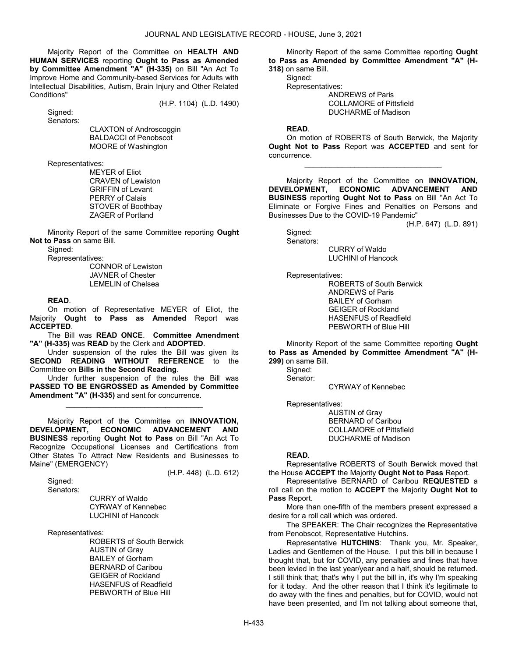Majority Report of the Committee on HEALTH AND HUMAN SERVICES reporting Ought to Pass as Amended by Committee Amendment "A" (H-335) on Bill "An Act To Improve Home and Community-based Services for Adults with Intellectual Disabilities, Autism, Brain Injury and Other Related Conditions"

(H.P. 1104) (L.D. 1490)

 Signed: Senators:

> CLAXTON of Androscoggin BALDACCI of Penobscot MOORE of Washington

Representatives:

 MEYER of Eliot CRAVEN of Lewiston GRIFFIN of Levant PERRY of Calais STOVER of Boothbay ZAGER of Portland

 Minority Report of the same Committee reporting Ought Not to Pass on same Bill.

Signed:

Representatives:

 CONNOR of Lewiston JAVNER of Chester LEMELIN of Chelsea

### READ.

 On motion of Representative MEYER of Eliot, the Majority Ought to Pass as Amended Report was ACCEPTED.

 The Bill was READ ONCE. Committee Amendment "A" (H-335) was READ by the Clerk and ADOPTED.

 Under suspension of the rules the Bill was given its SECOND READING WITHOUT REFERENCE to the Committee on Bills in the Second Reading.

 Under further suspension of the rules the Bill was PASSED TO BE ENGROSSED as Amended by Committee Amendment "A" (H-335) and sent for concurrence.

\_\_\_\_\_\_\_\_\_\_\_\_\_\_\_\_\_\_\_\_\_\_\_\_\_\_\_\_\_\_\_\_\_

 Majority Report of the Committee on INNOVATION, DEVELOPMENT, ECONOMIC ADVANCEMENT AND BUSINESS reporting Ought Not to Pass on Bill "An Act To Recognize Occupational Licenses and Certifications from Other States To Attract New Residents and Businesses to Maine" (EMERGENCY)

(H.P. 448) (L.D. 612)

Signed:

Senators:

 CURRY of Waldo CYRWAY of Kennebec LUCHINI of Hancock

Representatives:

 ROBERTS of South Berwick AUSTIN of Gray BAILEY of Gorham BERNARD of Caribou GEIGER of Rockland HASENFUS of Readfield PEBWORTH of Blue Hill

 Minority Report of the same Committee reporting Ought to Pass as Amended by Committee Amendment "A" (H-

318) on same Bill. Signed:

Representatives:

 ANDREWS of Paris COLLAMORE of Pittsfield DUCHARME of Madison

#### READ.

 On motion of ROBERTS of South Berwick, the Majority Ought Not to Pass Report was ACCEPTED and sent for concurrence.

\_\_\_\_\_\_\_\_\_\_\_\_\_\_\_\_\_\_\_\_\_\_\_\_\_\_\_\_\_\_\_\_\_

 Majority Report of the Committee on INNOVATION, DEVELOPMENT, ECONOMIC ADVANCEMENT AND BUSINESS reporting Ought Not to Pass on Bill "An Act To Eliminate or Forgive Fines and Penalties on Persons and Businesses Due to the COVID-19 Pandemic"

(H.P. 647) (L.D. 891)

 Signed: Senators:

 CURRY of Waldo LUCHINI of Hancock

Representatives:

 ROBERTS of South Berwick ANDREWS of Paris BAILEY of Gorham GEIGER of Rockland HASENFUS of Readfield PEBWORTH of Blue Hill

 Minority Report of the same Committee reporting Ought to Pass as Amended by Committee Amendment "A" (H-299) on same Bill.

 Signed: Senator:

CYRWAY of Kennebec

Representatives:

 AUSTIN of Gray BERNARD of Caribou COLLAMORE of Pittsfield DUCHARME of Madison

## READ.

 Representative ROBERTS of South Berwick moved that the House ACCEPT the Majority Ought Not to Pass Report.

 Representative BERNARD of Caribou REQUESTED a roll call on the motion to ACCEPT the Majority Ought Not to Pass Report.

 More than one-fifth of the members present expressed a desire for a roll call which was ordered.

 The SPEAKER: The Chair recognizes the Representative from Penobscot, Representative Hutchins.

 Representative HUTCHINS: Thank you, Mr. Speaker, Ladies and Gentlemen of the House. I put this bill in because I thought that, but for COVID, any penalties and fines that have been levied in the last year/year and a half, should be returned. I still think that; that's why I put the bill in, it's why I'm speaking for it today. And the other reason that I think it's legitimate to do away with the fines and penalties, but for COVID, would not have been presented, and I'm not talking about someone that,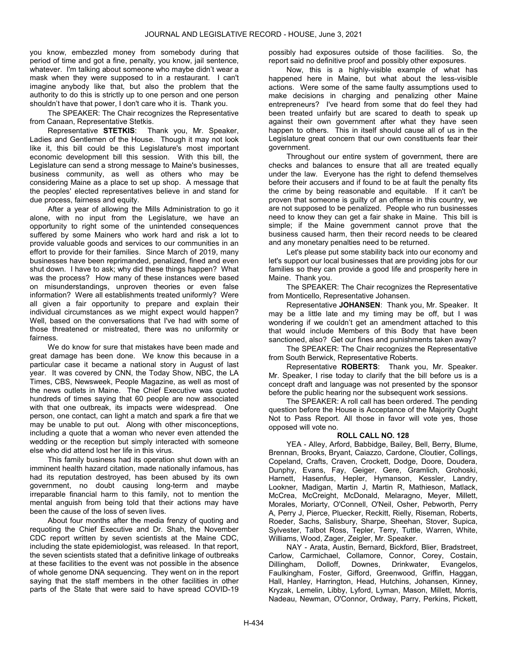you know, embezzled money from somebody during that period of time and got a fine, penalty, you know, jail sentence, whatever. I'm talking about someone who maybe didn't wear a mask when they were supposed to in a restaurant. I can't imagine anybody like that, but also the problem that the authority to do this is strictly up to one person and one person shouldn't have that power, I don't care who it is. Thank you.

 The SPEAKER: The Chair recognizes the Representative from Canaan, Representative Stetkis.

 Representative STETKIS: Thank you, Mr. Speaker, Ladies and Gentlemen of the House. Though it may not look like it, this bill could be this Legislature's most important economic development bill this session. With this bill, the Legislature can send a strong message to Maine's businesses, business community, as well as others who may be considering Maine as a place to set up shop. A message that the peoples' elected representatives believe in and stand for due process, fairness and equity.

 After a year of allowing the Mills Administration to go it alone, with no input from the Legislature, we have an opportunity to right some of the unintended consequences suffered by some Mainers who work hard and risk a lot to provide valuable goods and services to our communities in an effort to provide for their families. Since March of 2019, many businesses have been reprimanded, penalized, fined and even shut down. I have to ask; why did these things happen? What was the process? How many of these instances were based on misunderstandings, unproven theories or even false information? Were all establishments treated uniformly? Were all given a fair opportunity to prepare and explain their individual circumstances as we might expect would happen? Well, based on the conversations that I've had with some of those threatened or mistreated, there was no uniformity or fairness.

 We do know for sure that mistakes have been made and great damage has been done. We know this because in a particular case it became a national story in August of last year. It was covered by CNN, the Today Show, NBC, the LA Times, CBS, Newsweek, People Magazine, as well as most of the news outlets in Maine. The Chief Executive was quoted hundreds of times saying that 60 people are now associated with that one outbreak, its impacts were widespread. One person, one contact, can light a match and spark a fire that we may be unable to put out. Along with other misconceptions, including a quote that a woman who never even attended the wedding or the reception but simply interacted with someone else who did attend lost her life in this virus.

 This family business had its operation shut down with an imminent health hazard citation, made nationally infamous, has had its reputation destroyed, has been abused by its own government, no doubt causing long-term and maybe irreparable financial harm to this family, not to mention the mental anguish from being told that their actions may have been the cause of the loss of seven lives.

 About four months after the media frenzy of quoting and requoting the Chief Executive and Dr. Shah, the November CDC report written by seven scientists at the Maine CDC, including the state epidemiologist, was released. In that report, the seven scientists stated that a definitive linkage of outbreaks at these facilities to the event was not possible in the absence of whole genome DNA sequencing. They went on in the report saying that the staff members in the other facilities in other parts of the State that were said to have spread COVID-19

possibly had exposures outside of those facilities. So, the report said no definitive proof and possibly other exposures.

 Now, this is a highly-visible example of what has happened here in Maine, but what about the less-visible actions. Were some of the same faulty assumptions used to make decisions in charging and penalizing other Maine entrepreneurs? I've heard from some that do feel they had been treated unfairly but are scared to death to speak up against their own government after what they have seen happen to others. This in itself should cause all of us in the Legislature great concern that our own constituents fear their government.

 Throughout our entire system of government, there are checks and balances to ensure that all are treated equally under the law. Everyone has the right to defend themselves before their accusers and if found to be at fault the penalty fits the crime by being reasonable and equitable. If it can't be proven that someone is guilty of an offense in this country, we are not supposed to be penalized. People who run businesses need to know they can get a fair shake in Maine. This bill is simple; if the Maine government cannot prove that the business caused harm, then their record needs to be cleared and any monetary penalties need to be returned.

 Let's please put some stability back into our economy and let's support our local businesses that are providing jobs for our families so they can provide a good life and prosperity here in Maine. Thank you.

 The SPEAKER: The Chair recognizes the Representative from Monticello, Representative Johansen.

 Representative JOHANSEN: Thank you, Mr. Speaker. It may be a little late and my timing may be off, but I was wondering if we couldn't get an amendment attached to this that would include Members of this Body that have been sanctioned, also? Get our fines and punishments taken away?

 The SPEAKER: The Chair recognizes the Representative from South Berwick, Representative Roberts.

 Representative ROBERTS: Thank you, Mr. Speaker. Mr. Speaker, I rise today to clarify that the bill before us is a concept draft and language was not presented by the sponsor before the public hearing nor the subsequent work sessions.

 The SPEAKER: A roll call has been ordered. The pending question before the House is Acceptance of the Majority Ought Not to Pass Report. All those in favor will vote yes, those opposed will vote no.

## ROLL CALL NO. 128

 YEA - Alley, Arford, Babbidge, Bailey, Bell, Berry, Blume, Brennan, Brooks, Bryant, Caiazzo, Cardone, Cloutier, Collings, Copeland, Crafts, Craven, Crockett, Dodge, Doore, Doudera, Dunphy, Evans, Fay, Geiger, Gere, Gramlich, Grohoski, Harnett, Hasenfus, Hepler, Hymanson, Kessler, Landry, Lookner, Madigan, Martin J, Martin R, Mathieson, Matlack, McCrea, McCreight, McDonald, Melaragno, Meyer, Millett, Morales, Moriarty, O'Connell, O'Neil, Osher, Pebworth, Perry A, Perry J, Pierce, Pluecker, Reckitt, Rielly, Riseman, Roberts, Roeder, Sachs, Salisbury, Sharpe, Sheehan, Stover, Supica, Sylvester, Talbot Ross, Tepler, Terry, Tuttle, Warren, White, Williams, Wood, Zager, Zeigler, Mr. Speaker.

 NAY - Arata, Austin, Bernard, Bickford, Blier, Bradstreet, Carlow, Carmichael, Collamore, Connor, Corey, Costain, Dillingham, Dolloff, Downes, Drinkwater, Evangelos, Faulkingham, Foster, Gifford, Greenwood, Griffin, Haggan, Hall, Hanley, Harrington, Head, Hutchins, Johansen, Kinney, Kryzak, Lemelin, Libby, Lyford, Lyman, Mason, Millett, Morris, Nadeau, Newman, O'Connor, Ordway, Parry, Perkins, Pickett,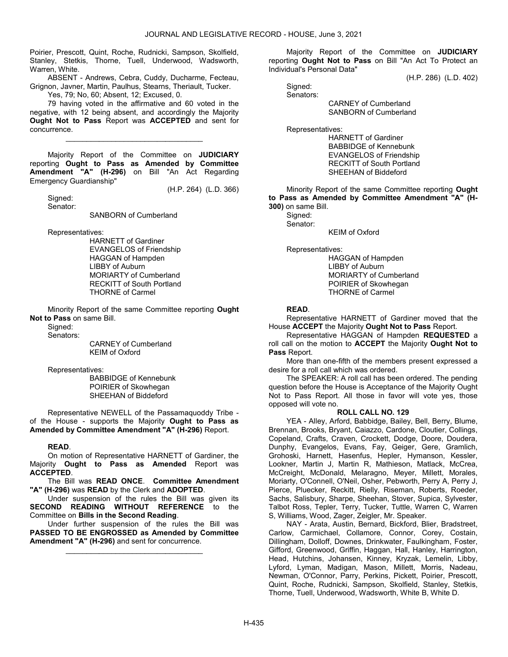Poirier, Prescott, Quint, Roche, Rudnicki, Sampson, Skolfield, Stanley, Stetkis, Thorne, Tuell, Underwood, Wadsworth, Warren, White.

 ABSENT - Andrews, Cebra, Cuddy, Ducharme, Fecteau, Grignon, Javner, Martin, Paulhus, Stearns, Theriault, Tucker.

Yes, 79; No, 60; Absent, 12; Excused, 0.

 79 having voted in the affirmative and 60 voted in the negative, with 12 being absent, and accordingly the Majority Ought Not to Pass Report was ACCEPTED and sent for concurrence.

\_\_\_\_\_\_\_\_\_\_\_\_\_\_\_\_\_\_\_\_\_\_\_\_\_\_\_\_\_\_\_\_\_

 Majority Report of the Committee on JUDICIARY reporting Ought to Pass as Amended by Committee Amendment "A" (H-296) on Bill "An Act Regarding Emergency Guardianship"

(H.P. 264) (L.D. 366)

 Signed: Senator:

SANBORN of Cumberland

Representatives:

 HARNETT of Gardiner EVANGELOS of Friendship HAGGAN of Hampden LIBBY of Auburn MORIARTY of Cumberland RECKITT of South Portland THORNE of Carmel

 Minority Report of the same Committee reporting Ought Not to Pass on same Bill.

Signed:

Senators:

 CARNEY of Cumberland KEIM of Oxford

Representatives:

 BABBIDGE of Kennebunk POIRIER of Skowhegan SHEEHAN of Biddeford

 Representative NEWELL of the Passamaquoddy Tribe of the House - supports the Majority Ought to Pass as Amended by Committee Amendment "A" (H-296) Report.

#### READ.

 On motion of Representative HARNETT of Gardiner, the Majority Ought to Pass as Amended Report was ACCEPTED.

 The Bill was READ ONCE. Committee Amendment "A" (H-296) was READ by the Clerk and ADOPTED.

 Under suspension of the rules the Bill was given its SECOND READING WITHOUT REFERENCE to the Committee on Bills in the Second Reading.

 Under further suspension of the rules the Bill was PASSED TO BE ENGROSSED as Amended by Committee Amendment "A" (H-296) and sent for concurrence.

\_\_\_\_\_\_\_\_\_\_\_\_\_\_\_\_\_\_\_\_\_\_\_\_\_\_\_\_\_\_\_\_\_

 Majority Report of the Committee on JUDICIARY reporting Ought Not to Pass on Bill "An Act To Protect an Individual's Personal Data"

(H.P. 286) (L.D. 402)

 Signed: Senators:

 CARNEY of Cumberland SANBORN of Cumberland

Representatives:

 HARNETT of Gardiner BABBIDGE of Kennebunk EVANGELOS of Friendship RECKITT of South Portland SHEEHAN of Biddeford

 Minority Report of the same Committee reporting Ought to Pass as Amended by Committee Amendment "A" (H-300) on same Bill.

Signed:

Senator:

KEIM of Oxford

Representatives:

 HAGGAN of Hampden LIBBY of Auburn MORIARTY of Cumberland POIRIER of Skowhegan THORNE of Carmel

### READ.

 Representative HARNETT of Gardiner moved that the House ACCEPT the Majority Ought Not to Pass Report.

 Representative HAGGAN of Hampden REQUESTED a roll call on the motion to **ACCEPT** the Majority **Ought Not to** Pass Report.

 More than one-fifth of the members present expressed a desire for a roll call which was ordered.

 The SPEAKER: A roll call has been ordered. The pending question before the House is Acceptance of the Majority Ought Not to Pass Report. All those in favor will vote yes, those opposed will vote no.

#### ROLL CALL NO. 129

 YEA - Alley, Arford, Babbidge, Bailey, Bell, Berry, Blume, Brennan, Brooks, Bryant, Caiazzo, Cardone, Cloutier, Collings, Copeland, Crafts, Craven, Crockett, Dodge, Doore, Doudera, Dunphy, Evangelos, Evans, Fay, Geiger, Gere, Gramlich, Grohoski, Harnett, Hasenfus, Hepler, Hymanson, Kessler, Lookner, Martin J, Martin R, Mathieson, Matlack, McCrea, McCreight, McDonald, Melaragno, Meyer, Millett, Morales, Moriarty, O'Connell, O'Neil, Osher, Pebworth, Perry A, Perry J, Pierce, Pluecker, Reckitt, Rielly, Riseman, Roberts, Roeder, Sachs, Salisbury, Sharpe, Sheehan, Stover, Supica, Sylvester, Talbot Ross, Tepler, Terry, Tucker, Tuttle, Warren C, Warren S, Williams, Wood, Zager, Zeigler, Mr. Speaker.

 NAY - Arata, Austin, Bernard, Bickford, Blier, Bradstreet, Carlow, Carmichael, Collamore, Connor, Corey, Costain, Dillingham, Dolloff, Downes, Drinkwater, Faulkingham, Foster, Gifford, Greenwood, Griffin, Haggan, Hall, Hanley, Harrington, Head, Hutchins, Johansen, Kinney, Kryzak, Lemelin, Libby, Lyford, Lyman, Madigan, Mason, Millett, Morris, Nadeau, Newman, O'Connor, Parry, Perkins, Pickett, Poirier, Prescott, Quint, Roche, Rudnicki, Sampson, Skolfield, Stanley, Stetkis, Thorne, Tuell, Underwood, Wadsworth, White B, White D.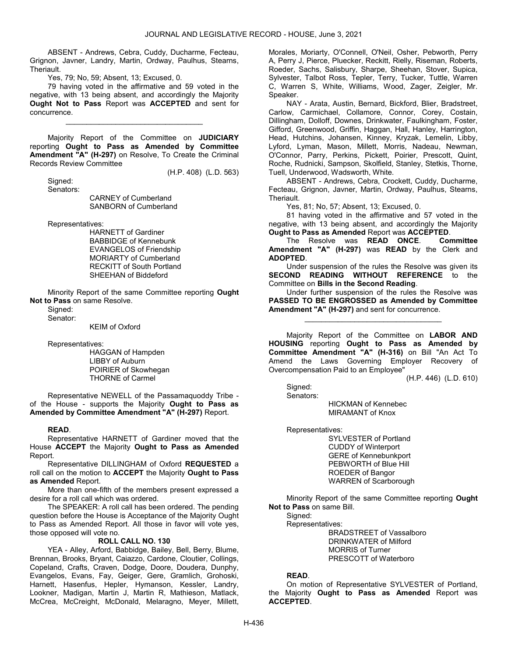ABSENT - Andrews, Cebra, Cuddy, Ducharme, Fecteau, Grignon, Javner, Landry, Martin, Ordway, Paulhus, Stearns, Theriault.

Yes, 79; No, 59; Absent, 13; Excused, 0.

 79 having voted in the affirmative and 59 voted in the negative, with 13 being absent, and accordingly the Majority Ought Not to Pass Report was ACCEPTED and sent for concurrence.

\_\_\_\_\_\_\_\_\_\_\_\_\_\_\_\_\_\_\_\_\_\_\_\_\_\_\_\_\_\_\_\_\_

 Majority Report of the Committee on JUDICIARY reporting Ought to Pass as Amended by Committee Amendment "A" (H-297) on Resolve, To Create the Criminal Records Review Committee

(H.P. 408) (L.D. 563)

 Signed: Senators:

> CARNEY of Cumberland SANBORN of Cumberland

Representatives:

 HARNETT of Gardiner BABBIDGE of Kennebunk EVANGELOS of Friendship MORIARTY of Cumberland RECKITT of South Portland SHEEHAN of Biddeford

 Minority Report of the same Committee reporting Ought Not to Pass on same Resolve.

Sianed:

Senator:

KEIM of Oxford

Representatives:

 HAGGAN of Hampden LIBBY of Auburn POIRIER of Skowhegan THORNE of Carmel

 Representative NEWELL of the Passamaquoddy Tribe of the House - supports the Majority Ought to Pass as Amended by Committee Amendment "A" (H-297) Report.

## READ.

 Representative HARNETT of Gardiner moved that the House ACCEPT the Majority Ought to Pass as Amended Report.

 Representative DILLINGHAM of Oxford REQUESTED a roll call on the motion to ACCEPT the Majority Ought to Pass as Amended Report.

 More than one-fifth of the members present expressed a desire for a roll call which was ordered.

 The SPEAKER: A roll call has been ordered. The pending question before the House is Acceptance of the Majority Ought to Pass as Amended Report. All those in favor will vote yes, those opposed will vote no.

#### ROLL CALL NO. 130

 YEA - Alley, Arford, Babbidge, Bailey, Bell, Berry, Blume, Brennan, Brooks, Bryant, Caiazzo, Cardone, Cloutier, Collings, Copeland, Crafts, Craven, Dodge, Doore, Doudera, Dunphy, Evangelos, Evans, Fay, Geiger, Gere, Gramlich, Grohoski, Harnett, Hasenfus, Hepler, Hymanson, Kessler, Landry, Lookner, Madigan, Martin J, Martin R, Mathieson, Matlack, McCrea, McCreight, McDonald, Melaragno, Meyer, Millett, Morales, Moriarty, O'Connell, O'Neil, Osher, Pebworth, Perry A, Perry J, Pierce, Pluecker, Reckitt, Rielly, Riseman, Roberts, Roeder, Sachs, Salisbury, Sharpe, Sheehan, Stover, Supica, Sylvester, Talbot Ross, Tepler, Terry, Tucker, Tuttle, Warren C, Warren S, White, Williams, Wood, Zager, Zeigler, Mr. Speaker.

 NAY - Arata, Austin, Bernard, Bickford, Blier, Bradstreet, Carlow, Carmichael, Collamore, Connor, Corey, Costain, Dillingham, Dolloff, Downes, Drinkwater, Faulkingham, Foster, Gifford, Greenwood, Griffin, Haggan, Hall, Hanley, Harrington, Head, Hutchins, Johansen, Kinney, Kryzak, Lemelin, Libby, Lyford, Lyman, Mason, Millett, Morris, Nadeau, Newman, O'Connor, Parry, Perkins, Pickett, Poirier, Prescott, Quint, Roche, Rudnicki, Sampson, Skolfield, Stanley, Stetkis, Thorne, Tuell, Underwood, Wadsworth, White.

 ABSENT - Andrews, Cebra, Crockett, Cuddy, Ducharme, Fecteau, Grignon, Javner, Martin, Ordway, Paulhus, Stearns, Theriault.

Yes, 81; No, 57; Absent, 13; Excused, 0.

 81 having voted in the affirmative and 57 voted in the negative, with 13 being absent, and accordingly the Majority Ought to Pass as Amended Report was ACCEPTED.

The Resolve was **READ ONCE.** Committee Amendment "A" (H-297) was READ by the Clerk and ADOPTED.

 Under suspension of the rules the Resolve was given its SECOND READING WITHOUT REFERENCE to the Committee on Bills in the Second Reading.

 Under further suspension of the rules the Resolve was PASSED TO BE ENGROSSED as Amended by Committee Amendment "A" (H-297) and sent for concurrence.

\_\_\_\_\_\_\_\_\_\_\_\_\_\_\_\_\_\_\_\_\_\_\_\_\_\_\_\_\_\_\_\_\_

 Majority Report of the Committee on LABOR AND HOUSING reporting Ought to Pass as Amended by Committee Amendment "A" (H-316) on Bill "An Act To Amend the Laws Governing Employer Recovery of Overcompensation Paid to an Employee"

(H.P. 446) (L.D. 610)

 Signed: Senators:

 HICKMAN of Kennebec MIRAMANT of Knox

Representatives:

 SYLVESTER of Portland CUDDY of Winterport GERE of Kennebunkport PEBWORTH of Blue Hill ROEDER of Bangor WARREN of Scarborough

 Minority Report of the same Committee reporting Ought Not to Pass on same Bill.

Signed:

Representatives:

 BRADSTREET of Vassalboro DRINKWATER of Milford MORRIS of Turner PRESCOTT of Waterboro

## READ.

 On motion of Representative SYLVESTER of Portland, the Majority Ought to Pass as Amended Report was ACCEPTED.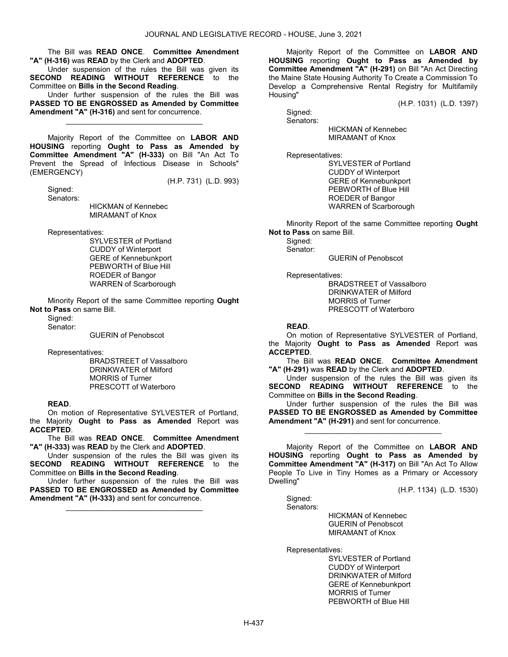The Bill was READ ONCE. Committee Amendment "A" (H-316) was READ by the Clerk and ADOPTED.

 Under suspension of the rules the Bill was given its SECOND READING WITHOUT REFERENCE to the Committee on Bills in the Second Reading.

 Under further suspension of the rules the Bill was PASSED TO BE ENGROSSED as Amended by Committee Amendment "A" (H-316) and sent for concurrence.

\_\_\_\_\_\_\_\_\_\_\_\_\_\_\_\_\_\_\_\_\_\_\_\_\_\_\_\_\_\_\_\_\_

 Majority Report of the Committee on LABOR AND HOUSING reporting Ought to Pass as Amended by Committee Amendment "A" (H-333) on Bill "An Act To Prevent the Spread of Infectious Disease in Schools" (EMERGENCY)

Signed:

(H.P. 731) (L.D. 993)

 Senators: HICKMAN of Kennebec MIRAMANT of Knox

Representatives:

 SYLVESTER of Portland CUDDY of Winterport GERE of Kennebunkport PEBWORTH of Blue Hill ROEDER of Bangor WARREN of Scarborough

 Minority Report of the same Committee reporting Ought Not to Pass on same Bill.

Sianed:

Senator:

GUERIN of Penobscot

Representatives:

 BRADSTREET of Vassalboro DRINKWATER of Milford MORRIS of Turner PRESCOTT of Waterboro

## READ.

 On motion of Representative SYLVESTER of Portland, the Majority Ought to Pass as Amended Report was ACCEPTED.

 The Bill was READ ONCE. Committee Amendment "A" (H-333) was READ by the Clerk and ADOPTED.

 Under suspension of the rules the Bill was given its SECOND READING WITHOUT REFERENCE to the Committee on Bills in the Second Reading.

 Under further suspension of the rules the Bill was PASSED TO BE ENGROSSED as Amended by Committee Amendment "A" (H-333) and sent for concurrence.

\_\_\_\_\_\_\_\_\_\_\_\_\_\_\_\_\_\_\_\_\_\_\_\_\_\_\_\_\_\_\_\_\_

 Majority Report of the Committee on LABOR AND HOUSING reporting Ought to Pass as Amended by Committee Amendment "A" (H-291) on Bill "An Act Directing the Maine State Housing Authority To Create a Commission To Develop a Comprehensive Rental Registry for Multifamily Housing"

(H.P. 1031) (L.D. 1397)

 Signed: Senators:

 HICKMAN of Kennebec MIRAMANT of Knox

Representatives:

 SYLVESTER of Portland CUDDY of Winterport GERE of Kennebunkport PEBWORTH of Blue Hill ROEDER of Bangor WARREN of Scarborough

 Minority Report of the same Committee reporting Ought Not to Pass on same Bill.

 Signed: Senator:

GUERIN of Penobscot

Representatives:

 BRADSTREET of Vassalboro DRINKWATER of Milford MORRIS of Turner PRESCOTT of Waterboro

READ.

 On motion of Representative SYLVESTER of Portland, the Majority Ought to Pass as Amended Report was ACCEPTED.

 The Bill was READ ONCE. Committee Amendment "A" (H-291) was READ by the Clerk and ADOPTED.

 Under suspension of the rules the Bill was given its SECOND READING WITHOUT REFERENCE to the Committee on Bills in the Second Reading.

 Under further suspension of the rules the Bill was PASSED TO BE ENGROSSED as Amended by Committee Amendment "A" (H-291) and sent for concurrence.

\_\_\_\_\_\_\_\_\_\_\_\_\_\_\_\_\_\_\_\_\_\_\_\_\_\_\_\_\_\_\_\_\_

 Majority Report of the Committee on LABOR AND HOUSING reporting Ought to Pass as Amended by Committee Amendment "A" (H-317) on Bill "An Act To Allow People To Live in Tiny Homes as a Primary or Accessory Dwelling"

(H.P. 1134) (L.D. 1530)

 Signed: Senators:

 HICKMAN of Kennebec GUERIN of Penobscot MIRAMANT of Knox

Representatives:

 SYLVESTER of Portland CUDDY of Winterport DRINKWATER of Milford GERE of Kennebunkport MORRIS of Turner PEBWORTH of Blue Hill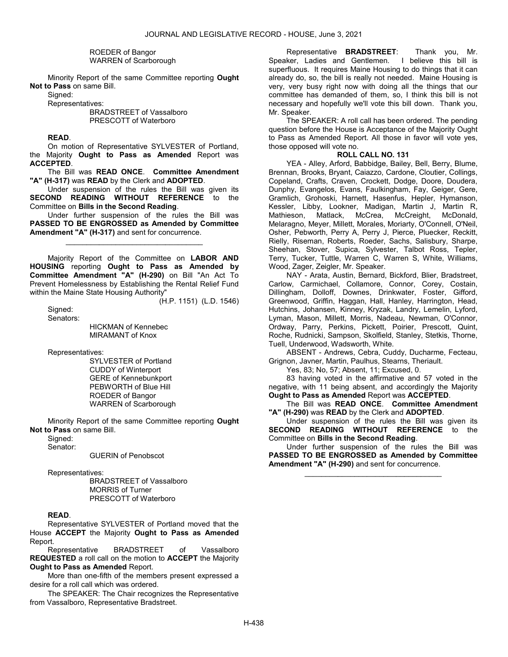#### ROEDER of Bangor WARREN of Scarborough

 Minority Report of the same Committee reporting Ought Not to Pass on same Bill.

Signed:

Representatives:

 BRADSTREET of Vassalboro PRESCOTT of Waterboro

## READ.

 On motion of Representative SYLVESTER of Portland, the Majority Ought to Pass as Amended Report was ACCEPTED.

 The Bill was READ ONCE. Committee Amendment "A" (H-317) was READ by the Clerk and ADOPTED.

 Under suspension of the rules the Bill was given its SECOND READING WITHOUT REFERENCE to the Committee on Bills in the Second Reading.

 Under further suspension of the rules the Bill was PASSED TO BE ENGROSSED as Amended by Committee Amendment "A" (H-317) and sent for concurrence.

\_\_\_\_\_\_\_\_\_\_\_\_\_\_\_\_\_\_\_\_\_\_\_\_\_\_\_\_\_\_\_\_\_

 Majority Report of the Committee on LABOR AND HOUSING reporting Ought to Pass as Amended by Committee Amendment "A" (H-290) on Bill "An Act To Prevent Homelessness by Establishing the Rental Relief Fund within the Maine State Housing Authority"

Signed:

(H.P. 1151) (L.D. 1546)

Senators:

 HICKMAN of Kennebec MIRAMANT of Knox

Representatives:

 SYLVESTER of Portland CUDDY of Winterport GERE of Kennebunkport PEBWORTH of Blue Hill ROEDER of Bangor WARREN of Scarborough

 Minority Report of the same Committee reporting Ought Not to Pass on same Bill.

Signed:

Senator:

GUERIN of Penobscot

Representatives:

 BRADSTREET of Vassalboro MORRIS of Turner PRESCOTT of Waterboro

## READ.

 Representative SYLVESTER of Portland moved that the House ACCEPT the Majority Ought to Pass as Amended Report.

 Representative BRADSTREET of Vassalboro REQUESTED a roll call on the motion to ACCEPT the Majority Ought to Pass as Amended Report.

 More than one-fifth of the members present expressed a desire for a roll call which was ordered.

 The SPEAKER: The Chair recognizes the Representative from Vassalboro, Representative Bradstreet.

 Representative BRADSTREET: Thank you, Mr. Speaker, Ladies and Gentlemen. I believe this bill is superfluous. It requires Maine Housing to do things that it can already do, so, the bill is really not needed. Maine Housing is very, very busy right now with doing all the things that our committee has demanded of them, so, I think this bill is not necessary and hopefully we'll vote this bill down. Thank you, Mr. Speaker.

 The SPEAKER: A roll call has been ordered. The pending question before the House is Acceptance of the Majority Ought to Pass as Amended Report. All those in favor will vote yes, those opposed will vote no.

# ROLL CALL NO. 131

 YEA - Alley, Arford, Babbidge, Bailey, Bell, Berry, Blume, Brennan, Brooks, Bryant, Caiazzo, Cardone, Cloutier, Collings, Copeland, Crafts, Craven, Crockett, Dodge, Doore, Doudera, Dunphy, Evangelos, Evans, Faulkingham, Fay, Geiger, Gere, Gramlich, Grohoski, Harnett, Hasenfus, Hepler, Hymanson, Kessler, Libby, Lookner, Madigan, Martin J, Martin R, Mathieson, Matlack, McCrea, McCreight, McDonald, Melaragno, Meyer, Millett, Morales, Moriarty, O'Connell, O'Neil, Osher, Pebworth, Perry A, Perry J, Pierce, Pluecker, Reckitt, Rielly, Riseman, Roberts, Roeder, Sachs, Salisbury, Sharpe, Sheehan, Stover, Supica, Sylvester, Talbot Ross, Tepler, Terry, Tucker, Tuttle, Warren C, Warren S, White, Williams, Wood, Zager, Zeigler, Mr. Speaker.

 NAY - Arata, Austin, Bernard, Bickford, Blier, Bradstreet, Carlow, Carmichael, Collamore, Connor, Corey, Costain, Dillingham, Dolloff, Downes, Drinkwater, Foster, Gifford, Greenwood, Griffin, Haggan, Hall, Hanley, Harrington, Head, Hutchins, Johansen, Kinney, Kryzak, Landry, Lemelin, Lyford, Lyman, Mason, Millett, Morris, Nadeau, Newman, O'Connor, Ordway, Parry, Perkins, Pickett, Poirier, Prescott, Quint, Roche, Rudnicki, Sampson, Skolfield, Stanley, Stetkis, Thorne, Tuell, Underwood, Wadsworth, White.

 ABSENT - Andrews, Cebra, Cuddy, Ducharme, Fecteau, Grignon, Javner, Martin, Paulhus, Stearns, Theriault.

Yes, 83; No, 57; Absent, 11; Excused, 0.

 83 having voted in the affirmative and 57 voted in the negative, with 11 being absent, and accordingly the Majority Ought to Pass as Amended Report was ACCEPTED.

 The Bill was READ ONCE. Committee Amendment "A" (H-290) was READ by the Clerk and ADOPTED.

 Under suspension of the rules the Bill was given its SECOND READING WITHOUT REFERENCE to the Committee on Bills in the Second Reading.

 Under further suspension of the rules the Bill was PASSED TO BE ENGROSSED as Amended by Committee Amendment "A" (H-290) and sent for concurrence.

\_\_\_\_\_\_\_\_\_\_\_\_\_\_\_\_\_\_\_\_\_\_\_\_\_\_\_\_\_\_\_\_\_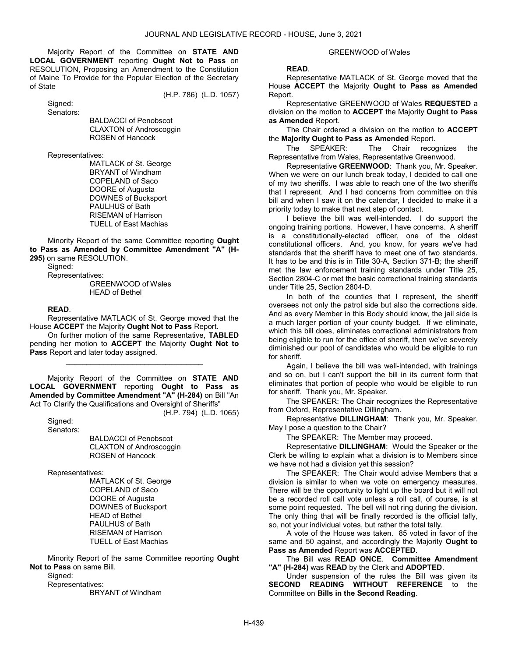Majority Report of the Committee on STATE AND LOCAL GOVERNMENT reporting Ought Not to Pass on RESOLUTION, Proposing an Amendment to the Constitution of Maine To Provide for the Popular Election of the Secretary of State

(H.P. 786) (L.D. 1057)

 Signed: Senators:

 BALDACCI of Penobscot CLAXTON of Androscoggin ROSEN of Hancock

Representatives:

 MATLACK of St. George BRYANT of Windham COPELAND of Saco DOORE of Augusta DOWNES of Bucksport PAULHUS of Bath RISEMAN of Harrison TUELL of East Machias

 Minority Report of the same Committee reporting Ought to Pass as Amended by Committee Amendment "A" (H-295) on same RESOLUTION.

Signed:

Representatives:

 GREENWOOD of Wales HEAD of Bethel

## READ.

 Representative MATLACK of St. George moved that the House ACCEPT the Majority Ought Not to Pass Report.

 On further motion of the same Representative, TABLED pending her motion to ACCEPT the Majority Ought Not to Pass Report and later today assigned.

\_\_\_\_\_\_\_\_\_\_\_\_\_\_\_\_\_\_\_\_\_\_\_\_\_\_\_\_\_\_\_\_\_

 Majority Report of the Committee on STATE AND LOCAL GOVERNMENT reporting Ought to Pass as Amended by Committee Amendment "A" (H-284) on Bill "An Act To Clarify the Qualifications and Oversight of Sheriffs"

(H.P. 794) (L.D. 1065)

 Signed: Senators:

> BALDACCI of Penobscot CLAXTON of Androscoggin ROSEN of Hancock

Representatives:

 MATLACK of St. George COPELAND of Saco DOORE of Augusta DOWNES of Bucksport HEAD of Bethel PAULHUS of Bath RISEMAN of Harrison TUELL of East Machias

 Minority Report of the same Committee reporting Ought Not to Pass on same Bill.

Signed:

 Representatives: BRYANT of Windham

#### GREENWOOD of Wales

#### READ.

 Representative MATLACK of St. George moved that the House ACCEPT the Majority Ought to Pass as Amended Report.

 Representative GREENWOOD of Wales REQUESTED a division on the motion to **ACCEPT** the Majority **Ought to Pass** as Amended Report.

 The Chair ordered a division on the motion to ACCEPT the Majority Ought to Pass as Amended Report.

 The SPEAKER: The Chair recognizes the Representative from Wales, Representative Greenwood.

 Representative GREENWOOD: Thank you, Mr. Speaker. When we were on our lunch break today, I decided to call one of my two sheriffs. I was able to reach one of the two sheriffs that I represent. And I had concerns from committee on this bill and when I saw it on the calendar, I decided to make it a priority today to make that next step of contact.

 I believe the bill was well-intended. I do support the ongoing training portions. However, I have concerns. A sheriff is a constitutionally-elected officer, one of the oldest constitutional officers. And, you know, for years we've had standards that the sheriff have to meet one of two standards. It has to be and this is in Title 30-A, Section 371-B; the sheriff met the law enforcement training standards under Title 25, Section 2804-C or met the basic correctional training standards under Title 25, Section 2804-D.

In both of the counties that I represent, the sheriff oversees not only the patrol side but also the corrections side. And as every Member in this Body should know, the jail side is a much larger portion of your county budget. If we eliminate, which this bill does, eliminates correctional administrators from being eligible to run for the office of sheriff, then we've severely diminished our pool of candidates who would be eligible to run for sheriff.

 Again, I believe the bill was well-intended, with trainings and so on, but I can't support the bill in its current form that eliminates that portion of people who would be eligible to run for sheriff. Thank you, Mr. Speaker.

 The SPEAKER: The Chair recognizes the Representative from Oxford, Representative Dillingham.

 Representative DILLINGHAM: Thank you, Mr. Speaker. May I pose a question to the Chair?

The SPEAKER: The Member may proceed.

 Representative DILLINGHAM: Would the Speaker or the Clerk be willing to explain what a division is to Members since we have not had a division yet this session?

 The SPEAKER: The Chair would advise Members that a division is similar to when we vote on emergency measures. There will be the opportunity to light up the board but it will not be a recorded roll call vote unless a roll call, of course, is at some point requested. The bell will not ring during the division. The only thing that will be finally recorded is the official tally, so, not your individual votes, but rather the total tally.

 A vote of the House was taken. 85 voted in favor of the same and 50 against, and accordingly the Majority Ought to Pass as Amended Report was ACCEPTED.

 The Bill was READ ONCE. Committee Amendment "A" (H-284) was READ by the Clerk and ADOPTED.

 Under suspension of the rules the Bill was given its SECOND READING WITHOUT REFERENCE to the Committee on Bills in the Second Reading.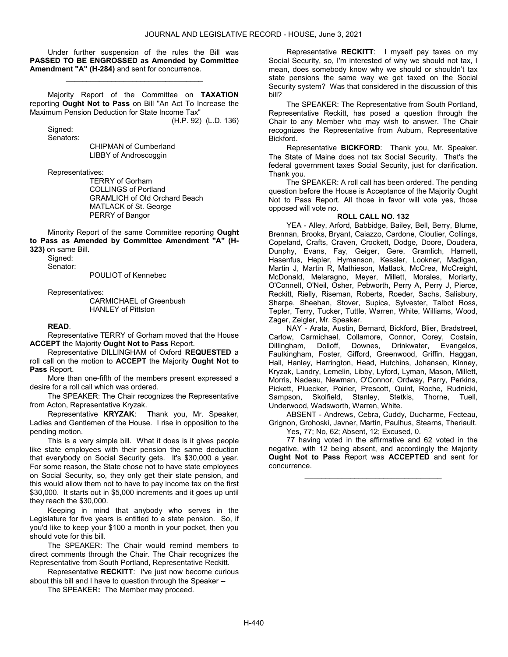Under further suspension of the rules the Bill was PASSED TO BE ENGROSSED as Amended by Committee Amendment "A" (H-284) and sent for concurrence.

\_\_\_\_\_\_\_\_\_\_\_\_\_\_\_\_\_\_\_\_\_\_\_\_\_\_\_\_\_\_\_\_\_

 Majority Report of the Committee on TAXATION reporting Ought Not to Pass on Bill "An Act To Increase the Maximum Pension Deduction for State Income Tax" (H.P. 92) (L.D. 136)

Sianed: Senators:

 CHIPMAN of Cumberland LIBBY of Androscoggin

Representatives:

 TERRY of Gorham COLLINGS of Portland GRAMLICH of Old Orchard Beach MATLACK of St. George PERRY of Bangor

 Minority Report of the same Committee reporting Ought to Pass as Amended by Committee Amendment "A" (H-323) on same Bill.

Sianed: Senator:

POULIOT of Kennebec

Representatives:

 CARMICHAEL of Greenbush HANLEY of Pittston

#### READ.

 Representative TERRY of Gorham moved that the House ACCEPT the Majority Ought Not to Pass Report.

 Representative DILLINGHAM of Oxford REQUESTED a roll call on the motion to ACCEPT the Majority Ought Not to Pass Report.

 More than one-fifth of the members present expressed a desire for a roll call which was ordered.

 The SPEAKER: The Chair recognizes the Representative from Acton, Representative Kryzak.

 Representative KRYZAK: Thank you, Mr. Speaker, Ladies and Gentlemen of the House. I rise in opposition to the pending motion.

 This is a very simple bill. What it does is it gives people like state employees with their pension the same deduction that everybody on Social Security gets. It's \$30,000 a year. For some reason, the State chose not to have state employees on Social Security, so, they only get their state pension, and this would allow them not to have to pay income tax on the first \$30,000. It starts out in \$5,000 increments and it goes up until they reach the \$30,000.

 Keeping in mind that anybody who serves in the Legislature for five years is entitled to a state pension. So, if you'd like to keep your \$100 a month in your pocket, then you should vote for this bill.

 The SPEAKER: The Chair would remind members to direct comments through the Chair. The Chair recognizes the Representative from South Portland, Representative Reckitt.

 Representative RECKITT: I've just now become curious about this bill and I have to question through the Speaker --

The SPEAKER: The Member may proceed.

 Representative RECKITT: I myself pay taxes on my Social Security, so, I'm interested of why we should not tax, I mean, does somebody know why we should or shouldn't tax state pensions the same way we get taxed on the Social Security system? Was that considered in the discussion of this bill?

 The SPEAKER: The Representative from South Portland, Representative Reckitt, has posed a question through the Chair to any Member who may wish to answer. The Chair recognizes the Representative from Auburn, Representative Bickford.

 Representative BICKFORD: Thank you, Mr. Speaker. The State of Maine does not tax Social Security. That's the federal government taxes Social Security, just for clarification. Thank you.

 The SPEAKER: A roll call has been ordered. The pending question before the House is Acceptance of the Majority Ought Not to Pass Report. All those in favor will vote yes, those opposed will vote no.

#### ROLL CALL NO. 132

 YEA - Alley, Arford, Babbidge, Bailey, Bell, Berry, Blume, Brennan, Brooks, Bryant, Caiazzo, Cardone, Cloutier, Collings, Copeland, Crafts, Craven, Crockett, Dodge, Doore, Doudera, Dunphy, Evans, Fay, Geiger, Gere, Gramlich, Harnett, Hasenfus, Hepler, Hymanson, Kessler, Lookner, Madigan, Martin J, Martin R, Mathieson, Matlack, McCrea, McCreight, McDonald, Melaragno, Meyer, Millett, Morales, Moriarty, O'Connell, O'Neil, Osher, Pebworth, Perry A, Perry J, Pierce, Reckitt, Rielly, Riseman, Roberts, Roeder, Sachs, Salisbury, Sharpe, Sheehan, Stover, Supica, Sylvester, Talbot Ross, Tepler, Terry, Tucker, Tuttle, Warren, White, Williams, Wood, Zager, Zeigler, Mr. Speaker.

 NAY - Arata, Austin, Bernard, Bickford, Blier, Bradstreet, Carlow, Carmichael, Collamore, Connor, Corey, Costain, Dillingham, Dolloff, Downes, Drinkwater, Evangelos, Faulkingham, Foster, Gifford, Greenwood, Griffin, Haggan, Hall, Hanley, Harrington, Head, Hutchins, Johansen, Kinney, Kryzak, Landry, Lemelin, Libby, Lyford, Lyman, Mason, Millett, Morris, Nadeau, Newman, O'Connor, Ordway, Parry, Perkins, Pickett, Pluecker, Poirier, Prescott, Quint, Roche, Rudnicki, Sampson, Skolfield, Stanley, Stetkis, Thorne, Tuell, Underwood, Wadsworth, Warren, White.

 ABSENT - Andrews, Cebra, Cuddy, Ducharme, Fecteau, Grignon, Grohoski, Javner, Martin, Paulhus, Stearns, Theriault. Yes, 77; No, 62; Absent, 12; Excused, 0.

 77 having voted in the affirmative and 62 voted in the negative, with 12 being absent, and accordingly the Majority Ought Not to Pass Report was ACCEPTED and sent for concurrence.

\_\_\_\_\_\_\_\_\_\_\_\_\_\_\_\_\_\_\_\_\_\_\_\_\_\_\_\_\_\_\_\_\_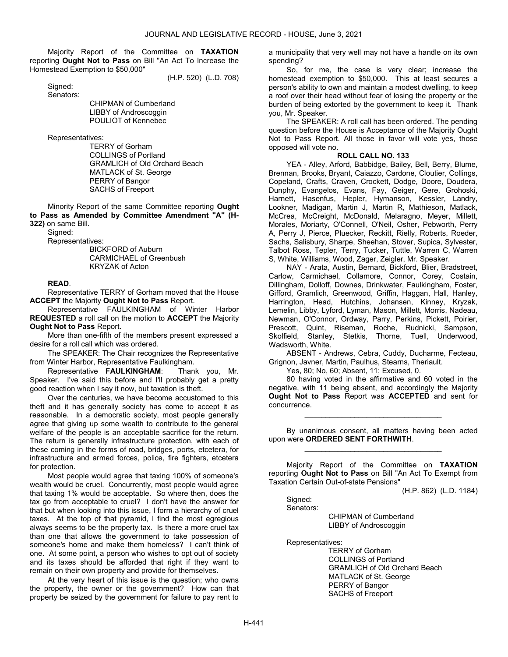Majority Report of the Committee on TAXATION reporting Ought Not to Pass on Bill "An Act To Increase the Homestead Exemption to \$50,000"

(H.P. 520) (L.D. 708)

 Signed: Senators:

 CHIPMAN of Cumberland LIBBY of Androscoggin POULIOT of Kennebec

Representatives:

 TERRY of Gorham COLLINGS of Portland GRAMLICH of Old Orchard Beach MATLACK of St. George PERRY of Bangor SACHS of Freeport

 Minority Report of the same Committee reporting Ought to Pass as Amended by Committee Amendment "A" (H-322) on same Bill.

 Signed: Representatives:

 BICKFORD of Auburn CARMICHAEL of Greenbush KRYZAK of Acton

#### READ.

 Representative TERRY of Gorham moved that the House ACCEPT the Majority Ought Not to Pass Report.

 Representative FAULKINGHAM of Winter Harbor REQUESTED a roll call on the motion to ACCEPT the Majority Ought Not to Pass Report.

 More than one-fifth of the members present expressed a desire for a roll call which was ordered.

 The SPEAKER: The Chair recognizes the Representative from Winter Harbor, Representative Faulkingham.

 Representative FAULKINGHAM: Thank you, Mr. Speaker. I've said this before and I'll probably get a pretty good reaction when I say it now, but taxation is theft.

 Over the centuries, we have become accustomed to this theft and it has generally society has come to accept it as reasonable. In a democratic society, most people generally agree that giving up some wealth to contribute to the general welfare of the people is an acceptable sacrifice for the return. The return is generally infrastructure protection, with each of these coming in the forms of road, bridges, ports, etcetera, for infrastructure and armed forces, police, fire fighters, etcetera for protection.

 Most people would agree that taxing 100% of someone's wealth would be cruel. Concurrently, most people would agree that taxing 1% would be acceptable. So where then, does the tax go from acceptable to cruel? I don't have the answer for that but when looking into this issue, I form a hierarchy of cruel taxes. At the top of that pyramid, I find the most egregious always seems to be the property tax. Is there a more cruel tax than one that allows the government to take possession of someone's home and make them homeless? I can't think of one. At some point, a person who wishes to opt out of society and its taxes should be afforded that right if they want to remain on their own property and provide for themselves.

 At the very heart of this issue is the question; who owns the property, the owner or the government? How can that property be seized by the government for failure to pay rent to

a municipality that very well may not have a handle on its own spending?

 So, for me, the case is very clear; increase the homestead exemption to \$50,000. This at least secures a person's ability to own and maintain a modest dwelling, to keep a roof over their head without fear of losing the property or the burden of being extorted by the government to keep it. Thank you, Mr. Speaker.

 The SPEAKER: A roll call has been ordered. The pending question before the House is Acceptance of the Majority Ought Not to Pass Report. All those in favor will vote yes, those opposed will vote no.

# ROLL CALL NO. 133

 YEA - Alley, Arford, Babbidge, Bailey, Bell, Berry, Blume, Brennan, Brooks, Bryant, Caiazzo, Cardone, Cloutier, Collings, Copeland, Crafts, Craven, Crockett, Dodge, Doore, Doudera, Dunphy, Evangelos, Evans, Fay, Geiger, Gere, Grohoski, Harnett, Hasenfus, Hepler, Hymanson, Kessler, Landry, Lookner, Madigan, Martin J, Martin R, Mathieson, Matlack, McCrea, McCreight, McDonald, Melaragno, Meyer, Millett, Morales, Moriarty, O'Connell, O'Neil, Osher, Pebworth, Perry A, Perry J, Pierce, Pluecker, Reckitt, Rielly, Roberts, Roeder, Sachs, Salisbury, Sharpe, Sheehan, Stover, Supica, Sylvester, Talbot Ross, Tepler, Terry, Tucker, Tuttle, Warren C, Warren S, White, Williams, Wood, Zager, Zeigler, Mr. Speaker.

 NAY - Arata, Austin, Bernard, Bickford, Blier, Bradstreet, Carlow, Carmichael, Collamore, Connor, Corey, Costain, Dillingham, Dolloff, Downes, Drinkwater, Faulkingham, Foster, Gifford, Gramlich, Greenwood, Griffin, Haggan, Hall, Hanley, Harrington, Head, Hutchins, Johansen, Kinney, Kryzak, Lemelin, Libby, Lyford, Lyman, Mason, Millett, Morris, Nadeau, Newman, O'Connor, Ordway, Parry, Perkins, Pickett, Poirier, Prescott, Quint, Riseman, Roche, Rudnicki, Sampson, Skolfield, Stanley, Stetkis, Thorne, Tuell, Underwood, Wadsworth, White.

 ABSENT - Andrews, Cebra, Cuddy, Ducharme, Fecteau, Grignon, Javner, Martin, Paulhus, Stearns, Theriault.

Yes, 80; No, 60; Absent, 11; Excused, 0.

 80 having voted in the affirmative and 60 voted in the negative, with 11 being absent, and accordingly the Majority Ought Not to Pass Report was ACCEPTED and sent for concurrence.

 By unanimous consent, all matters having been acted upon were ORDERED SENT FORTHWITH. \_\_\_\_\_\_\_\_\_\_\_\_\_\_\_\_\_\_\_\_\_\_\_\_\_\_\_\_\_\_\_\_\_

\_\_\_\_\_\_\_\_\_\_\_\_\_\_\_\_\_\_\_\_\_\_\_\_\_\_\_\_\_\_\_\_\_

 Majority Report of the Committee on TAXATION reporting Ought Not to Pass on Bill "An Act To Exempt from Taxation Certain Out-of-state Pensions"

(H.P. 862) (L.D. 1184)

Sianed: Senators:

CHIPMAN of Cumberland

LIBBY of Androscoggin

Representatives:

 TERRY of Gorham COLLINGS of Portland GRAMLICH of Old Orchard Beach MATLACK of St. George PERRY of Bangor SACHS of Freeport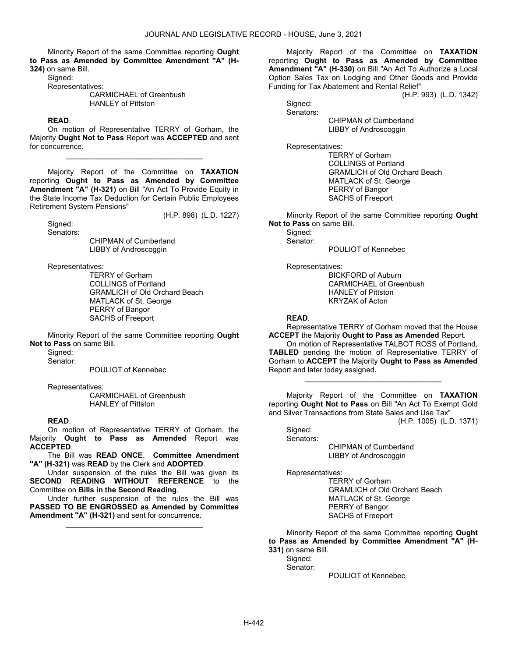Minority Report of the same Committee reporting Ought to Pass as Amended by Committee Amendment "A" (H-324) on same Bill.

Signed:

Representatives:

 CARMICHAEL of Greenbush HANLEY of Pittston

#### READ.

 On motion of Representative TERRY of Gorham, the Majority Ought Not to Pass Report was ACCEPTED and sent for concurrence.

\_\_\_\_\_\_\_\_\_\_\_\_\_\_\_\_\_\_\_\_\_\_\_\_\_\_\_\_\_\_\_\_\_

 Majority Report of the Committee on TAXATION reporting Ought to Pass as Amended by Committee Amendment "A" (H-321) on Bill "An Act To Provide Equity in the State Income Tax Deduction for Certain Public Employees Retirement System Pensions"

(H.P. 898) (L.D. 1227)

 Signed: Senators:

 CHIPMAN of Cumberland LIBBY of Androscoggin

Representatives:

 TERRY of Gorham COLLINGS of Portland GRAMLICH of Old Orchard Beach MATLACK of St. George PERRY of Bangor SACHS of Freeport

 Minority Report of the same Committee reporting Ought Not to Pass on same Bill.

Signed:

Senator:

POULIOT of Kennebec

Representatives:

 CARMICHAEL of Greenbush HANLEY of Pittston

#### READ.

 On motion of Representative TERRY of Gorham, the Majority Ought to Pass as Amended Report was ACCEPTED.

 The Bill was READ ONCE. Committee Amendment "A" (H-321) was READ by the Clerk and ADOPTED.

 Under suspension of the rules the Bill was given its SECOND READING WITHOUT REFERENCE to the Committee on Bills in the Second Reading.

 Under further suspension of the rules the Bill was PASSED TO BE ENGROSSED as Amended by Committee Amendment "A" (H-321) and sent for concurrence.

\_\_\_\_\_\_\_\_\_\_\_\_\_\_\_\_\_\_\_\_\_\_\_\_\_\_\_\_\_\_\_\_\_

 Majority Report of the Committee on TAXATION reporting Ought to Pass as Amended by Committee Amendment "A" (H-330) on Bill "An Act To Authorize a Local Option Sales Tax on Lodging and Other Goods and Provide Funding for Tax Abatement and Rental Relief"

(H.P. 993) (L.D. 1342)

 Signed: Senators:

 CHIPMAN of Cumberland LIBBY of Androscoggin

Representatives:

 TERRY of Gorham COLLINGS of Portland GRAMLICH of Old Orchard Beach MATLACK of St. George PERRY of Bangor SACHS of Freeport

 Minority Report of the same Committee reporting Ought Not to Pass on same Bill.

POULIOT of Kennebec

Signed: Senator:

Representatives:

 BICKFORD of Auburn CARMICHAEL of Greenbush HANLEY of Pittston KRYZAK of Acton

### READ.

 Representative TERRY of Gorham moved that the House **ACCEPT** the Majority **Ought to Pass as Amended** Report.

 On motion of Representative TALBOT ROSS of Portland, TABLED pending the motion of Representative TERRY of Gorham to ACCEPT the Majority Ought to Pass as Amended Report and later today assigned.

\_\_\_\_\_\_\_\_\_\_\_\_\_\_\_\_\_\_\_\_\_\_\_\_\_\_\_\_\_\_\_\_\_

 Majority Report of the Committee on TAXATION reporting Ought Not to Pass on Bill "An Act To Exempt Gold and Silver Transactions from State Sales and Use Tax"

(H.P. 1005) (L.D. 1371) Sianed:

Senators:

 CHIPMAN of Cumberland LIBBY of Androscoggin

Representatives:

 TERRY of Gorham GRAMLICH of Old Orchard Beach MATLACK of St. George PERRY of Bangor SACHS of Freeport

 Minority Report of the same Committee reporting Ought to Pass as Amended by Committee Amendment "A" (H-331) on same Bill.

Sianed:

Senator:

POULIOT of Kennebec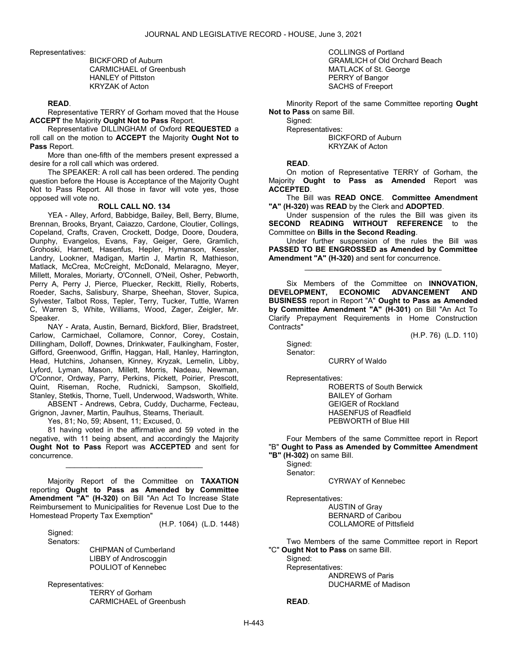Representatives:

 BICKFORD of Auburn CARMICHAEL of Greenbush HANLEY of Pittston KRYZAK of Acton

#### READ.

 Representative TERRY of Gorham moved that the House ACCEPT the Majority Ought Not to Pass Report.

 Representative DILLINGHAM of Oxford REQUESTED a roll call on the motion to ACCEPT the Majority Ought Not to Pass Report.

 More than one-fifth of the members present expressed a desire for a roll call which was ordered.

 The SPEAKER: A roll call has been ordered. The pending question before the House is Acceptance of the Majority Ought Not to Pass Report. All those in favor will vote yes, those opposed will vote no.

## ROLL CALL NO. 134

 YEA - Alley, Arford, Babbidge, Bailey, Bell, Berry, Blume, Brennan, Brooks, Bryant, Caiazzo, Cardone, Cloutier, Collings, Copeland, Crafts, Craven, Crockett, Dodge, Doore, Doudera, Dunphy, Evangelos, Evans, Fay, Geiger, Gere, Gramlich, Grohoski, Harnett, Hasenfus, Hepler, Hymanson, Kessler, Landry, Lookner, Madigan, Martin J, Martin R, Mathieson, Matlack, McCrea, McCreight, McDonald, Melaragno, Meyer, Millett, Morales, Moriarty, O'Connell, O'Neil, Osher, Pebworth, Perry A, Perry J, Pierce, Pluecker, Reckitt, Rielly, Roberts, Roeder, Sachs, Salisbury, Sharpe, Sheehan, Stover, Supica, Sylvester, Talbot Ross, Tepler, Terry, Tucker, Tuttle, Warren C, Warren S, White, Williams, Wood, Zager, Zeigler, Mr. Speaker.

 NAY - Arata, Austin, Bernard, Bickford, Blier, Bradstreet, Carlow, Carmichael, Collamore, Connor, Corey, Costain, Dillingham, Dolloff, Downes, Drinkwater, Faulkingham, Foster, Gifford, Greenwood, Griffin, Haggan, Hall, Hanley, Harrington, Head, Hutchins, Johansen, Kinney, Kryzak, Lemelin, Libby, Lyford, Lyman, Mason, Millett, Morris, Nadeau, Newman, O'Connor, Ordway, Parry, Perkins, Pickett, Poirier, Prescott, Quint, Riseman, Roche, Rudnicki, Sampson, Skolfield, Stanley, Stetkis, Thorne, Tuell, Underwood, Wadsworth, White.

 ABSENT - Andrews, Cebra, Cuddy, Ducharme, Fecteau, Grignon, Javner, Martin, Paulhus, Stearns, Theriault.

Yes, 81; No, 59; Absent, 11; Excused, 0.

 81 having voted in the affirmative and 59 voted in the negative, with 11 being absent, and accordingly the Majority Ought Not to Pass Report was ACCEPTED and sent for concurrence.

\_\_\_\_\_\_\_\_\_\_\_\_\_\_\_\_\_\_\_\_\_\_\_\_\_\_\_\_\_\_\_\_\_

Majority Report of the Committee on TAXATION reporting Ought to Pass as Amended by Committee Amendment "A" (H-320) on Bill "An Act To Increase State Reimbursement to Municipalities for Revenue Lost Due to the Homestead Property Tax Exemption"

(H.P. 1064) (L.D. 1448)

Sianed: Senators:

> CHIPMAN of Cumberland LIBBY of Androscoggin POULIOT of Kennebec

Representatives:

 TERRY of Gorham CARMICHAEL of Greenbush  COLLINGS of Portland GRAMLICH of Old Orchard Beach MATLACK of St. George PERRY of Bangor SACHS of Freeport

 Minority Report of the same Committee reporting Ought Not to Pass on same Bill.

Signed: Representatives:

 BICKFORD of Auburn KRYZAK of Acton

READ.

 On motion of Representative TERRY of Gorham, the Majority Ought to Pass as Amended Report was ACCEPTED.

 The Bill was READ ONCE. Committee Amendment "A" (H-320) was READ by the Clerk and ADOPTED.

 Under suspension of the rules the Bill was given its SECOND READING WITHOUT REFERENCE to the Committee on Bills in the Second Reading.

 Under further suspension of the rules the Bill was PASSED TO BE ENGROSSED as Amended by Committee Amendment "A" (H-320) and sent for concurrence.

\_\_\_\_\_\_\_\_\_\_\_\_\_\_\_\_\_\_\_\_\_\_\_\_\_\_\_\_\_\_\_\_\_

Six Members of the Committee on **INNOVATION**, DEVELOPMENT, ECONOMIC ADVANCEMENT AND BUSINESS report in Report "A" Ought to Pass as Amended by Committee Amendment "A" (H-301) on Bill "An Act To Clarify Prepayment Requirements in Home Construction Contracts"

(H.P. 76) (L.D. 110)

Sianed: Senator:

CURRY of Waldo

Representatives:

 ROBERTS of South Berwick BAILEY of Gorham GEIGER of Rockland HASENFUS of Readfield PEBWORTH of Blue Hill

 Four Members of the same Committee report in Report "B" Ought to Pass as Amended by Committee Amendment "B" (H-302) on same Bill.

 Signed: Senator:

CYRWAY of Kennebec

 Representatives: AUSTIN of Gray

 BERNARD of Caribou COLLAMORE of Pittsfield

 Two Members of the same Committee report in Report "C" Ought Not to Pass on same Bill.

Sianed:

Representatives:

 ANDREWS of Paris DUCHARME of Madison

READ.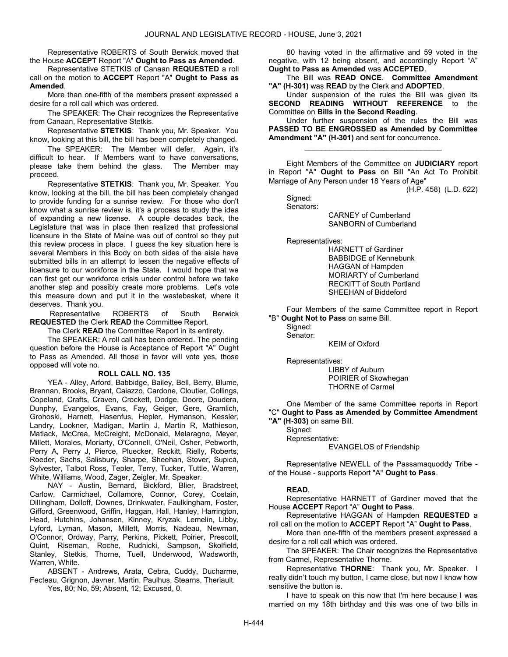Representative ROBERTS of South Berwick moved that the House ACCEPT Report "A" Ought to Pass as Amended.

 Representative STETKIS of Canaan REQUESTED a roll call on the motion to ACCEPT Report "A" Ought to Pass as Amended.

 More than one-fifth of the members present expressed a desire for a roll call which was ordered.

 The SPEAKER: The Chair recognizes the Representative from Canaan, Representative Stetkis.

 Representative STETKIS: Thank you, Mr. Speaker. You know, looking at this bill, the bill has been completely changed.

 The SPEAKER: The Member will defer. Again, it's difficult to hear. If Members want to have conversations, please take them behind the glass. The Member may proceed.

 Representative STETKIS: Thank you, Mr. Speaker. You know, looking at the bill, the bill has been completely changed to provide funding for a sunrise review. For those who don't know what a sunrise review is, it's a process to study the idea of expanding a new license. A couple decades back, the Legislature that was in place then realized that professional licensure in the State of Maine was out of control so they put this review process in place. I guess the key situation here is several Members in this Body on both sides of the aisle have submitted bills in an attempt to lessen the negative effects of licensure to our workforce in the State. I would hope that we can first get our workforce crisis under control before we take another step and possibly create more problems. Let's vote this measure down and put it in the wastebasket, where it deserves. Thank you.

 Representative ROBERTS of South Berwick REQUESTED the Clerk READ the Committee Report.

The Clerk **READ** the Committee Report in its entirety.

 The SPEAKER: A roll call has been ordered. The pending question before the House is Acceptance of Report "A" Ought to Pass as Amended. All those in favor will vote yes, those opposed will vote no.

#### ROLL CALL NO. 135

 YEA - Alley, Arford, Babbidge, Bailey, Bell, Berry, Blume, Brennan, Brooks, Bryant, Caiazzo, Cardone, Cloutier, Collings, Copeland, Crafts, Craven, Crockett, Dodge, Doore, Doudera, Dunphy, Evangelos, Evans, Fay, Geiger, Gere, Gramlich, Grohoski, Harnett, Hasenfus, Hepler, Hymanson, Kessler, Landry, Lookner, Madigan, Martin J, Martin R, Mathieson, Matlack, McCrea, McCreight, McDonald, Melaragno, Meyer, Millett, Morales, Moriarty, O'Connell, O'Neil, Osher, Pebworth, Perry A, Perry J, Pierce, Pluecker, Reckitt, Rielly, Roberts, Roeder, Sachs, Salisbury, Sharpe, Sheehan, Stover, Supica, Sylvester, Talbot Ross, Tepler, Terry, Tucker, Tuttle, Warren, White, Williams, Wood, Zager, Zeigler, Mr. Speaker.

 NAY - Austin, Bernard, Bickford, Blier, Bradstreet, Carlow, Carmichael, Collamore, Connor, Corey, Costain, Dillingham, Dolloff, Downes, Drinkwater, Faulkingham, Foster, Gifford, Greenwood, Griffin, Haggan, Hall, Hanley, Harrington, Head, Hutchins, Johansen, Kinney, Kryzak, Lemelin, Libby, Lyford, Lyman, Mason, Millett, Morris, Nadeau, Newman, O'Connor, Ordway, Parry, Perkins, Pickett, Poirier, Prescott, Quint, Riseman, Roche, Rudnicki, Sampson, Skolfield, Stanley, Stetkis, Thorne, Tuell, Underwood, Wadsworth, Warren, White.

 ABSENT - Andrews, Arata, Cebra, Cuddy, Ducharme, Fecteau, Grignon, Javner, Martin, Paulhus, Stearns, Theriault. Yes, 80; No, 59; Absent, 12; Excused, 0.

 80 having voted in the affirmative and 59 voted in the negative, with 12 being absent, and accordingly Report "A" Ought to Pass as Amended was ACCEPTED.

 The Bill was READ ONCE. Committee Amendment "A" (H-301) was READ by the Clerk and ADOPTED.

 Under suspension of the rules the Bill was given its SECOND READING WITHOUT REFERENCE to the Committee on Bills in the Second Reading.

 Under further suspension of the rules the Bill was PASSED TO BE ENGROSSED as Amended by Committee Amendment "A" (H-301) and sent for concurrence.

\_\_\_\_\_\_\_\_\_\_\_\_\_\_\_\_\_\_\_\_\_\_\_\_\_\_\_\_\_\_\_\_\_

 Eight Members of the Committee on JUDICIARY report in Report "A" Ought to Pass on Bill "An Act To Prohibit Marriage of Any Person under 18 Years of Age"

(H.P. 458) (L.D. 622)

 Signed: Senators:

 CARNEY of Cumberland SANBORN of Cumberland

Representatives:

 HARNETT of Gardiner BABBIDGE of Kennebunk HAGGAN of Hampden MORIARTY of Cumberland RECKITT of South Portland SHEEHAN of Biddeford

 Four Members of the same Committee report in Report "B" Ought Not to Pass on same Bill.

 Signed: Senator:

KEIM of Oxford

 Representatives: LIBBY of Auburn POIRIER of Skowhegan THORNE of Carmel

 One Member of the same Committee reports in Report "C" Ought to Pass as Amended by Committee Amendment "A" (H-303) on same Bill.

 Signed: Representative: EVANGELOS of Friendship

 Representative NEWELL of the Passamaquoddy Tribe of the House - supports Report "A" Ought to Pass.

## READ.

 Representative HARNETT of Gardiner moved that the House ACCEPT Report "A" Ought to Pass.

 Representative HAGGAN of Hampden REQUESTED a roll call on the motion to ACCEPT Report "A" Ought to Pass.

 More than one-fifth of the members present expressed a desire for a roll call which was ordered.

 The SPEAKER: The Chair recognizes the Representative from Carmel, Representative Thorne.

Representative THORNE: Thank you, Mr. Speaker. I really didn't touch my button, I came close, but now I know how sensitive the button is.

 I have to speak on this now that I'm here because I was married on my 18th birthday and this was one of two bills in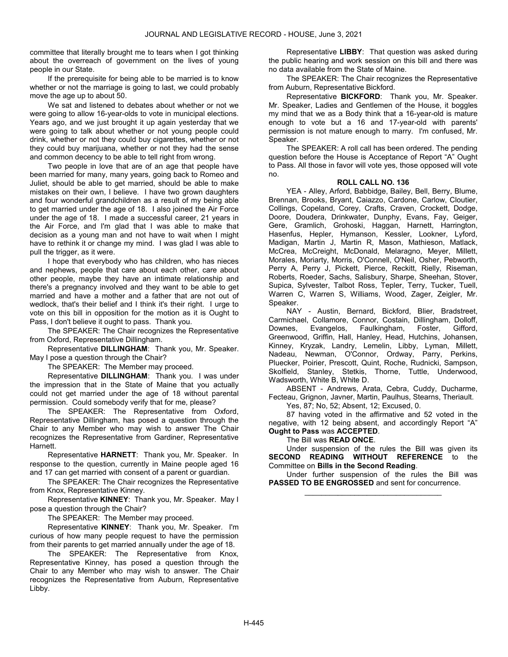committee that literally brought me to tears when I got thinking about the overreach of government on the lives of young people in our State.

 If the prerequisite for being able to be married is to know whether or not the marriage is going to last, we could probably move the age up to about 50.

 We sat and listened to debates about whether or not we were going to allow 16-year-olds to vote in municipal elections. Years ago, and we just brought it up again yesterday that we were going to talk about whether or not young people could drink, whether or not they could buy cigarettes, whether or not they could buy marijuana, whether or not they had the sense and common decency to be able to tell right from wrong.

 Two people in love that are of an age that people have been married for many, many years, going back to Romeo and Juliet, should be able to get married, should be able to make mistakes on their own, I believe. I have two grown daughters and four wonderful grandchildren as a result of my being able to get married under the age of 18. I also joined the Air Force under the age of 18. I made a successful career, 21 years in the Air Force, and I'm glad that I was able to make that decision as a young man and not have to wait when I might have to rethink it or change my mind. I was glad I was able to pull the trigger, as it were.

 I hope that everybody who has children, who has nieces and nephews, people that care about each other, care about other people, maybe they have an intimate relationship and there's a pregnancy involved and they want to be able to get married and have a mother and a father that are not out of wedlock, that's their belief and I think it's their right. I urge to vote on this bill in opposition for the motion as it is Ought to Pass, I don't believe it ought to pass. Thank you.

 The SPEAKER: The Chair recognizes the Representative from Oxford, Representative Dillingham.

 Representative DILLINGHAM: Thank you, Mr. Speaker. May I pose a question through the Chair?

The SPEAKER: The Member may proceed.

 Representative DILLINGHAM: Thank you. I was under the impression that in the State of Maine that you actually could not get married under the age of 18 without parental permission. Could somebody verify that for me, please?

 The SPEAKER: The Representative from Oxford, Representative Dillingham, has posed a question through the Chair to any Member who may wish to answer The Chair recognizes the Representative from Gardiner, Representative Harnett.

 Representative HARNETT: Thank you, Mr. Speaker. In response to the question, currently in Maine people aged 16 and 17 can get married with consent of a parent or guardian.

 The SPEAKER: The Chair recognizes the Representative from Knox, Representative Kinney.

 Representative KINNEY: Thank you, Mr. Speaker. May I pose a question through the Chair?

The SPEAKER: The Member may proceed.

 Representative KINNEY: Thank you, Mr. Speaker. I'm curious of how many people request to have the permission from their parents to get married annually under the age of 18.

 The SPEAKER: The Representative from Knox, Representative Kinney, has posed a question through the Chair to any Member who may wish to answer. The Chair recognizes the Representative from Auburn, Representative Libby.

 Representative LIBBY: That question was asked during the public hearing and work session on this bill and there was no data available from the State of Maine.

 The SPEAKER: The Chair recognizes the Representative from Auburn, Representative Bickford.

 Representative BICKFORD: Thank you, Mr. Speaker. Mr. Speaker, Ladies and Gentlemen of the House, it boggles my mind that we as a Body think that a 16-year-old is mature enough to vote but a 16 and 17-year-old with parents' permission is not mature enough to marry. I'm confused, Mr. Speaker.

 The SPEAKER: A roll call has been ordered. The pending question before the House is Acceptance of Report "A" Ought to Pass. All those in favor will vote yes, those opposed will vote no.

## ROLL CALL NO. 136

 YEA - Alley, Arford, Babbidge, Bailey, Bell, Berry, Blume, Brennan, Brooks, Bryant, Caiazzo, Cardone, Carlow, Cloutier, Collings, Copeland, Corey, Crafts, Craven, Crockett, Dodge, Doore, Doudera, Drinkwater, Dunphy, Evans, Fay, Geiger, Gere, Gramlich, Grohoski, Haggan, Harnett, Harrington, Hasenfus, Hepler, Hymanson, Kessler, Lookner, Lyford, Madigan, Martin J, Martin R, Mason, Mathieson, Matlack, McCrea, McCreight, McDonald, Melaragno, Meyer, Millett, Morales, Moriarty, Morris, O'Connell, O'Neil, Osher, Pebworth, Perry A, Perry J, Pickett, Pierce, Reckitt, Rielly, Riseman, Roberts, Roeder, Sachs, Salisbury, Sharpe, Sheehan, Stover, Supica, Sylvester, Talbot Ross, Tepler, Terry, Tucker, Tuell, Warren C, Warren S, Williams, Wood, Zager, Zeigler, Mr. Speaker.

 NAY - Austin, Bernard, Bickford, Blier, Bradstreet, Carmichael, Collamore, Connor, Costain, Dillingham, Dolloff, Downes, Evangelos, Faulkingham, Foster, Gifford, Greenwood, Griffin, Hall, Hanley, Head, Hutchins, Johansen, Kinney, Kryzak, Landry, Lemelin, Libby, Lyman, Millett, Nadeau, Newman, O'Connor, Ordway, Parry, Perkins, Pluecker, Poirier, Prescott, Quint, Roche, Rudnicki, Sampson, Skolfield, Stanley, Stetkis, Thorne, Tuttle, Underwood, Wadsworth, White B, White D.

 ABSENT - Andrews, Arata, Cebra, Cuddy, Ducharme, Fecteau, Grignon, Javner, Martin, Paulhus, Stearns, Theriault. Yes, 87; No, 52; Absent, 12; Excused, 0.

 87 having voted in the affirmative and 52 voted in the negative, with 12 being absent, and accordingly Report "A" Ought to Pass was ACCEPTED.

The Bill was READ ONCE.

 Under suspension of the rules the Bill was given its SECOND READING WITHOUT REFERENCE to the Committee on Bills in the Second Reading.

 Under further suspension of the rules the Bill was PASSED TO BE ENGROSSED and sent for concurrence. \_\_\_\_\_\_\_\_\_\_\_\_\_\_\_\_\_\_\_\_\_\_\_\_\_\_\_\_\_\_\_\_\_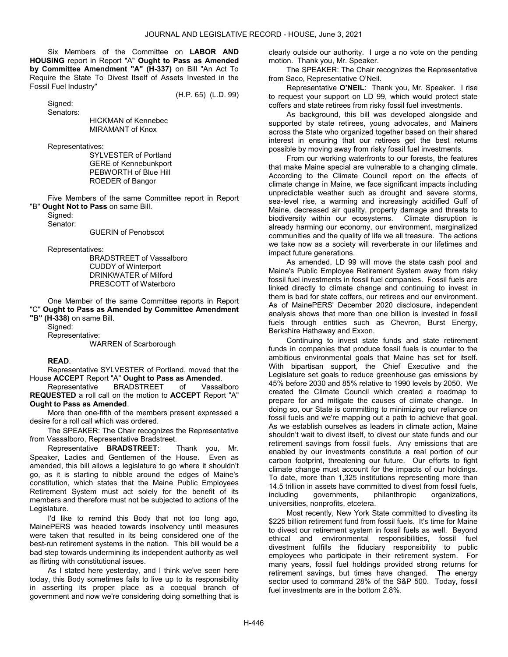Six Members of the Committee on LABOR AND HOUSING report in Report "A" Ought to Pass as Amended by Committee Amendment "A" (H-337) on Bill "An Act To Require the State To Divest Itself of Assets Invested in the Fossil Fuel Industry"

Signed:

(H.P. 65) (L.D. 99)

Senators:

 HICKMAN of Kennebec MIRAMANT of Knox

Representatives:

 SYLVESTER of Portland GERE of Kennebunkport PEBWORTH of Blue Hill ROEDER of Bangor

 Five Members of the same Committee report in Report "B" Ought Not to Pass on same Bill.

Signed:

Senator:

GUERIN of Penobscot

Representatives:

 BRADSTREET of Vassalboro CUDDY of Winterport DRINKWATER of Milford PRESCOTT of Waterboro

 One Member of the same Committee reports in Report "C" Ought to Pass as Amended by Committee Amendment "B" (H-338) on same Bill.

Signed:

 Representative: WARREN of Scarborough

## READ.

 Representative SYLVESTER of Portland, moved that the House ACCEPT Report "A" Ought to Pass as Amended.

 Representative BRADSTREET of Vassalboro REQUESTED a roll call on the motion to ACCEPT Report "A" Ought to Pass as Amended.

 More than one-fifth of the members present expressed a desire for a roll call which was ordered.

 The SPEAKER: The Chair recognizes the Representative from Vassalboro, Representative Bradstreet.

 Representative BRADSTREET: Thank you, Mr. Speaker, Ladies and Gentlemen of the House. Even as amended, this bill allows a legislature to go where it shouldn't go, as it is starting to nibble around the edges of Maine's constitution, which states that the Maine Public Employees Retirement System must act solely for the benefit of its members and therefore must not be subjected to actions of the Legislature.

 I'd like to remind this Body that not too long ago, MainePERS was headed towards insolvency until measures were taken that resulted in its being considered one of the best-run retirement systems in the nation. This bill would be a bad step towards undermining its independent authority as well as flirting with constitutional issues.

 As I stated here yesterday, and I think we've seen here today, this Body sometimes fails to live up to its responsibility in asserting its proper place as a coequal branch of government and now we're considering doing something that is clearly outside our authority. I urge a no vote on the pending motion. Thank you, Mr. Speaker.

 The SPEAKER: The Chair recognizes the Representative from Saco, Representative O'Neil.

 Representative O'NEIL: Thank you, Mr. Speaker. I rise to request your support on LD 99, which would protect state coffers and state retirees from risky fossil fuel investments.

 As background, this bill was developed alongside and supported by state retirees, young advocates, and Mainers across the State who organized together based on their shared interest in ensuring that our retirees get the best returns possible by moving away from risky fossil fuel investments.

 From our working waterfronts to our forests, the features that make Maine special are vulnerable to a changing climate. According to the Climate Council report on the effects of climate change in Maine, we face significant impacts including unpredictable weather such as drought and severe storms, sea-level rise, a warming and increasingly acidified Gulf of Maine, decreased air quality, property damage and threats to biodiversity within our ecosystems. Climate disruption is already harming our economy, our environment, marginalized communities and the quality of life we all treasure. The actions we take now as a society will reverberate in our lifetimes and impact future generations.

 As amended, LD 99 will move the state cash pool and Maine's Public Employee Retirement System away from risky fossil fuel investments in fossil fuel companies. Fossil fuels are linked directly to climate change and continuing to invest in them is bad for state coffers, our retirees and our environment. As of MainePERS' December 2020 disclosure, independent analysis shows that more than one billion is invested in fossil fuels through entities such as Chevron, Burst Energy, Berkshire Hathaway and Exxon.

 Continuing to invest state funds and state retirement funds in companies that produce fossil fuels is counter to the ambitious environmental goals that Maine has set for itself. With bipartisan support, the Chief Executive and the Legislature set goals to reduce greenhouse gas emissions by 45% before 2030 and 85% relative to 1990 levels by 2050. We created the Climate Council which created a roadmap to prepare for and mitigate the causes of climate change. In doing so, our State is committing to minimizing our reliance on fossil fuels and we're mapping out a path to achieve that goal. As we establish ourselves as leaders in climate action, Maine shouldn't wait to divest itself, to divest our state funds and our retirement savings from fossil fuels. Any emissions that are enabled by our investments constitute a real portion of our carbon footprint, threatening our future. Our efforts to fight climate change must account for the impacts of our holdings. To date, more than 1,325 institutions representing more than 14.5 trillion in assets have committed to divest from fossil fuels, including governments, philanthropic organizations, universities, nonprofits, etcetera.

 Most recently, New York State committed to divesting its \$225 billion retirement fund from fossil fuels. It's time for Maine to divest our retirement system in fossil fuels as well. Beyond ethical and environmental responsibilities, fossil fuel divestment fulfills the fiduciary responsibility to public employees who participate in their retirement system. For many years, fossil fuel holdings provided strong returns for retirement savings, but times have changed. The energy sector used to command 28% of the S&P 500. Today, fossil fuel investments are in the bottom 2.8%.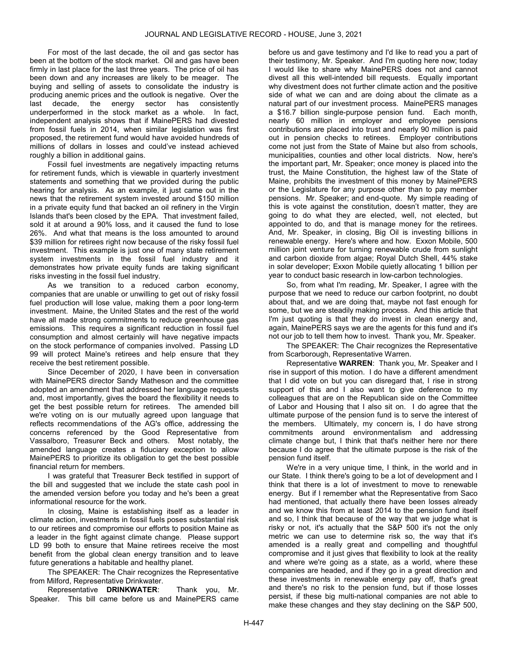For most of the last decade, the oil and gas sector has been at the bottom of the stock market. Oil and gas have been firmly in last place for the last three years. The price of oil has been down and any increases are likely to be meager. The buying and selling of assets to consolidate the industry is producing anemic prices and the outlook is negative. Over the last decade, the energy sector has consistently underperformed in the stock market as a whole. In fact, independent analysis shows that if MainePERS had divested from fossil fuels in 2014, when similar legislation was first proposed, the retirement fund would have avoided hundreds of millions of dollars in losses and could've instead achieved roughly a billion in additional gains.

 Fossil fuel investments are negatively impacting returns for retirement funds, which is viewable in quarterly investment statements and something that we provided during the public hearing for analysis. As an example, it just came out in the news that the retirement system invested around \$150 million in a private equity fund that backed an oil refinery in the Virgin Islands that's been closed by the EPA. That investment failed, sold it at around a 90% loss, and it caused the fund to lose 26%. And what that means is the loss amounted to around \$39 million for retirees right now because of the risky fossil fuel investment. This example is just one of many state retirement system investments in the fossil fuel industry and it demonstrates how private equity funds are taking significant risks investing in the fossil fuel industry.

 As we transition to a reduced carbon economy, companies that are unable or unwilling to get out of risky fossil fuel production will lose value, making them a poor long-term investment. Maine, the United States and the rest of the world have all made strong commitments to reduce greenhouse gas emissions. This requires a significant reduction in fossil fuel consumption and almost certainly will have negative impacts on the stock performance of companies involved. Passing LD 99 will protect Maine's retirees and help ensure that they receive the best retirement possible.

 Since December of 2020, I have been in conversation with MainePERS director Sandy Matheson and the committee adopted an amendment that addressed her language requests and, most importantly, gives the board the flexibility it needs to get the best possible return for retirees. The amended bill we're voting on is our mutually agreed upon language that reflects recommendations of the AG's office, addressing the concerns referenced by the Good Representative from Vassalboro, Treasurer Beck and others. Most notably, the amended language creates a fiduciary exception to allow MainePERS to prioritize its obligation to get the best possible financial return for members.

 I was grateful that Treasurer Beck testified in support of the bill and suggested that we include the state cash pool in the amended version before you today and he's been a great informational resource for the work.

 In closing, Maine is establishing itself as a leader in climate action, investments in fossil fuels poses substantial risk to our retirees and compromise our efforts to position Maine as a leader in the fight against climate change. Please support LD 99 both to ensure that Maine retirees receive the most benefit from the global clean energy transition and to leave future generations a habitable and healthy planet.

 The SPEAKER: The Chair recognizes the Representative from Milford, Representative Drinkwater.

 Representative DRINKWATER: Thank you, Mr. Speaker. This bill came before us and MainePERS came

before us and gave testimony and I'd like to read you a part of their testimony, Mr. Speaker. And I'm quoting here now; today I would like to share why MainePERS does not and cannot divest all this well-intended bill requests. Equally important why divestment does not further climate action and the positive side of what we can and are doing about the climate as a natural part of our investment process. MainePERS manages a \$16.7 billion single-purpose pension fund. Each month, nearly 60 million in employer and employee pensions contributions are placed into trust and nearly 90 million is paid out in pension checks to retirees. Employer contributions come not just from the State of Maine but also from schools, municipalities, counties and other local districts. Now, here's the important part, Mr. Speaker; once money is placed into the trust, the Maine Constitution, the highest law of the State of Maine, prohibits the investment of this money by MainePERS or the Legislature for any purpose other than to pay member pensions. Mr. Speaker; and end-quote. My simple reading of this is vote against the constitution, doesn't matter, they are going to do what they are elected, well, not elected, but appointed to do, and that is manage money for the retirees. And, Mr. Speaker, in closing, Big Oil is investing billions in renewable energy. Here's where and how. Exxon Mobile, 500 million joint venture for turning renewable crude from sunlight and carbon dioxide from algae; Royal Dutch Shell, 44% stake in solar developer; Exxon Mobile quietly allocating 1 billion per year to conduct basic research in low-carbon technologies.

 So, from what I'm reading, Mr. Speaker, I agree with the purpose that we need to reduce our carbon footprint, no doubt about that, and we are doing that, maybe not fast enough for some, but we are steadily making process. And this article that I'm just quoting is that they do invest in clean energy and, again, MainePERS says we are the agents for this fund and it's not our job to tell them how to invest. Thank you, Mr. Speaker.

 The SPEAKER: The Chair recognizes the Representative from Scarborough, Representative Warren.

 Representative WARREN: Thank you, Mr. Speaker and I rise in support of this motion. I do have a different amendment that I did vote on but you can disregard that, I rise in strong support of this and I also want to give deference to my colleagues that are on the Republican side on the Committee of Labor and Housing that I also sit on. I do agree that the ultimate purpose of the pension fund is to serve the interest of the members. Ultimately, my concern is, I do have strong commitments around environmentalism and addressing climate change but, I think that that's neither here nor there because I do agree that the ultimate purpose is the risk of the pension fund itself.

 We're in a very unique time, I think, in the world and in our State. I think there's going to be a lot of development and I think that there is a lot of investment to move to renewable energy. But if I remember what the Representative from Saco had mentioned, that actually there have been losses already and we know this from at least 2014 to the pension fund itself and so, I think that because of the way that we judge what is risky or not, it's actually that the S&P 500 it's not the only metric we can use to determine risk so, the way that it's amended is a really great and compelling and thoughtful compromise and it just gives that flexibility to look at the reality and where we're going as a state, as a world, where these companies are headed, and if they go in a great direction and these investments in renewable energy pay off, that's great and there's no risk to the pension fund, but if those losses persist, if these big multi-national companies are not able to make these changes and they stay declining on the S&P 500,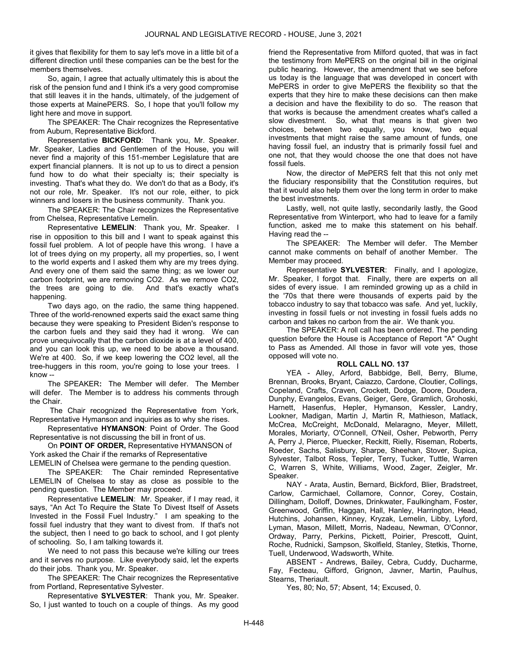it gives that flexibility for them to say let's move in a little bit of a different direction until these companies can be the best for the members themselves.

 So, again, I agree that actually ultimately this is about the risk of the pension fund and I think it's a very good compromise that still leaves it in the hands, ultimately, of the judgement of those experts at MainePERS. So, I hope that you'll follow my light here and move in support.

 The SPEAKER: The Chair recognizes the Representative from Auburn, Representative Bickford.

 Representative BICKFORD: Thank you, Mr. Speaker. Mr. Speaker, Ladies and Gentlemen of the House, you will never find a majority of this 151-member Legislature that are expert financial planners. It is not up to us to direct a pension fund how to do what their specialty is; their specialty is investing. That's what they do. We don't do that as a Body, it's not our role, Mr. Speaker. It's not our role, either, to pick winners and losers in the business community. Thank you.

 The SPEAKER: The Chair recognizes the Representative from Chelsea, Representative Lemelin.

Representative LEMELIN: Thank you, Mr. Speaker. I rise in opposition to this bill and I want to speak against this fossil fuel problem. A lot of people have this wrong. I have a lot of trees dying on my property, all my properties, so, I went to the world experts and I asked them why are my trees dying. And every one of them said the same thing; as we lower our carbon footprint, we are removing CO2. As we remove CO2, the trees are going to die. And that's exactly what's happening.

 Two days ago, on the radio, the same thing happened. Three of the world-renowned experts said the exact same thing because they were speaking to President Biden's response to the carbon fuels and they said they had it wrong. We can prove unequivocally that the carbon dioxide is at a level of 400, and you can look this up, we need to be above a thousand. We're at 400. So, if we keep lowering the CO2 level, all the tree-huggers in this room, you're going to lose your trees. I know --

 The SPEAKER: The Member will defer. The Member will defer. The Member is to address his comments through the Chair.

 The Chair recognized the Representative from York, Representative Hymanson and inquiries as to why she rises.

 Representative HYMANSON: Point of Order. The Good Representative is not discussing the bill in front of us.

 On POINT OF ORDER, Representative HYMANSON of York asked the Chair if the remarks of Representative

LEMELIN of Chelsea were germane to the pending question.

 The SPEAKER: The Chair reminded Representative LEMELIN of Chelsea to stay as close as possible to the pending question. The Member may proceed.

 Representative LEMELIN: Mr. Speaker, if I may read, it says, "An Act To Require the State To Divest Itself of Assets Invested in the Fossil Fuel Industry." I am speaking to the fossil fuel industry that they want to divest from. If that's not the subject, then I need to go back to school, and I got plenty of schooling. So, I am talking towards it.

 We need to not pass this because we're killing our trees and it serves no purpose. Like everybody said, let the experts do their jobs. Thank you, Mr. Speaker.

 The SPEAKER: The Chair recognizes the Representative from Portland, Representative Sylvester.

 Representative SYLVESTER: Thank you, Mr. Speaker. So, I just wanted to touch on a couple of things. As my good

friend the Representative from Milford quoted, that was in fact the testimony from MePERS on the original bill in the original public hearing. However, the amendment that we see before us today is the language that was developed in concert with MePERS in order to give MePERS the flexibility so that the experts that they hire to make these decisions can then make a decision and have the flexibility to do so. The reason that that works is because the amendment creates what's called a slow divestment. So, what that means is that given two choices, between two equally, you know, two equal investments that might raise the same amount of funds, one having fossil fuel, an industry that is primarily fossil fuel and one not, that they would choose the one that does not have fossil fuels.

 Now, the director of MePERS felt that this not only met the fiduciary responsibility that the Constitution requires, but that it would also help them over the long term in order to make the best investments.

 Lastly, well, not quite lastly, secondarily lastly, the Good Representative from Winterport, who had to leave for a family function, asked me to make this statement on his behalf. Having read the --

 The SPEAKER: The Member will defer. The Member cannot make comments on behalf of another Member. The Member may proceed.

 Representative SYLVESTER: Finally, and I apologize, Mr. Speaker, I forgot that. Finally, there are experts on all sides of every issue. I am reminded growing up as a child in the '70s that there were thousands of experts paid by the tobacco industry to say that tobacco was safe. And yet, luckily, investing in fossil fuels or not investing in fossil fuels adds no carbon and takes no carbon from the air. We thank you.

 The SPEAKER: A roll call has been ordered. The pending question before the House is Acceptance of Report "A" Ought to Pass as Amended. All those in favor will vote yes, those opposed will vote no.

## ROLL CALL NO. 137

 YEA - Alley, Arford, Babbidge, Bell, Berry, Blume, Brennan, Brooks, Bryant, Caiazzo, Cardone, Cloutier, Collings, Copeland, Crafts, Craven, Crockett, Dodge, Doore, Doudera, Dunphy, Evangelos, Evans, Geiger, Gere, Gramlich, Grohoski, Harnett, Hasenfus, Hepler, Hymanson, Kessler, Landry, Lookner, Madigan, Martin J, Martin R, Mathieson, Matlack, McCrea, McCreight, McDonald, Melaragno, Meyer, Millett, Morales, Moriarty, O'Connell, O'Neil, Osher, Pebworth, Perry A, Perry J, Pierce, Pluecker, Reckitt, Rielly, Riseman, Roberts, Roeder, Sachs, Salisbury, Sharpe, Sheehan, Stover, Supica, Sylvester, Talbot Ross, Tepler, Terry, Tucker, Tuttle, Warren C, Warren S, White, Williams, Wood, Zager, Zeigler, Mr. Speaker.

 NAY - Arata, Austin, Bernard, Bickford, Blier, Bradstreet, Carlow, Carmichael, Collamore, Connor, Corey, Costain, Dillingham, Dolloff, Downes, Drinkwater, Faulkingham, Foster, Greenwood, Griffin, Haggan, Hall, Hanley, Harrington, Head, Hutchins, Johansen, Kinney, Kryzak, Lemelin, Libby, Lyford, Lyman, Mason, Millett, Morris, Nadeau, Newman, O'Connor, Ordway, Parry, Perkins, Pickett, Poirier, Prescott, Quint, Roche, Rudnicki, Sampson, Skolfield, Stanley, Stetkis, Thorne, Tuell, Underwood, Wadsworth, White.

 ABSENT - Andrews, Bailey, Cebra, Cuddy, Ducharme, Fay, Fecteau, Gifford, Grignon, Javner, Martin, Paulhus, Stearns, Theriault.

Yes, 80; No, 57; Absent, 14; Excused, 0.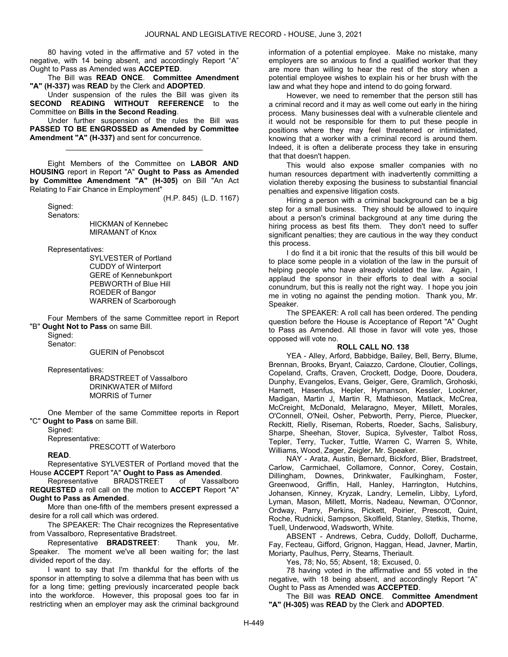80 having voted in the affirmative and 57 voted in the negative, with 14 being absent, and accordingly Report "A" Ought to Pass as Amended was ACCEPTED.

The Bill was READ ONCE. Committee Amendment "A" (H-337) was READ by the Clerk and ADOPTED.

 Under suspension of the rules the Bill was given its SECOND READING WITHOUT REFERENCE to the Committee on Bills in the Second Reading.

 Under further suspension of the rules the Bill was PASSED TO BE ENGROSSED as Amended by Committee Amendment "A" (H-337) and sent for concurrence.

\_\_\_\_\_\_\_\_\_\_\_\_\_\_\_\_\_\_\_\_\_\_\_\_\_\_\_\_\_\_\_\_\_

 Eight Members of the Committee on LABOR AND HOUSING report in Report "A" Ought to Pass as Amended by Committee Amendment "A" (H-305) on Bill "An Act Relating to Fair Chance in Employment"

(H.P. 845) (L.D. 1167)

 Signed: Senators:

 HICKMAN of Kennebec MIRAMANT of Knox

Representatives:

 SYLVESTER of Portland CUDDY of Winterport GERE of Kennebunkport PEBWORTH of Blue Hill ROEDER of Bangor WARREN of Scarborough

 Four Members of the same Committee report in Report "B" Ought Not to Pass on same Bill.

Signed:

Senator:

GUERIN of Penobscot

Representatives:

 BRADSTREET of Vassalboro DRINKWATER of Milford MORRIS of Turner

 One Member of the same Committee reports in Report "C" Ought to Pass on same Bill.

Signed:

Representative:

PRESCOTT of Waterboro

READ.

 Representative SYLVESTER of Portland moved that the House ACCEPT Report "A" Ought to Pass as Amended.

 Representative BRADSTREET of Vassalboro REQUESTED a roll call on the motion to ACCEPT Report "A" Ought to Pass as Amended.

 More than one-fifth of the members present expressed a desire for a roll call which was ordered.

 The SPEAKER: The Chair recognizes the Representative from Vassalboro, Representative Bradstreet.

 Representative BRADSTREET: Thank you, Mr. Speaker. The moment we've all been waiting for; the last divided report of the day.

 I want to say that I'm thankful for the efforts of the sponsor in attempting to solve a dilemma that has been with us for a long time; getting previously incarcerated people back into the workforce. However, this proposal goes too far in restricting when an employer may ask the criminal background information of a potential employee. Make no mistake, many employers are so anxious to find a qualified worker that they are more than willing to hear the rest of the story when a potential employee wishes to explain his or her brush with the law and what they hope and intend to do going forward.

 However, we need to remember that the person still has a criminal record and it may as well come out early in the hiring process. Many businesses deal with a vulnerable clientele and it would not be responsible for them to put these people in positions where they may feel threatened or intimidated, knowing that a worker with a criminal record is around them. Indeed, it is often a deliberate process they take in ensuring that that doesn't happen.

 This would also expose smaller companies with no human resources department with inadvertently committing a violation thereby exposing the business to substantial financial penalties and expensive litigation costs.

 Hiring a person with a criminal background can be a big step for a small business. They should be allowed to inquire about a person's criminal background at any time during the hiring process as best fits them. They don't need to suffer significant penalties; they are cautious in the way they conduct this process.

 I do find it a bit ironic that the results of this bill would be to place some people in a violation of the law in the pursuit of helping people who have already violated the law. Again, I applaud the sponsor in their efforts to deal with a social conundrum, but this is really not the right way. I hope you join me in voting no against the pending motion. Thank you, Mr. Speaker.

 The SPEAKER: A roll call has been ordered. The pending question before the House is Acceptance of Report "A" Ought to Pass as Amended. All those in favor will vote yes, those opposed will vote no.

# ROLL CALL NO. 138

 YEA - Alley, Arford, Babbidge, Bailey, Bell, Berry, Blume, Brennan, Brooks, Bryant, Caiazzo, Cardone, Cloutier, Collings, Copeland, Crafts, Craven, Crockett, Dodge, Doore, Doudera, Dunphy, Evangelos, Evans, Geiger, Gere, Gramlich, Grohoski, Harnett, Hasenfus, Hepler, Hymanson, Kessler, Lookner, Madigan, Martin J, Martin R, Mathieson, Matlack, McCrea, McCreight, McDonald, Melaragno, Meyer, Millett, Morales, O'Connell, O'Neil, Osher, Pebworth, Perry, Pierce, Pluecker, Reckitt, Rielly, Riseman, Roberts, Roeder, Sachs, Salisbury, Sharpe, Sheehan, Stover, Supica, Sylvester, Talbot Ross, Tepler, Terry, Tucker, Tuttle, Warren C, Warren S, White, Williams, Wood, Zager, Zeigler, Mr. Speaker.

 NAY - Arata, Austin, Bernard, Bickford, Blier, Bradstreet, Carlow, Carmichael, Collamore, Connor, Corey, Costain, Dillingham, Downes, Drinkwater, Faulkingham, Foster, Greenwood, Griffin, Hall, Hanley, Harrington, Hutchins, Johansen, Kinney, Kryzak, Landry, Lemelin, Libby, Lyford, Lyman, Mason, Millett, Morris, Nadeau, Newman, O'Connor, Ordway, Parry, Perkins, Pickett, Poirier, Prescott, Quint, Roche, Rudnicki, Sampson, Skolfield, Stanley, Stetkis, Thorne, Tuell, Underwood, Wadsworth, White.

 ABSENT - Andrews, Cebra, Cuddy, Dolloff, Ducharme, Fay, Fecteau, Gifford, Grignon, Haggan, Head, Javner, Martin, Moriarty, Paulhus, Perry, Stearns, Theriault.

Yes, 78; No, 55; Absent, 18; Excused, 0.

 78 having voted in the affirmative and 55 voted in the negative, with 18 being absent, and accordingly Report "A" Ought to Pass as Amended was ACCEPTED.

 The Bill was READ ONCE. Committee Amendment "A" (H-305) was READ by the Clerk and ADOPTED.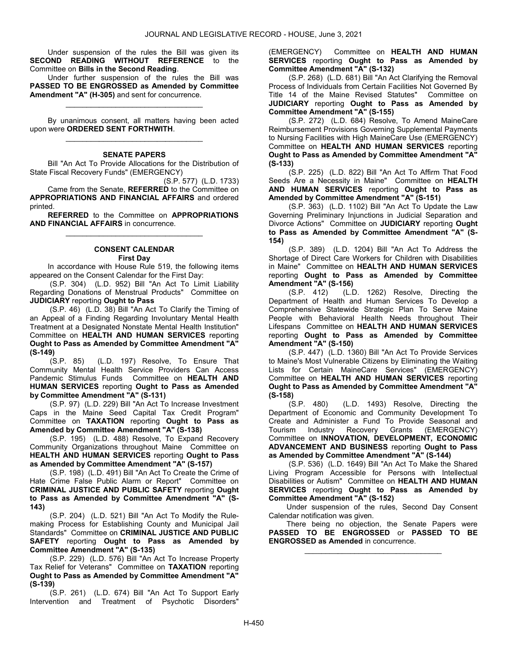Under suspension of the rules the Bill was given its SECOND READING WITHOUT REFERENCE to the Committee on Bills in the Second Reading.

 Under further suspension of the rules the Bill was PASSED TO BE ENGROSSED as Amended by Committee Amendment "A" (H-305) and sent for concurrence.

\_\_\_\_\_\_\_\_\_\_\_\_\_\_\_\_\_\_\_\_\_\_\_\_\_\_\_\_\_\_\_\_\_

 By unanimous consent, all matters having been acted upon were ORDERED SENT FORTHWITH. \_\_\_\_\_\_\_\_\_\_\_\_\_\_\_\_\_\_\_\_\_\_\_\_\_\_\_\_\_\_\_\_\_

### SENATE PAPERS

 Bill "An Act To Provide Allocations for the Distribution of State Fiscal Recovery Funds" (EMERGENCY)

(S.P. 577) (L.D. 1733) Came from the Senate. REFERRED to the Committee on APPROPRIATIONS AND FINANCIAL AFFAIRS and ordered printed.

REFERRED to the Committee on APPROPRIATIONS AND FINANCIAL AFFAIRS in concurrence. \_\_\_\_\_\_\_\_\_\_\_\_\_\_\_\_\_\_\_\_\_\_\_\_\_\_\_\_\_\_\_\_\_

## CONSENT CALENDAR First Day

 In accordance with House Rule 519, the following items appeared on the Consent Calendar for the First Day:

 (S.P. 304) (L.D. 952) Bill "An Act To Limit Liability Regarding Donations of Menstrual Products" Committee on JUDICIARY reporting Ought to Pass

 (S.P. 46) (L.D. 38) Bill "An Act To Clarify the Timing of an Appeal of a Finding Regarding Involuntary Mental Health Treatment at a Designated Nonstate Mental Health Institution" Committee on HEALTH AND HUMAN SERVICES reporting Ought to Pass as Amended by Committee Amendment "A" (S-149)

 (S.P. 85) (L.D. 197) Resolve, To Ensure That Community Mental Health Service Providers Can Access Pandemic Stimulus Funds Committee on HEALTH AND HUMAN SERVICES reporting Ought to Pass as Amended by Committee Amendment "A" (S-131)

 (S.P. 97) (L.D. 229) Bill "An Act To Increase Investment Caps in the Maine Seed Capital Tax Credit Program" Committee on TAXATION reporting Ought to Pass as Amended by Committee Amendment "A" (S-138)

 (S.P. 195) (L.D. 488) Resolve, To Expand Recovery Community Organizations throughout Maine Committee on HEALTH AND HUMAN SERVICES reporting Ought to Pass as Amended by Committee Amendment "A" (S-157)

 (S.P. 198) (L.D. 491) Bill "An Act To Create the Crime of Hate Crime False Public Alarm or Report" Committee on CRIMINAL JUSTICE AND PUBLIC SAFETY reporting Ought to Pass as Amended by Committee Amendment "A" (S-143)

 (S.P. 204) (L.D. 521) Bill "An Act To Modify the Rulemaking Process for Establishing County and Municipal Jail Standards" Committee on CRIMINAL JUSTICE AND PUBLIC SAFETY reporting Ought to Pass as Amended by Committee Amendment "A" (S-135)

 (S.P. 229) (L.D. 576) Bill "An Act To Increase Property Tax Relief for Veterans" Committee on TAXATION reporting Ought to Pass as Amended by Committee Amendment "A" (S-139)

 (S.P. 261) (L.D. 674) Bill "An Act To Support Early Intervention and Treatment of Psychotic Disorders"

(EMERGENCY) Committee on HEALTH AND HUMAN SERVICES reporting Ought to Pass as Amended by Committee Amendment "A" (S-132)

 (S.P. 268) (L.D. 681) Bill "An Act Clarifying the Removal Process of Individuals from Certain Facilities Not Governed By Title 14 of the Maine Revised Statutes" Committee on JUDICIARY reporting Ought to Pass as Amended by Committee Amendment "A" (S-155)

 (S.P. 272) (L.D. 684) Resolve, To Amend MaineCare Reimbursement Provisions Governing Supplemental Payments to Nursing Facilities with High MaineCare Use (EMERGENCY) Committee on HEALTH AND HUMAN SERVICES reporting Ought to Pass as Amended by Committee Amendment "A" (S-133)

 (S.P. 225) (L.D. 822) Bill "An Act To Affirm That Food Seeds Are a Necessity in Maine" Committee on HEALTH AND HUMAN SERVICES reporting Ought to Pass as Amended by Committee Amendment "A" (S-151)

 (S.P. 363) (L.D. 1102) Bill "An Act To Update the Law Governing Preliminary Injunctions in Judicial Separation and Divorce Actions" Committee on JUDICIARY reporting Ought to Pass as Amended by Committee Amendment "A" (S-154)

 (S.P. 389) (L.D. 1204) Bill "An Act To Address the Shortage of Direct Care Workers for Children with Disabilities in Maine" Committee on HEALTH AND HUMAN SERVICES reporting Ought to Pass as Amended by Committee **Amendment "A" (S-156)**<br>(S.P. 412) (L.D.)

(L.D. 1262) Resolve, Directing the Department of Health and Human Services To Develop a Comprehensive Statewide Strategic Plan To Serve Maine People with Behavioral Health Needs throughout Their Lifespans Committee on HEALTH AND HUMAN SERVICES reporting Ought to Pass as Amended by Committee Amendment "A" (S-150)

 (S.P. 447) (L.D. 1360) Bill "An Act To Provide Services to Maine's Most Vulnerable Citizens by Eliminating the Waiting Lists for Certain MaineCare Services" (EMERGENCY) Committee on HEALTH AND HUMAN SERVICES reporting Ought to Pass as Amended by Committee Amendment "A" (S-158)

 (S.P. 480) (L.D. 1493) Resolve, Directing the Department of Economic and Community Development To Create and Administer a Fund To Provide Seasonal and Tourism Industry Recovery Grants (EMERGENCY) Committee on INNOVATION, DEVELOPMENT, ECONOMIC ADVANCEMENT AND BUSINESS reporting Ought to Pass as Amended by Committee Amendment "A" (S-144)

 (S.P. 536) (L.D. 1649) Bill "An Act To Make the Shared Living Program Accessible for Persons with Intellectual Disabilities or Autism" Committee on HEALTH AND HUMAN SERVICES reporting Ought to Pass as Amended by Committee Amendment "A" (S-152)

 Under suspension of the rules, Second Day Consent Calendar notification was given.

 There being no objection, the Senate Papers were PASSED TO BE ENGROSSED or PASSED TO BE ENGROSSED as Amended in concurrence.

\_\_\_\_\_\_\_\_\_\_\_\_\_\_\_\_\_\_\_\_\_\_\_\_\_\_\_\_\_\_\_\_\_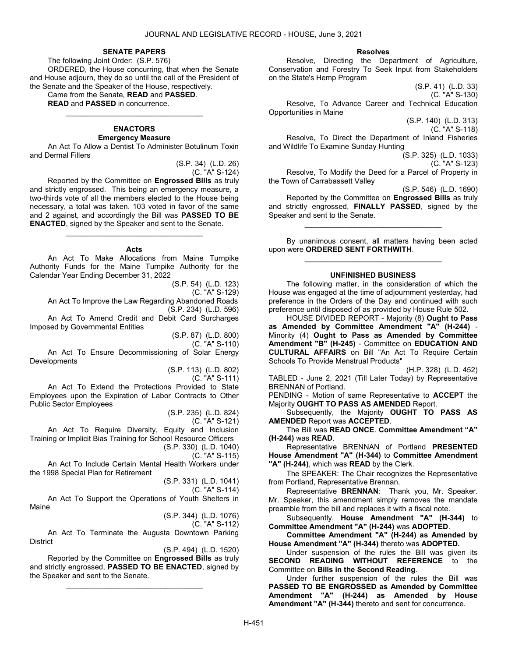#### SENATE PAPERS

 The following Joint Order: (S.P. 576) ORDERED, the House concurring, that when the Senate and House adjourn, they do so until the call of the President of the Senate and the Speaker of the House, respectively.

Came from the Senate, READ and PASSED.

READ and PASSED in concurrence.

#### ENACTORS Emergency Measure

\_\_\_\_\_\_\_\_\_\_\_\_\_\_\_\_\_\_\_\_\_\_\_\_\_\_\_\_\_\_\_\_\_

 An Act To Allow a Dentist To Administer Botulinum Toxin and Dermal Fillers

> (S.P. 34) (L.D. 26) (C. "A" S-124)

 Reported by the Committee on Engrossed Bills as truly and strictly engrossed. This being an emergency measure, a two-thirds vote of all the members elected to the House being necessary, a total was taken. 103 voted in favor of the same and 2 against, and accordingly the Bill was PASSED TO BE ENACTED, signed by the Speaker and sent to the Senate.

### Acts

\_\_\_\_\_\_\_\_\_\_\_\_\_\_\_\_\_\_\_\_\_\_\_\_\_\_\_\_\_\_\_\_\_

 An Act To Make Allocations from Maine Turnpike Authority Funds for the Maine Turnpike Authority for the Calendar Year Ending December 31, 2022

> (S.P. 54) (L.D. 123) (C. "A" S-129)

 An Act To Improve the Law Regarding Abandoned Roads (S.P. 234) (L.D. 596)

 An Act To Amend Credit and Debit Card Surcharges Imposed by Governmental Entities

> (S.P. 87) (L.D. 800) (C. "A" S-110)

 An Act To Ensure Decommissioning of Solar Energy Developments

(S.P. 113) (L.D. 802)

(C. "A" S-111) An Act To Extend the Protections Provided to State Employees upon the Expiration of Labor Contracts to Other Public Sector Employees

(S.P. 235) (L.D. 824)

(C. "A" S-121)

 An Act To Require Diversity, Equity and Inclusion Training or Implicit Bias Training for School Resource Officers (S.P. 330) (L.D. 1040)

(C. "A" S-115)

 An Act To Include Certain Mental Health Workers under the 1998 Special Plan for Retirement

(S.P. 331) (L.D. 1041)

(C. "A" S-114)

 An Act To Support the Operations of Youth Shelters in Maine

(S.P. 344) (L.D. 1076)

(C. "A" S-112)

 An Act To Terminate the Augusta Downtown Parking **District** 

(S.P. 494) (L.D. 1520)

 Reported by the Committee on Engrossed Bills as truly and strictly engrossed, PASSED TO BE ENACTED, signed by the Speaker and sent to the Senate.

\_\_\_\_\_\_\_\_\_\_\_\_\_\_\_\_\_\_\_\_\_\_\_\_\_\_\_\_\_\_\_\_\_

#### Resolves

 Resolve, Directing the Department of Agriculture, Conservation and Forestry To Seek Input from Stakeholders on the State's Hemp Program

(S.P. 41) (L.D. 33) (C. "A" S-130)

 Resolve, To Advance Career and Technical Education Opportunities in Maine

(S.P. 140) (L.D. 313)

(C. "A" S-118)

 Resolve, To Direct the Department of Inland Fisheries and Wildlife To Examine Sunday Hunting

> (S.P. 325) (L.D. 1033) (C. "A" S-123)

 Resolve, To Modify the Deed for a Parcel of Property in the Town of Carrabassett Valley

(S.P. 546) (L.D. 1690)

 Reported by the Committee on Engrossed Bills as truly and strictly engrossed, FINALLY PASSED, signed by the Speaker and sent to the Senate.

\_\_\_\_\_\_\_\_\_\_\_\_\_\_\_\_\_\_\_\_\_\_\_\_\_\_\_\_\_\_\_\_\_

 By unanimous consent, all matters having been acted upon were ORDERED SENT FORTHWITH. \_\_\_\_\_\_\_\_\_\_\_\_\_\_\_\_\_\_\_\_\_\_\_\_\_\_\_\_\_\_\_\_\_

## UNFINISHED BUSINESS

 The following matter, in the consideration of which the House was engaged at the time of adjournment yesterday, had preference in the Orders of the Day and continued with such preference until disposed of as provided by House Rule 502.

 HOUSE DIVIDED REPORT - Majority (8) Ought to Pass as Amended by Committee Amendment "A" (H-244) - Minority (4) Ought to Pass as Amended by Committee Amendment "B" (H-245) - Committee on EDUCATION AND CULTURAL AFFAIRS on Bill "An Act To Require Certain Schools To Provide Menstrual Products"

(H.P. 328) (L.D. 452)

TABLED - June 2, 2021 (Till Later Today) by Representative BRENNAN of Portland.

PENDING - Motion of same Representative to ACCEPT the Majority OUGHT TO PASS AS AMENDED Report.

Subsequently, the Majority OUGHT TO PASS AS AMENDED Report was ACCEPTED.

 The Bill was READ ONCE. Committee Amendment "A" (H-244) was READ.

 Representative BRENNAN of Portland PRESENTED House Amendment "A" (H-344) to Committee Amendment "A" (H-244), which was READ by the Clerk.

 The SPEAKER: The Chair recognizes the Representative from Portland, Representative Brennan.

 Representative BRENNAN: Thank you, Mr. Speaker. Mr. Speaker, this amendment simply removes the mandate preamble from the bill and replaces it with a fiscal note.

 Subsequently, House Amendment "A" (H-344) to Committee Amendment "A" (H-244) was ADOPTED.

Committee Amendment "A" (H-244) as Amended by House Amendment "A" (H-344) thereto was ADOPTED.

 Under suspension of the rules the Bill was given its SECOND READING WITHOUT REFERENCE to the Committee on Bills in the Second Reading.

 Under further suspension of the rules the Bill was PASSED TO BE ENGROSSED as Amended by Committee Amendment "A" (H-244) as Amended by House Amendment "A" (H-344) thereto and sent for concurrence.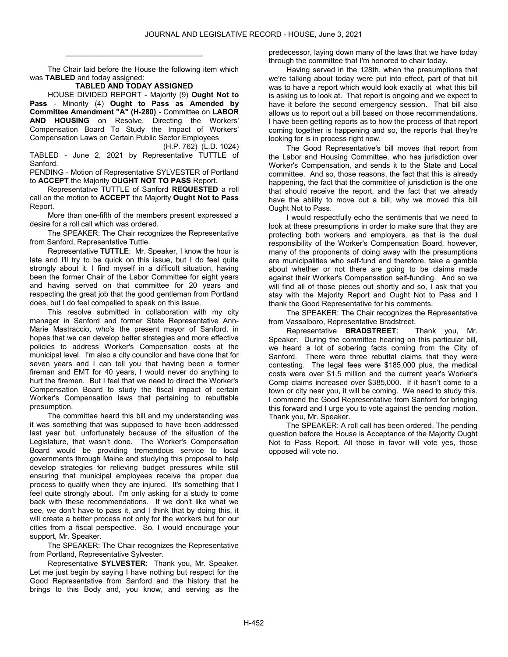The Chair laid before the House the following item which was TABLED and today assigned:

\_\_\_\_\_\_\_\_\_\_\_\_\_\_\_\_\_\_\_\_\_\_\_\_\_\_\_\_\_\_\_\_\_

# TABLED AND TODAY ASSIGNED

 HOUSE DIVIDED REPORT - Majority (9) Ought Not to Pass - Minority (4) Ought to Pass as Amended by Committee Amendment "A" (H-280) - Committee on LABOR AND HOUSING on Resolve, Directing the Workers' Compensation Board To Study the Impact of Workers' Compensation Laws on Certain Public Sector Employees

(H.P. 762) (L.D. 1024) TABLED - June 2, 2021 by Representative TUTTLE of Sanford.

PENDING - Motion of Representative SYLVESTER of Portland to ACCEPT the Majority OUGHT NOT TO PASS Report.

 Representative TUTTLE of Sanford REQUESTED a roll call on the motion to ACCEPT the Majority Ought Not to Pass Report.

 More than one-fifth of the members present expressed a desire for a roll call which was ordered.

 The SPEAKER: The Chair recognizes the Representative from Sanford, Representative Tuttle.

 Representative TUTTLE: Mr. Speaker, I know the hour is late and I'll try to be quick on this issue, but I do feel quite strongly about it. I find myself in a difficult situation, having been the former Chair of the Labor Committee for eight years and having served on that committee for 20 years and respecting the great job that the good gentleman from Portland does, but I do feel compelled to speak on this issue.

 This resolve submitted in collaboration with my city manager in Sanford and former State Representative Ann-Marie Mastraccio, who's the present mayor of Sanford, in hopes that we can develop better strategies and more effective policies to address Worker's Compensation costs at the municipal level. I'm also a city councilor and have done that for seven years and I can tell you that having been a former fireman and EMT for 40 years, I would never do anything to hurt the firemen. But I feel that we need to direct the Worker's Compensation Board to study the fiscal impact of certain Worker's Compensation laws that pertaining to rebuttable presumption.

 The committee heard this bill and my understanding was it was something that was supposed to have been addressed last year but, unfortunately because of the situation of the Legislature, that wasn't done. The Worker's Compensation Board would be providing tremendous service to local governments through Maine and studying this proposal to help develop strategies for relieving budget pressures while still ensuring that municipal employees receive the proper due process to qualify when they are injured. It's something that I feel quite strongly about. I'm only asking for a study to come back with these recommendations. If we don't like what we see, we don't have to pass it, and I think that by doing this, it will create a better process not only for the workers but for our cities from a fiscal perspective. So, I would encourage your support, Mr. Speaker.

 The SPEAKER: The Chair recognizes the Representative from Portland, Representative Sylvester.

 Representative SYLVESTER: Thank you, Mr. Speaker. Let me just begin by saying I have nothing but respect for the Good Representative from Sanford and the history that he brings to this Body and, you know, and serving as the

predecessor, laying down many of the laws that we have today through the committee that I'm honored to chair today.

 Having served in the 128th, when the presumptions that we're talking about today were put into effect, part of that bill was to have a report which would look exactly at what this bill is asking us to look at. That report is ongoing and we expect to have it before the second emergency session. That bill also allows us to report out a bill based on those recommendations. I have been getting reports as to how the process of that report coming together is happening and so, the reports that they're looking for is in process right now.

 The Good Representative's bill moves that report from the Labor and Housing Committee, who has jurisdiction over Worker's Compensation, and sends it to the State and Local committee. And so, those reasons, the fact that this is already happening, the fact that the committee of jurisdiction is the one that should receive the report, and the fact that we already have the ability to move out a bill, why we moved this bill Ought Not to Pass.

 I would respectfully echo the sentiments that we need to look at these presumptions in order to make sure that they are protecting both workers and employers, as that is the dual responsibility of the Worker's Compensation Board, however, many of the proponents of doing away with the presumptions are municipalities who self-fund and therefore, take a gamble about whether or not there are going to be claims made against their Worker's Compensation self-funding. And so we will find all of those pieces out shortly and so, I ask that you stay with the Majority Report and Ought Not to Pass and I thank the Good Representative for his comments.

 The SPEAKER: The Chair recognizes the Representative from Vassalboro, Representative Bradstreet.

 Representative BRADSTREET: Thank you, Mr. Speaker. During the committee hearing on this particular bill, we heard a lot of sobering facts coming from the City of Sanford. There were three rebuttal claims that they were contesting. The legal fees were \$185,000 plus, the medical costs were over \$1.5 million and the current year's Worker's Comp claims increased over \$385,000. If it hasn't come to a town or city near you, it will be coming. We need to study this. I commend the Good Representative from Sanford for bringing this forward and I urge you to vote against the pending motion. Thank you, Mr. Speaker.

 The SPEAKER: A roll call has been ordered. The pending question before the House is Acceptance of the Majority Ought Not to Pass Report. All those in favor will vote yes, those opposed will vote no.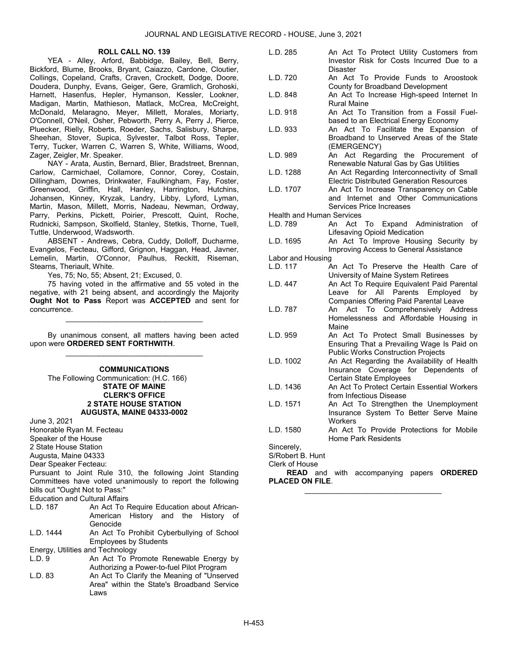## ROLL CALL NO. 139

 YEA - Alley, Arford, Babbidge, Bailey, Bell, Berry, Bickford, Blume, Brooks, Bryant, Caiazzo, Cardone, Cloutier, Collings, Copeland, Crafts, Craven, Crockett, Dodge, Doore, Doudera, Dunphy, Evans, Geiger, Gere, Gramlich, Grohoski, Harnett, Hasenfus, Hepler, Hymanson, Kessler, Lookner, Madigan, Martin, Mathieson, Matlack, McCrea, McCreight, McDonald, Melaragno, Meyer, Millett, Morales, Moriarty, O'Connell, O'Neil, Osher, Pebworth, Perry A, Perry J, Pierce, Pluecker, Rielly, Roberts, Roeder, Sachs, Salisbury, Sharpe, Sheehan, Stover, Supica, Sylvester, Talbot Ross, Tepler, Terry, Tucker, Warren C, Warren S, White, Williams, Wood, Zager, Zeigler, Mr. Speaker.

 NAY - Arata, Austin, Bernard, Blier, Bradstreet, Brennan, Carlow, Carmichael, Collamore, Connor, Corey, Costain, Dillingham, Downes, Drinkwater, Faulkingham, Fay, Foster, Greenwood, Griffin, Hall, Hanley, Harrington, Hutchins, Johansen, Kinney, Kryzak, Landry, Libby, Lyford, Lyman, Martin, Mason, Millett, Morris, Nadeau, Newman, Ordway, Parry, Perkins, Pickett, Poirier, Prescott, Quint, Roche, Rudnicki, Sampson, Skolfield, Stanley, Stetkis, Thorne, Tuell, Tuttle, Underwood, Wadsworth.

 ABSENT - Andrews, Cebra, Cuddy, Dolloff, Ducharme, Evangelos, Fecteau, Gifford, Grignon, Haggan, Head, Javner, Lemelin, Martin, O'Connor, Paulhus, Reckitt, Riseman, Stearns, Theriault, White.

Yes, 75; No, 55; Absent, 21; Excused, 0.

 75 having voted in the affirmative and 55 voted in the negative, with 21 being absent, and accordingly the Majority Ought Not to Pass Report was ACCEPTED and sent for concurrence.

\_\_\_\_\_\_\_\_\_\_\_\_\_\_\_\_\_\_\_\_\_\_\_\_\_\_\_\_\_\_\_\_\_

 By unanimous consent, all matters having been acted upon were ORDERED SENT FORTHWITH. \_\_\_\_\_\_\_\_\_\_\_\_\_\_\_\_\_\_\_\_\_\_\_\_\_\_\_\_\_\_\_\_\_

**COMMUNICATIONS** 

 The Following Communication: (H.C. 166) STATE OF MAINE CLERK'S OFFICE 2 STATE HOUSE STATION AUGUSTA, MAINE 04333-0002

June 3, 2021

Honorable Ryan M. Fecteau Speaker of the House

2 State House Station

Augusta, Maine 04333

Dear Speaker Fecteau:

Pursuant to Joint Rule 310, the following Joint Standing Committees have voted unanimously to report the following bills out "Ought Not to Pass:"

Education and Cultural Affairs<br>L.D. 187 – An Act To F

An Act To Require Education about African-American History and the History of Genocide

L.D. 1444 An Act To Prohibit Cyberbullying of School Employees by Students

Energy, Utilities and Technology

- L.D. 9 **An Act To Promote Renewable Energy by** Authorizing a Power-to-fuel Pilot Program
- L.D. 83 An Act To Clarify the Meaning of "Unserved" Area" within the State's Broadband Service Laws
- L.D. 285 An Act To Protect Utility Customers from Investor Risk for Costs Incurred Due to a **Disaster**
- L.D. 720 An Act To Provide Funds to Aroostook County for Broadband Development
- L.D. 848 An Act To Increase High-speed Internet In Rural Maine
- L.D. 918 An Act To Transition from a Fossil Fuelbased to an Electrical Energy Economy
- L.D. 933 An Act To Facilitate the Expansion of Broadband to Unserved Areas of the State (EMERGENCY)
- L.D. 989 An Act Regarding the Procurement of Renewable Natural Gas by Gas Utilities
- L.D. 1288 An Act Regarding Interconnectivity of Small Electric Distributed Generation Resources
- L.D. 1707 An Act To Increase Transparency on Cable and Internet and Other Communications Services Price Increases

Health and Human Services

- An Act To Expand Administration of Lifesaving Opioid Medication
- L.D. 1695 An Act To Improve Housing Security by Improving Access to General Assistance
- Labor and Housing
- L.D. 117 An Act To Preserve the Health Care of University of Maine System Retirees
- L.D. 447 An Act To Require Equivalent Paid Parental Leave for All Parents Employed by Companies Offering Paid Parental Leave
- L.D. 787 An Act To Comprehensively Address Homelessness and Affordable Housing in Maine
- L.D. 959 An Act To Protect Small Businesses by Ensuring That a Prevailing Wage Is Paid on Public Works Construction Projects
- L.D. 1002 An Act Regarding the Availability of Health Insurance Coverage for Dependents of Certain State Employees
- L.D. 1436 An Act To Protect Certain Essential Workers from Infectious Disease
- L.D. 1571 An Act To Strengthen the Unemployment Insurance System To Better Serve Maine **Workers**
- L.D. 1580 An Act To Provide Protections for Mobile Home Park Residents

Sincerely,

S/Robert B. Hunt

Clerk of House

READ and with accompanying papers ORDERED PLACED ON FILE. \_\_\_\_\_\_\_\_\_\_\_\_\_\_\_\_\_\_\_\_\_\_\_\_\_\_\_\_\_\_\_\_\_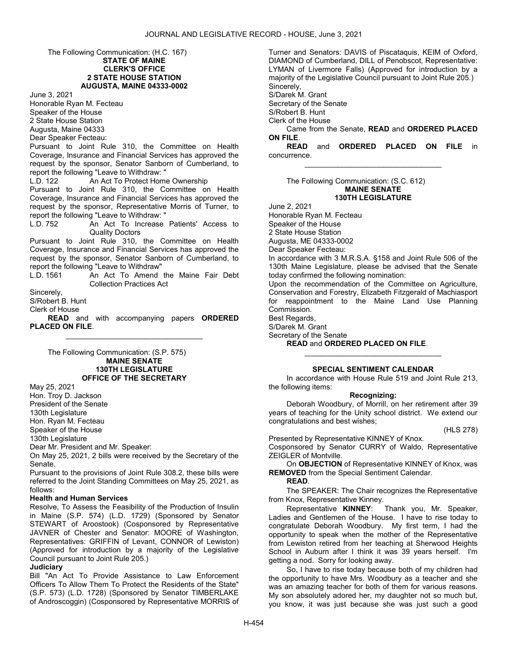### The Following Communication: (H.C. 167) STATE OF MAINE CLERK'S OFFICE 2 STATE HOUSE STATION AUGUSTA, MAINE 04333-0002

June 3, 2021 Honorable Ryan M. Fecteau Speaker of the House 2 State House Station Augusta, Maine 04333

Dear Speaker Fecteau:

Pursuant to Joint Rule 310, the Committee on Health Coverage, Insurance and Financial Services has approved the request by the sponsor, Senator Sanborn of Cumberland, to report the following "Leave to Withdraw: "

L.D. 122 An Act To Protect Home Ownership

Pursuant to Joint Rule 310, the Committee on Health Coverage, Insurance and Financial Services has approved the request by the sponsor, Representative Morris of Turner, to report the following "Leave to Withdraw: "

An Act To Increase Patients' Access to Quality Doctors

Pursuant to Joint Rule 310, the Committee on Health Coverage, Insurance and Financial Services has approved the request by the sponsor, Senator Sanborn of Cumberland, to report the following "Leave to Withdraw"

L.D. 1561 An Act To Amend the Maine Fair Debt Collection Practices Act

Sincerely,

S/Robert B. Hunt

Clerk of House

**READ** and with accompanying papers ORDERED PLACED ON FILE. \_\_\_\_\_\_\_\_\_\_\_\_\_\_\_\_\_\_\_\_\_\_\_\_\_\_\_\_\_\_\_\_\_

 The Following Communication: (S.P. 575) MAINE SENATE 130TH LEGISLATURE OFFICE OF THE SECRETARY

May 25, 2021

Hon. Troy D. Jackson President of the Senate

130th Legislature

Hon. Ryan M. Fecteau

Speaker of the House

130th Legislature

Dear Mr. President and Mr. Speaker:

On May 25, 2021, 2 bills were received by the Secretary of the Senate.

Pursuant to the provisions of Joint Rule 308.2, these bills were referred to the Joint Standing Committees on May 25, 2021, as follows:

## Health and Human Services

Resolve, To Assess the Feasibility of the Production of Insulin in Maine (S.P. 574) (L.D. 1729) (Sponsored by Senator STEWART of Aroostook) (Cosponsored by Representative JAVNER of Chester and Senator: MOORE of Washington, Representatives: GRIFFIN of Levant, CONNOR of Lewiston) (Approved for introduction by a majority of the Legislative Council pursuant to Joint Rule 205.)

**Judiciary** 

Bill "An Act To Provide Assistance to Law Enforcement Officers To Allow Them To Protect the Residents of the State" (S.P. 573) (L.D. 1728) (Sponsored by Senator TIMBERLAKE of Androscoggin) (Cosponsored by Representative MORRIS of

Turner and Senators: DAVIS of Piscataquis, KEIM of Oxford, DIAMOND of Cumberland, DILL of Penobscot, Representative: LYMAN of Livermore Falls) (Approved for introduction by a majority of the Legislative Council pursuant to Joint Rule 205.) Sincerely,

S/Darek M. Grant

Secretary of the Senate

S/Robert B. Hunt

Clerk of the House

 Came from the Senate, READ and ORDERED PLACED ON FILE.

READ and ORDERED PLACED ON FILE in concurrence. \_\_\_\_\_\_\_\_\_\_\_\_\_\_\_\_\_\_\_\_\_\_\_\_\_\_\_\_\_\_\_\_\_

#### The Following Communication: (S.C. 612) MAINE SENATE 130TH LEGISLATURE

June 2, 2021

Honorable Ryan M. Fecteau

Speaker of the House

2 State House Station Augusta, ME 04333-0002

Dear Speaker Fecteau:

In accordance with 3 M.R.S.A. §158 and Joint Rule 506 of the 130th Maine Legislature, please be advised that the Senate today confirmed the following nomination:

Upon the recommendation of the Committee on Agriculture, Conservation and Forestry, Elizabeth Fitzgerald of Machiasport for reappointment to the Maine Land Use Planning Commission.

Best Regards,

S/Darek M. Grant

Secretary of the Senate

READ and ORDERED PLACED ON FILE.

# SPECIAL SENTIMENT CALENDAR

\_\_\_\_\_\_\_\_\_\_\_\_\_\_\_\_\_\_\_\_\_\_\_\_\_\_\_\_\_\_\_\_\_

In accordance with House Rule 519 and Joint Rule 213, the following items:

## Recognizing:

 Deborah Woodbury, of Morrill, on her retirement after 39 years of teaching for the Unity school district. We extend our congratulations and best wishes;

(HLS 278)

Presented by Representative KINNEY of Knox.

Cosponsored by Senator CURRY of Waldo, Representative ZEIGLER of Montville.

 On OBJECTION of Representative KINNEY of Knox, was REMOVED from the Special Sentiment Calendar.

READ.

The SPEAKER: The Chair recognizes the Representative

from Knox, Representative Kinney.<br>Representative KINNEY: Thank you, Mr. Speaker, Ladies and Gentlemen of the House. I have to rise today to congratulate Deborah Woodbury. My first term, I had the opportunity to speak when the mother of the Representative from Lewiston retired from her teaching at Sherwood Heights School in Auburn after I think it was 39 years herself. I'm getting a nod. Sorry for looking away.

 So, I have to rise today because both of my children had the opportunity to have Mrs. Woodbury as a teacher and she was an amazing teacher for both of them for various reasons. My son absolutely adored her, my daughter not so much but, you know, it was just because she was just such a good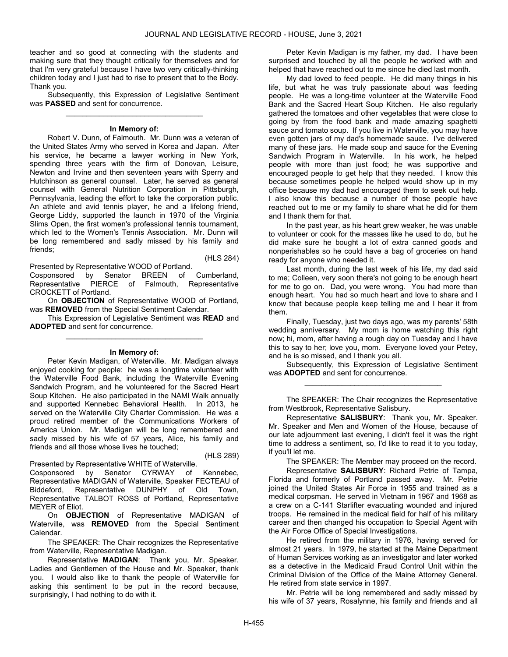teacher and so good at connecting with the students and making sure that they thought critically for themselves and for that I'm very grateful because I have two very critically-thinking children today and I just had to rise to present that to the Body. Thank you.

 Subsequently, this Expression of Legislative Sentiment was PASSED and sent for concurrence. \_\_\_\_\_\_\_\_\_\_\_\_\_\_\_\_\_\_\_\_\_\_\_\_\_\_\_\_\_\_\_\_\_

#### In Memory of:

 Robert V. Dunn, of Falmouth. Mr. Dunn was a veteran of the United States Army who served in Korea and Japan. After his service, he became a lawyer working in New York, spending three years with the firm of Donovan, Leisure, Newton and Irvine and then seventeen years with Sperry and Hutchinson as general counsel. Later, he served as general counsel with General Nutrition Corporation in Pittsburgh, Pennsylvania, leading the effort to take the corporation public. An athlete and avid tennis player, he and a lifelong friend, George Liddy, supported the launch in 1970 of the Virginia Slims Open, the first women's professional tennis tournament, which led to the Women's Tennis Association. Mr. Dunn will be long remembered and sadly missed by his family and friends;

Presented by Representative WOOD of Portland.

(HLS 284)

Cosponsored by Senator BREEN of Cumberland, Representative PIERCE of Falmouth, Representative CROCKETT of Portland.

 On OBJECTION of Representative WOOD of Portland, was REMOVED from the Special Sentiment Calendar.

 This Expression of Legislative Sentiment was READ and ADOPTED and sent for concurrence. \_\_\_\_\_\_\_\_\_\_\_\_\_\_\_\_\_\_\_\_\_\_\_\_\_\_\_\_\_\_\_\_\_

#### In Memory of:

 Peter Kevin Madigan, of Waterville. Mr. Madigan always enjoyed cooking for people: he was a longtime volunteer with the Waterville Food Bank, including the Waterville Evening Sandwich Program, and he volunteered for the Sacred Heart Soup Kitchen. He also participated in the NAMI Walk annually and supported Kennebec Behavioral Health. In 2013, he served on the Waterville City Charter Commission. He was a proud retired member of the Communications Workers of America Union. Mr. Madigan will be long remembered and sadly missed by his wife of 57 years, Alice, his family and friends and all those whose lives he touched;

(HLS 289)

Presented by Representative WHITE of Waterville.

Cosponsored by Senator CYRWAY of Kennebec, Representative MADIGAN of Waterville, Speaker FECTEAU of Biddeford, Representative DUNPHY of Old Town, Representative TALBOT ROSS of Portland, Representative MEYER of Eliot.

 On OBJECTION of Representative MADIGAN of Waterville, was REMOVED from the Special Sentiment Calendar.

 The SPEAKER: The Chair recognizes the Representative from Waterville, Representative Madigan.

 Representative MADIGAN: Thank you, Mr. Speaker. Ladies and Gentlemen of the House and Mr. Speaker, thank you. I would also like to thank the people of Waterville for asking this sentiment to be put in the record because, surprisingly, I had nothing to do with it.

 Peter Kevin Madigan is my father, my dad. I have been surprised and touched by all the people he worked with and helped that have reached out to me since he died last month.

 My dad loved to feed people. He did many things in his life, but what he was truly passionate about was feeding people. He was a long-time volunteer at the Waterville Food Bank and the Sacred Heart Soup Kitchen. He also regularly gathered the tomatoes and other vegetables that were close to going by from the food bank and made amazing spaghetti sauce and tomato soup. If you live in Waterville, you may have even gotten jars of my dad's homemade sauce. I've delivered many of these jars. He made soup and sauce for the Evening Sandwich Program in Waterville. In his work, he helped people with more than just food; he was supportive and encouraged people to get help that they needed. I know this because sometimes people he helped would show up in my office because my dad had encouraged them to seek out help. I also know this because a number of those people have reached out to me or my family to share what he did for them and I thank them for that.

 In the past year, as his heart grew weaker, he was unable to volunteer or cook for the masses like he used to do, but he did make sure he bought a lot of extra canned goods and nonperishables so he could have a bag of groceries on hand ready for anyone who needed it.

 Last month, during the last week of his life, my dad said to me; Colleen, very soon there's not going to be enough heart for me to go on. Dad, you were wrong. You had more than enough heart. You had so much heart and love to share and I know that because people keep telling me and I hear it from them.

 Finally, Tuesday, just two days ago, was my parents' 58th wedding anniversary. My mom is home watching this right now; hi, mom, after having a rough day on Tuesday and I have this to say to her; love you, mom. Everyone loved your Petey, and he is so missed, and I thank you all.

 Subsequently, this Expression of Legislative Sentiment was ADOPTED and sent for concurrence. \_\_\_\_\_\_\_\_\_\_\_\_\_\_\_\_\_\_\_\_\_\_\_\_\_\_\_\_\_\_\_\_\_

 The SPEAKER: The Chair recognizes the Representative from Westbrook, Representative Salisbury.

 Representative SALISBURY: Thank you, Mr. Speaker. Mr. Speaker and Men and Women of the House, because of our late adjournment last evening, I didn't feel it was the right time to address a sentiment, so, I'd like to read it to you today, if you'll let me.

The SPEAKER: The Member may proceed on the record.

 Representative SALISBURY: Richard Petrie of Tampa, Florida and formerly of Portland passed away. Mr. Petrie joined the United States Air Force in 1955 and trained as a medical corpsman. He served in Vietnam in 1967 and 1968 as a crew on a C-141 Starlifter evacuating wounded and injured troops. He remained in the medical field for half of his military career and then changed his occupation to Special Agent with the Air Force Office of Special Investigations.

 He retired from the military in 1976, having served for almost 21 years. In 1979, he started at the Maine Department of Human Services working as an investigator and later worked as a detective in the Medicaid Fraud Control Unit within the Criminal Division of the Office of the Maine Attorney General. He retired from state service in 1997.

 Mr. Petrie will be long remembered and sadly missed by his wife of 37 years, Rosalynne, his family and friends and all